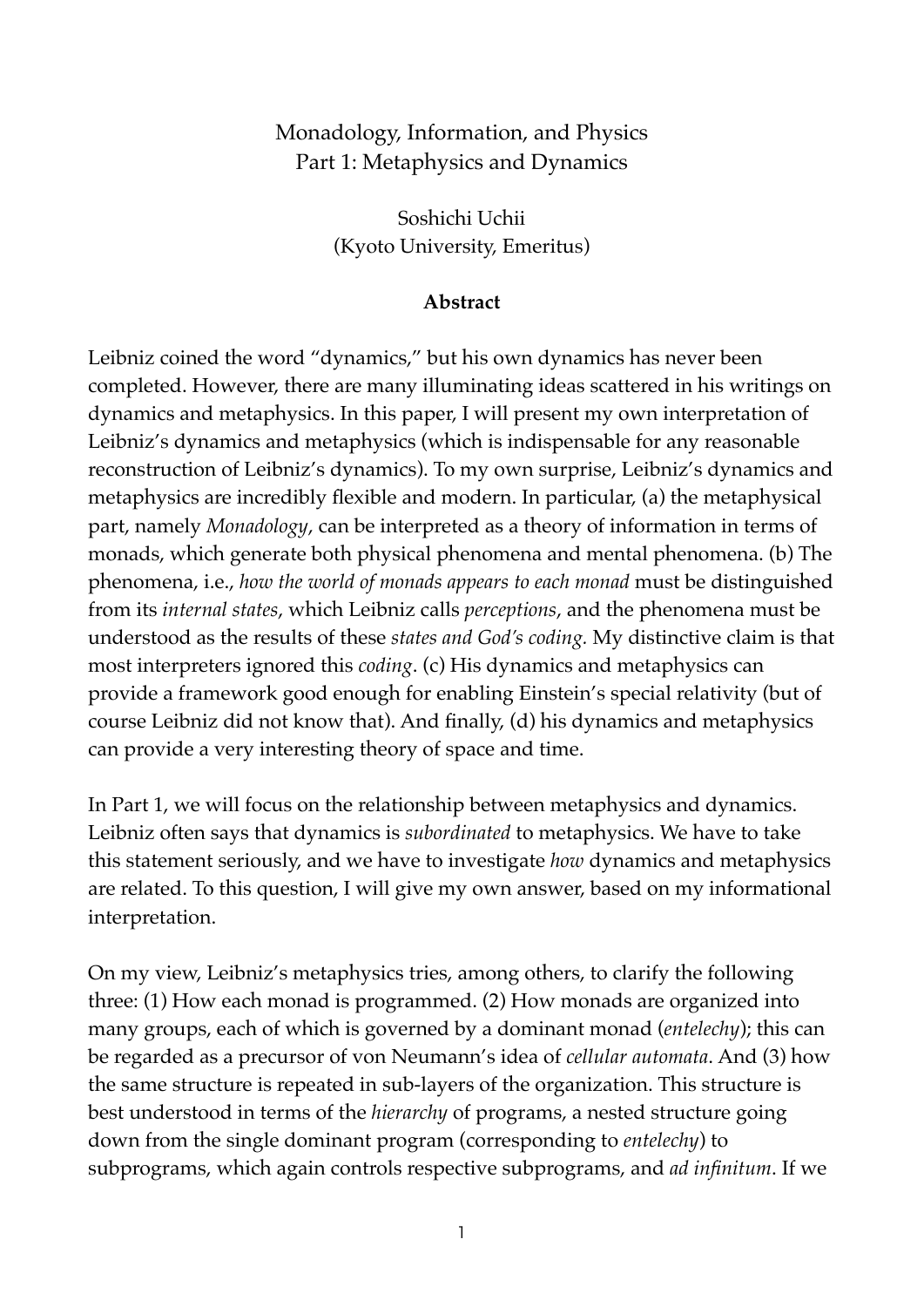# Monadology, Information, and Physics Part 1: Metaphysics and Dynamics

Soshichi Uchii (Kyoto University, Emeritus)

#### **Abstract**

Leibniz coined the word "dynamics," but his own dynamics has never been completed. However, there are many illuminating ideas scattered in his writings on dynamics and metaphysics. In this paper, I will present my own interpretation of Leibniz's dynamics and metaphysics (which is indispensable for any reasonable reconstruction of Leibniz's dynamics). To my own surprise, Leibniz's dynamics and metaphysics are incredibly flexible and modern. In particular, (a) the metaphysical part, namely *Monadology*, can be interpreted as a theory of information in terms of monads, which generate both physical phenomena and mental phenomena. (b) The phenomena, i.e., *how the world of monads appears to each monad* must be distinguished from its *internal states*, which Leibniz calls *perceptions*, and the phenomena must be understood as the results of these *states and God's coding.* My distinctive claim is that most interpreters ignored this *coding*. (c) His dynamics and metaphysics can provide a framework good enough for enabling Einstein's special relativity (but of course Leibniz did not know that). And finally, (d) his dynamics and metaphysics can provide a very interesting theory of space and time.

In Part 1, we will focus on the relationship between metaphysics and dynamics. Leibniz often says that dynamics is *subordinated* to metaphysics. We have to take this statement seriously, and we have to investigate *how* dynamics and metaphysics are related. To this question, I will give my own answer, based on my informational interpretation.

On my view, Leibniz's metaphysics tries, among others, to clarify the following three: (1) How each monad is programmed. (2) How monads are organized into many groups, each of which is governed by a dominant monad (*entelechy*); this can be regarded as a precursor of von Neumann's idea of *cellular automata*. And (3) how the same structure is repeated in sub-layers of the organization. This structure is best understood in terms of the *hierarchy* of programs, a nested structure going down from the single dominant program (corresponding to *entelechy*) to subprograms, which again controls respective subprograms, and *ad infinitum*. If we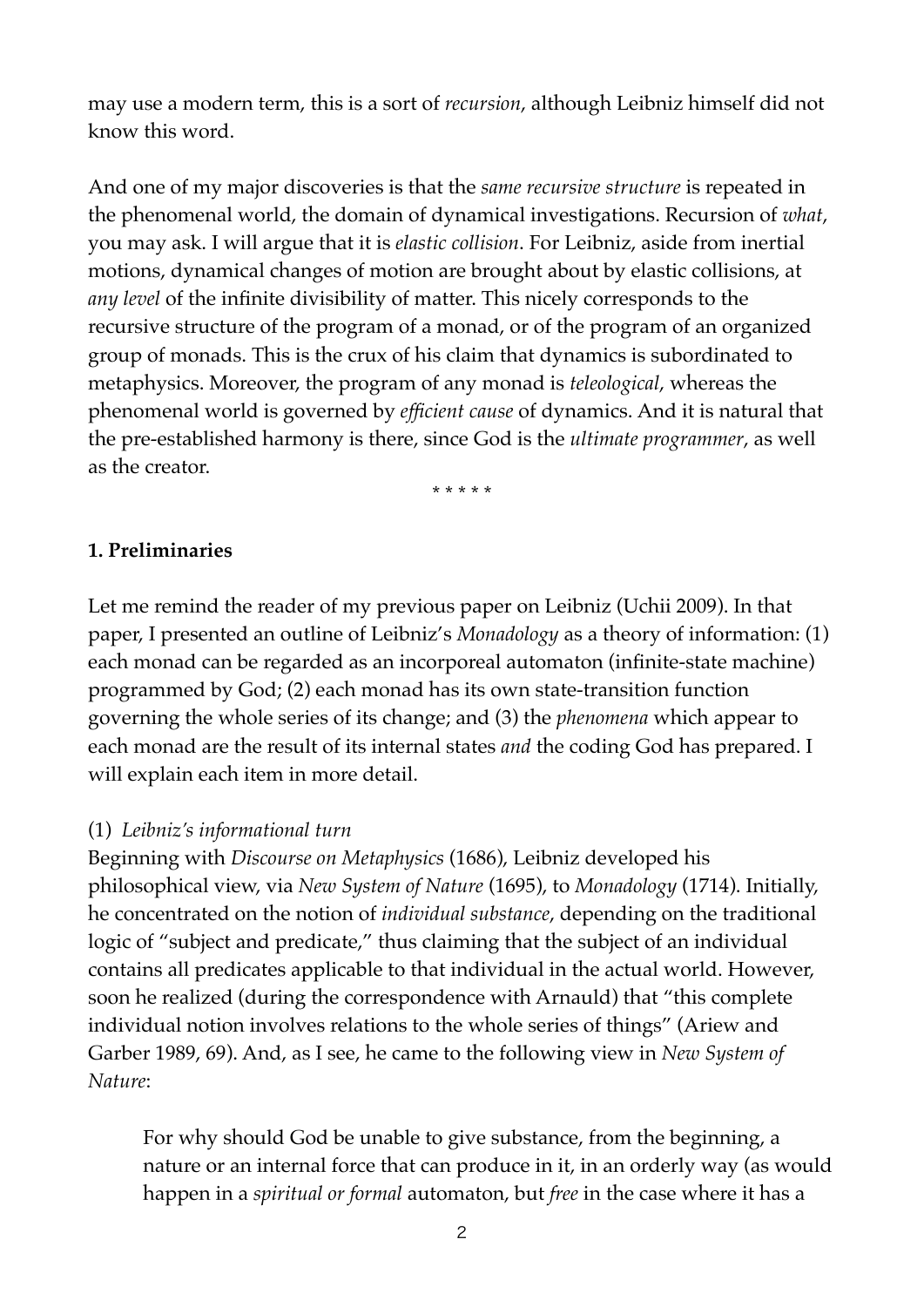may use a modern term, this is a sort of *recursion*, although Leibniz himself did not know this word.

And one of my major discoveries is that the *same recursive structure* is repeated in the phenomenal world, the domain of dynamical investigations. Recursion of *what*, you may ask. I will argue that it is *elastic collision*. For Leibniz, aside from inertial motions, dynamical changes of motion are brought about by elastic collisions, at *any level* of the infinite divisibility of matter. This nicely corresponds to the recursive structure of the program of a monad, or of the program of an organized group of monads. This is the crux of his claim that dynamics is subordinated to metaphysics. Moreover, the program of any monad is *teleological*, whereas the phenomenal world is governed by *efficient cause* of dynamics. And it is natural that the pre-established harmony is there, since God is the *ultimate programmer*, as well as the creator.

\* \* \* \* \*

### **1. Preliminaries**

Let me remind the reader of my previous paper on Leibniz (Uchii 2009). In that paper, I presented an outline of Leibniz's *Monadology* as a theory of information: (1) each monad can be regarded as an incorporeal automaton (infinite-state machine) programmed by God; (2) each monad has its own state-transition function governing the whole series of its change; and (3) the *phenomena* which appear to each monad are the result of its internal states *and* the coding God has prepared. I will explain each item in more detail.

### (1) *Leibniz's informational turn*

Beginning with *Discourse on Metaphysics* (1686), Leibniz developed his philosophical view, via *New System of Nature* (1695), to *Monadology* (1714). Initially, he concentrated on the notion of *individual substance*, depending on the traditional logic of "subject and predicate," thus claiming that the subject of an individual contains all predicates applicable to that individual in the actual world. However, soon he realized (during the correspondence with Arnauld) that "this complete individual notion involves relations to the whole series of things" (Ariew and Garber 1989, 69). And, as I see, he came to the following view in *New System of Nature*:

For why should God be unable to give substance, from the beginning, a nature or an internal force that can produce in it, in an orderly way (as would happen in a *spiritual or formal* automaton, but *free* in the case where it has a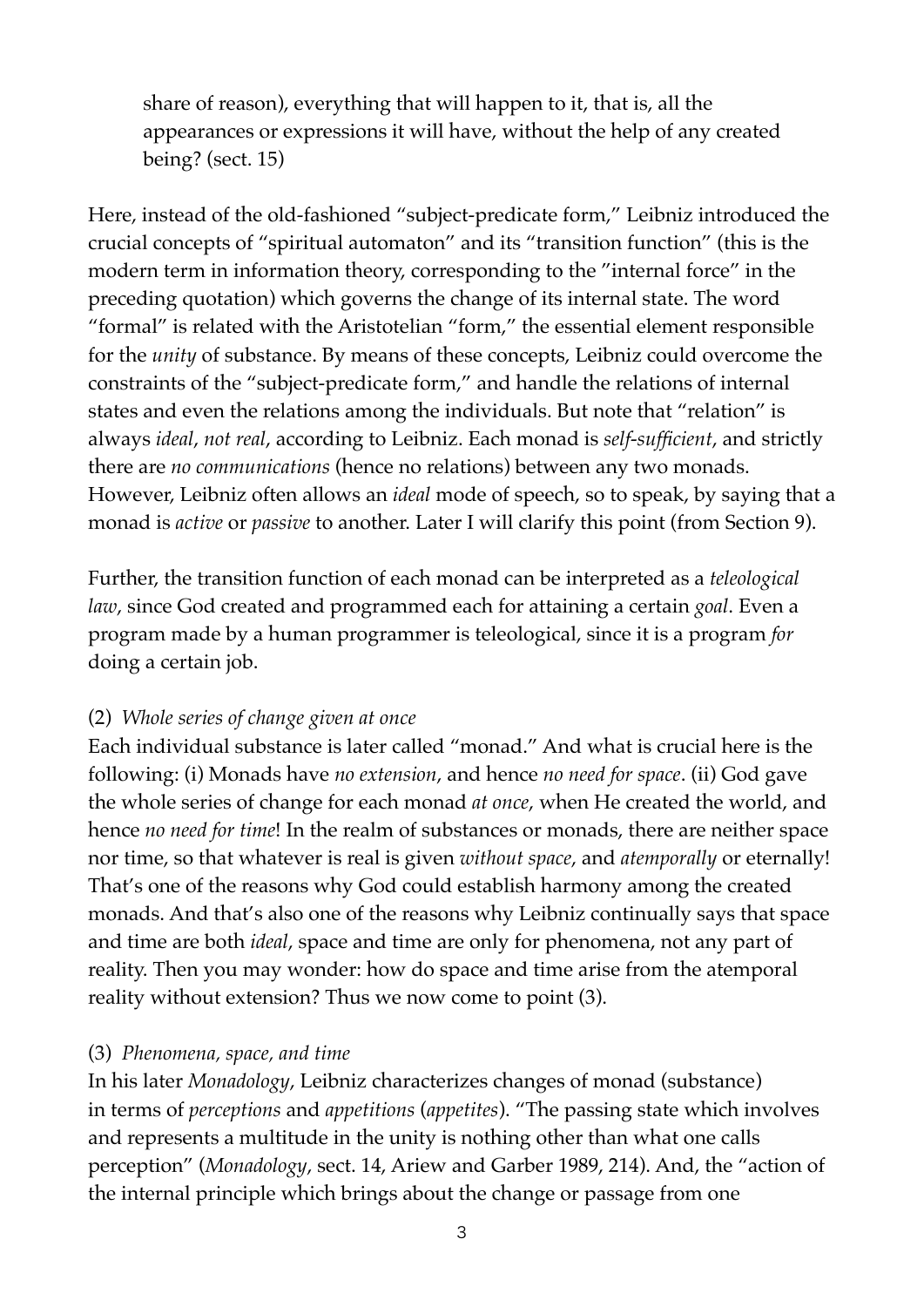share of reason), everything that will happen to it, that is, all the appearances or expressions it will have, without the help of any created being? (sect. 15)

Here, instead of the old-fashioned "subject-predicate form," Leibniz introduced the crucial concepts of "spiritual automaton" and its "transition function" (this is the modern term in information theory, corresponding to the "internal force" in the preceding quotation) which governs the change of its internal state. The word "formal" is related with the Aristotelian "form," the essential element responsible for the *unity* of substance. By means of these concepts, Leibniz could overcome the constraints of the "subject-predicate form," and handle the relations of internal states and even the relations among the individuals. But note that "relation" is always *ideal*, *not real*, according to Leibniz. Each monad is *self-sufficient*, and strictly there are *no communications* (hence no relations) between any two monads. However, Leibniz often allows an *ideal* mode of speech, so to speak, by saying that a monad is *active* or *passive* to another. Later I will clarify this point (from Section 9).

Further, the transition function of each monad can be interpreted as a *teleological law*, since God created and programmed each for attaining a certain *goal*. Even a program made by a human programmer is teleological, since it is a program *for* doing a certain job.

### (2) *Whole series of change given at once*

Each individual substance is later called "monad." And what is crucial here is the following: (i) Monads have *no extension*, and hence *no need for space*. (ii) God gave the whole series of change for each monad *at once*, when He created the world, and hence *no need for time*! In the realm of substances or monads, there are neither space nor time, so that whatever is real is given *without space*, and *atemporally* or eternally! That's one of the reasons why God could establish harmony among the created monads. And that's also one of the reasons why Leibniz continually says that space and time are both *ideal*, space and time are only for phenomena, not any part of reality. Then you may wonder: how do space and time arise from the atemporal reality without extension? Thus we now come to point (3).

#### (3) *Phenomena, space, and time*

In his later *Monadology*, Leibniz characterizes changes of monad (substance) in terms of *perceptions* and *appetitions* (*appetites*). "The passing state which involves and represents a multitude in the unity is nothing other than what one calls perception" (*Monadology*, sect. 14, Ariew and Garber 1989, 214). And, the "action of the internal principle which brings about the change or passage from one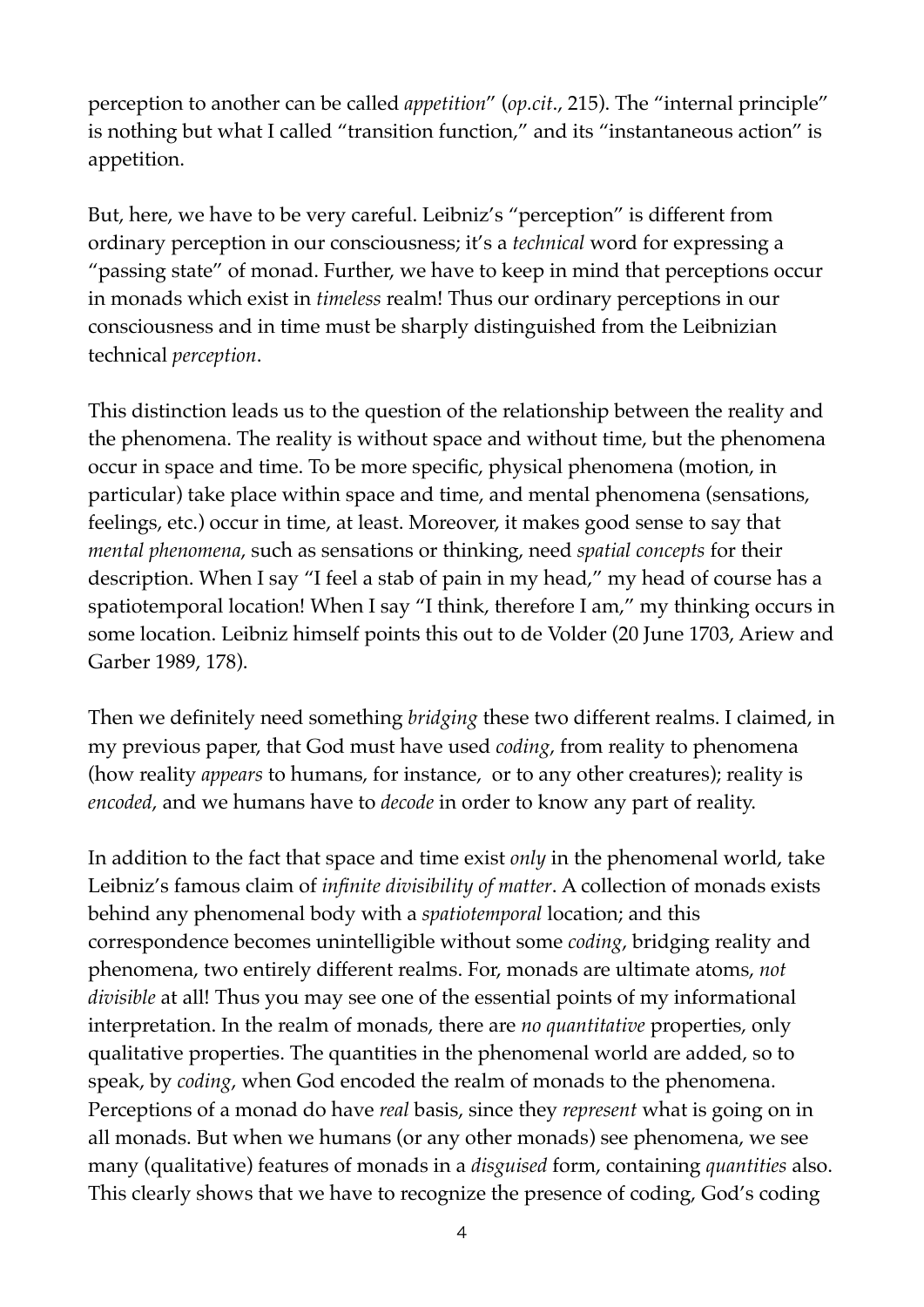perception to another can be called *appetition*" (*op.cit*., 215). The "internal principle" is nothing but what I called "transition function," and its "instantaneous action" is appetition.

But, here, we have to be very careful. Leibniz's "perception" is different from ordinary perception in our consciousness; it's a *technical* word for expressing a "passing state" of monad. Further, we have to keep in mind that perceptions occur in monads which exist in *timeless* realm! Thus our ordinary perceptions in our consciousness and in time must be sharply distinguished from the Leibnizian technical *perception*.

This distinction leads us to the question of the relationship between the reality and the phenomena. The reality is without space and without time, but the phenomena occur in space and time. To be more specific, physical phenomena (motion, in particular) take place within space and time, and mental phenomena (sensations, feelings, etc.) occur in time, at least. Moreover, it makes good sense to say that *mental phenomena*, such as sensations or thinking, need *spatial concepts* for their description. When I say "I feel a stab of pain in my head," my head of course has a spatiotemporal location! When I say "I think, therefore I am," my thinking occurs in some location. Leibniz himself points this out to de Volder (20 June 1703, Ariew and Garber 1989, 178).

Then we definitely need something *bridging* these two different realms. I claimed, in my previous paper, that God must have used *coding*, from reality to phenomena (how reality *appears* to humans, for instance, or to any other creatures); reality is *encoded*, and we humans have to *decode* in order to know any part of reality.

In addition to the fact that space and time exist *only* in the phenomenal world, take Leibniz's famous claim of *infinite divisibility of matter*. A collection of monads exists behind any phenomenal body with a *spatiotemporal* location; and this correspondence becomes unintelligible without some *coding*, bridging reality and phenomena, two entirely different realms. For, monads are ultimate atoms, *not divisible* at all! Thus you may see one of the essential points of my informational interpretation. In the realm of monads, there are *no quantitative* properties, only qualitative properties. The quantities in the phenomenal world are added, so to speak, by *coding*, when God encoded the realm of monads to the phenomena. Perceptions of a monad do have *real* basis, since they *represent* what is going on in all monads. But when we humans (or any other monads) see phenomena, we see many (qualitative) features of monads in a *disguised* form, containing *quantities* also. This clearly shows that we have to recognize the presence of coding, God's coding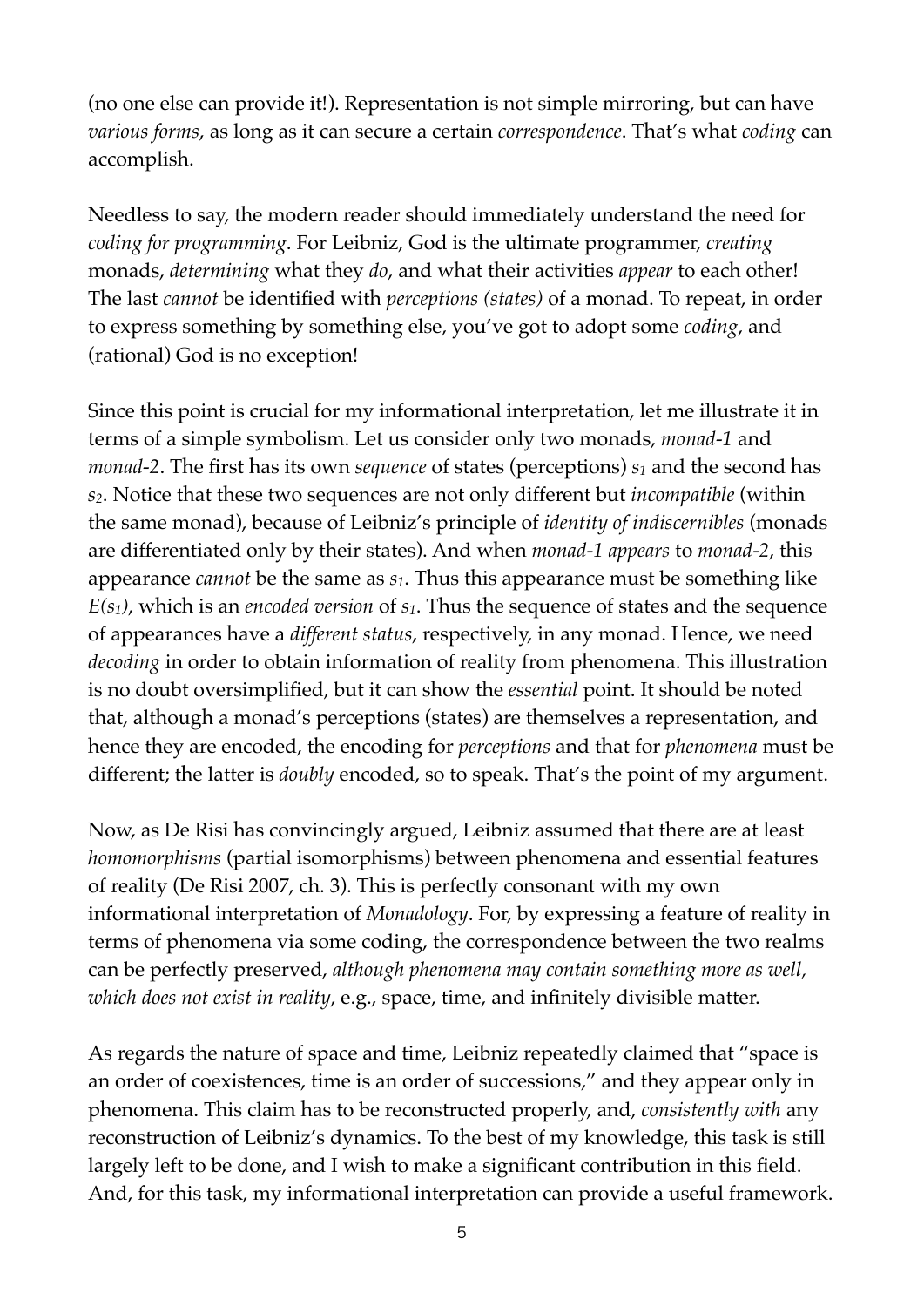(no one else can provide it!). Representation is not simple mirroring, but can have *various forms*, as long as it can secure a certain *correspondence*. That's what *coding* can accomplish.

Needless to say, the modern reader should immediately understand the need for *coding for programming*. For Leibniz, God is the ultimate programmer, *creating* monads, *determining* what they *do*, and what their activities *appear* to each other! The last *cannot* be identified with *perceptions (states)* of a monad. To repeat, in order to express something by something else, you've got to adopt some *coding*, and (rational) God is no exception!

Since this point is crucial for my informational interpretation, let me illustrate it in terms of a simple symbolism. Let us consider only two monads, *monad-1* and *monad-2*. The first has its own *sequence* of states (perceptions)  $s_1$  and the second has *s2*. Notice that these two sequences are not only different but *incompatible* (within the same monad), because of Leibniz's principle of *identity of indiscernibles* (monads are differentiated only by their states). And when *monad-1 appears* to *monad-2*, this appearance *cannot* be the same as *s1*. Thus this appearance must be something like *E(s1)*, which is an *encoded version* of *s1*. Thus the sequence of states and the sequence of appearances have a *different status*, respectively, in any monad. Hence, we need *decoding* in order to obtain information of reality from phenomena. This illustration is no doubt oversimplified, but it can show the *essential* point. It should be noted that, although a monad's perceptions (states) are themselves a representation, and hence they are encoded, the encoding for *perceptions* and that for *phenomena* must be different; the latter is *doubly* encoded, so to speak. That's the point of my argument.

Now, as De Risi has convincingly argued, Leibniz assumed that there are at least *homomorphisms* (partial isomorphisms) between phenomena and essential features of reality (De Risi 2007, ch. 3). This is perfectly consonant with my own informational interpretation of *Monadology*. For, by expressing a feature of reality in terms of phenomena via some coding, the correspondence between the two realms can be perfectly preserved, *although phenomena may contain something more as well, which does not exist in reality*, e.g., space, time, and infinitely divisible matter.

As regards the nature of space and time, Leibniz repeatedly claimed that "space is an order of coexistences, time is an order of successions," and they appear only in phenomena. This claim has to be reconstructed properly, and, *consistently with* any reconstruction of Leibniz's dynamics. To the best of my knowledge, this task is still largely left to be done, and I wish to make a significant contribution in this field. And, for this task, my informational interpretation can provide a useful framework.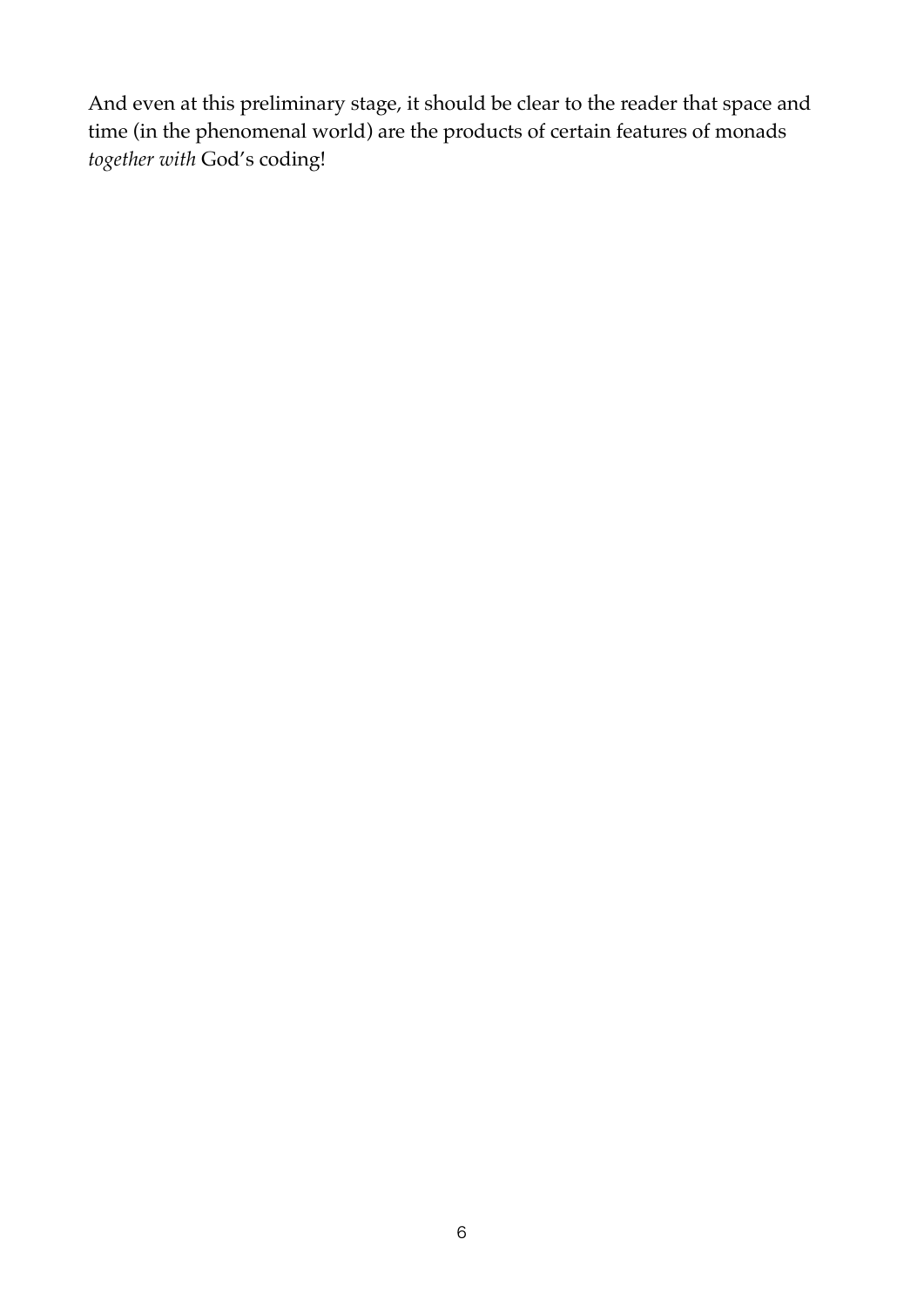And even at this preliminary stage, it should be clear to the reader that space and time (in the phenomenal world) are the products of certain features of monads *together with* God's coding!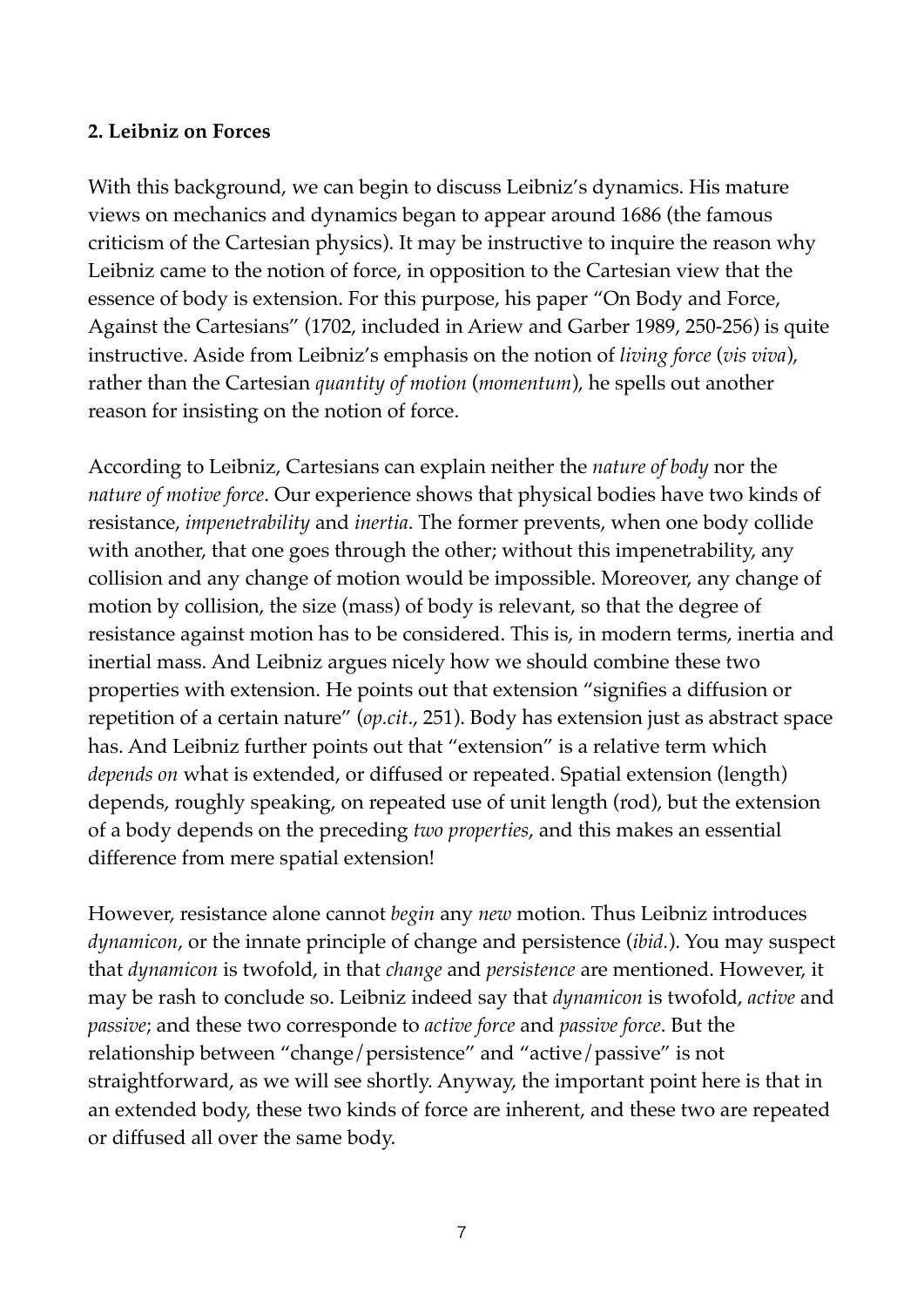#### **2. Leibniz on Forces**

With this background, we can begin to discuss Leibniz's dynamics. His mature views on mechanics and dynamics began to appear around 1686 (the famous criticism of the Cartesian physics). It may be instructive to inquire the reason why Leibniz came to the notion of force, in opposition to the Cartesian view that the essence of body is extension. For this purpose, his paper "On Body and Force, Against the Cartesians" (1702, included in Ariew and Garber 1989, 250-256) is quite instructive. Aside from Leibniz's emphasis on the notion of *living force* (*vis viva*), rather than the Cartesian *quantity of motion* (*momentum*), he spells out another reason for insisting on the notion of force.

According to Leibniz, Cartesians can explain neither the *nature of body* nor the *nature of motive force*. Our experience shows that physical bodies have two kinds of resistance, *impenetrability* and *inertia*. The former prevents, when one body collide with another, that one goes through the other; without this impenetrability, any collision and any change of motion would be impossible. Moreover, any change of motion by collision, the size (mass) of body is relevant, so that the degree of resistance against motion has to be considered. This is, in modern terms, inertia and inertial mass. And Leibniz argues nicely how we should combine these two properties with extension. He points out that extension "signifies a diffusion or repetition of a certain nature" (*op.cit*., 251). Body has extension just as abstract space has. And Leibniz further points out that "extension" is a relative term which *depends on* what is extended, or diffused or repeated. Spatial extension (length) depends, roughly speaking, on repeated use of unit length (rod), but the extension of a body depends on the preceding *two properties*, and this makes an essential difference from mere spatial extension!

However, resistance alone cannot *begin* any *new* motion. Thus Leibniz introduces *dynamicon*, or the innate principle of change and persistence (*ibid.*). You may suspect that *dynamicon* is twofold, in that *change* and *persistence* are mentioned. However, it may be rash to conclude so. Leibniz indeed say that *dynamicon* is twofold, *active* and *passive*; and these two corresponde to *active force* and *passive force*. But the relationship between "change/persistence" and "active/passive" is not straightforward, as we will see shortly. Anyway, the important point here is that in an extended body, these two kinds of force are inherent, and these two are repeated or diffused all over the same body.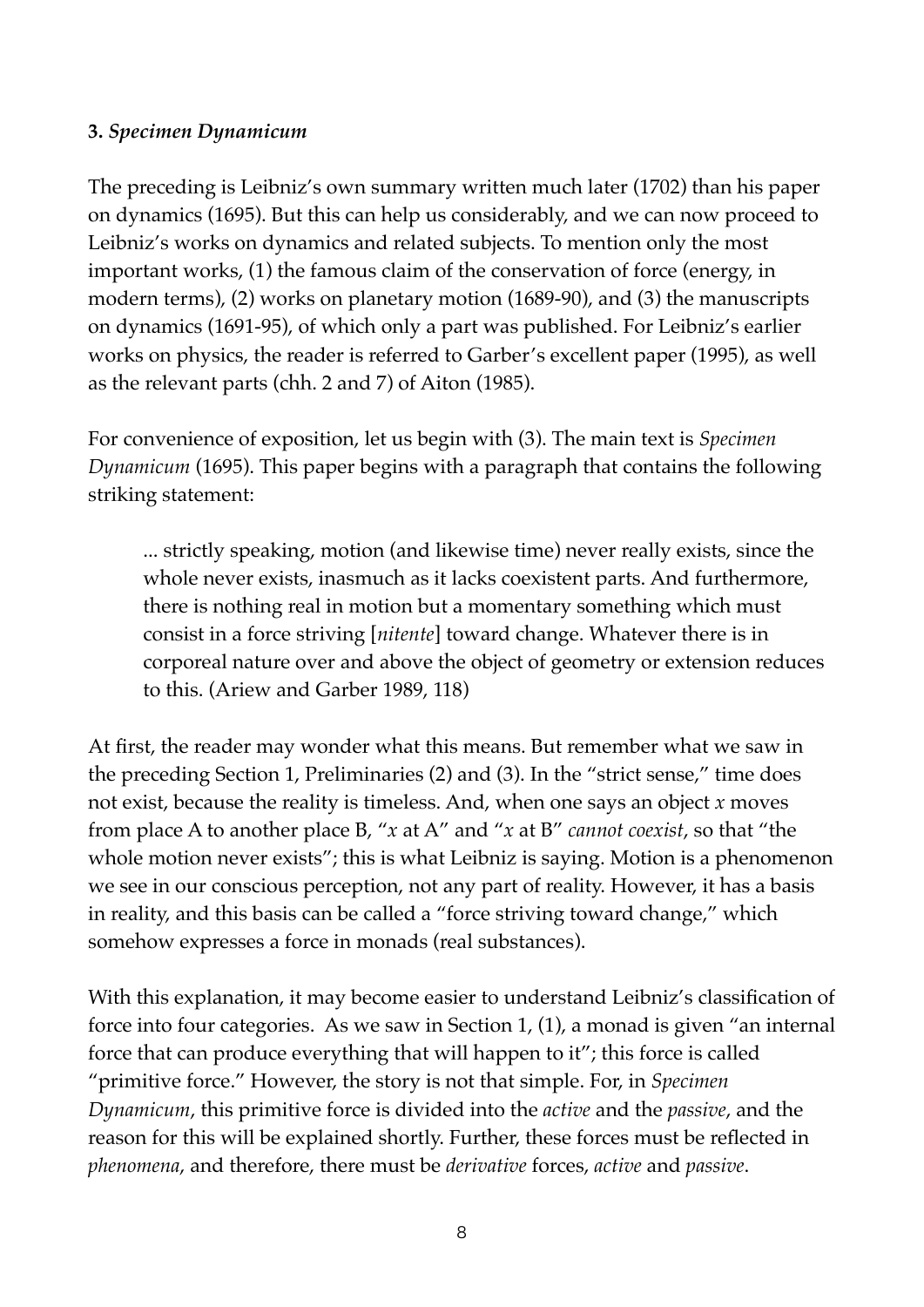### **3.** *Specimen Dynamicum*

The preceding is Leibniz's own summary written much later (1702) than his paper on dynamics (1695). But this can help us considerably, and we can now proceed to Leibniz's works on dynamics and related subjects. To mention only the most important works, (1) the famous claim of the conservation of force (energy, in modern terms), (2) works on planetary motion (1689-90), and (3) the manuscripts on dynamics (1691-95), of which only a part was published. For Leibniz's earlier works on physics, the reader is referred to Garber's excellent paper (1995), as well as the relevant parts (chh. 2 and 7) of Aiton (1985).

For convenience of exposition, let us begin with (3). The main text is *Specimen Dynamicum* (1695). This paper begins with a paragraph that contains the following striking statement:

... strictly speaking, motion (and likewise time) never really exists, since the whole never exists, inasmuch as it lacks coexistent parts. And furthermore, there is nothing real in motion but a momentary something which must consist in a force striving [*nitente*] toward change. Whatever there is in corporeal nature over and above the object of geometry or extension reduces to this. (Ariew and Garber 1989, 118)

At first, the reader may wonder what this means. But remember what we saw in the preceding Section 1, Preliminaries (2) and (3). In the "strict sense," time does not exist, because the reality is timeless. And, when one says an object *x* moves from place A to another place B, "*x* at A" and "*x* at B" *cannot coexist*, so that "the whole motion never exists"; this is what Leibniz is saying. Motion is a phenomenon we see in our conscious perception, not any part of reality. However, it has a basis in reality, and this basis can be called a "force striving toward change," which somehow expresses a force in monads (real substances).

With this explanation, it may become easier to understand Leibniz's classification of force into four categories. As we saw in Section 1, (1), a monad is given "an internal force that can produce everything that will happen to it"; this force is called "primitive force." However, the story is not that simple. For, in *Specimen Dynamicum*, this primitive force is divided into the *active* and the *passive*, and the reason for this will be explained shortly. Further, these forces must be reflected in *phenomena*, and therefore, there must be *derivative* forces, *active* and *passive*.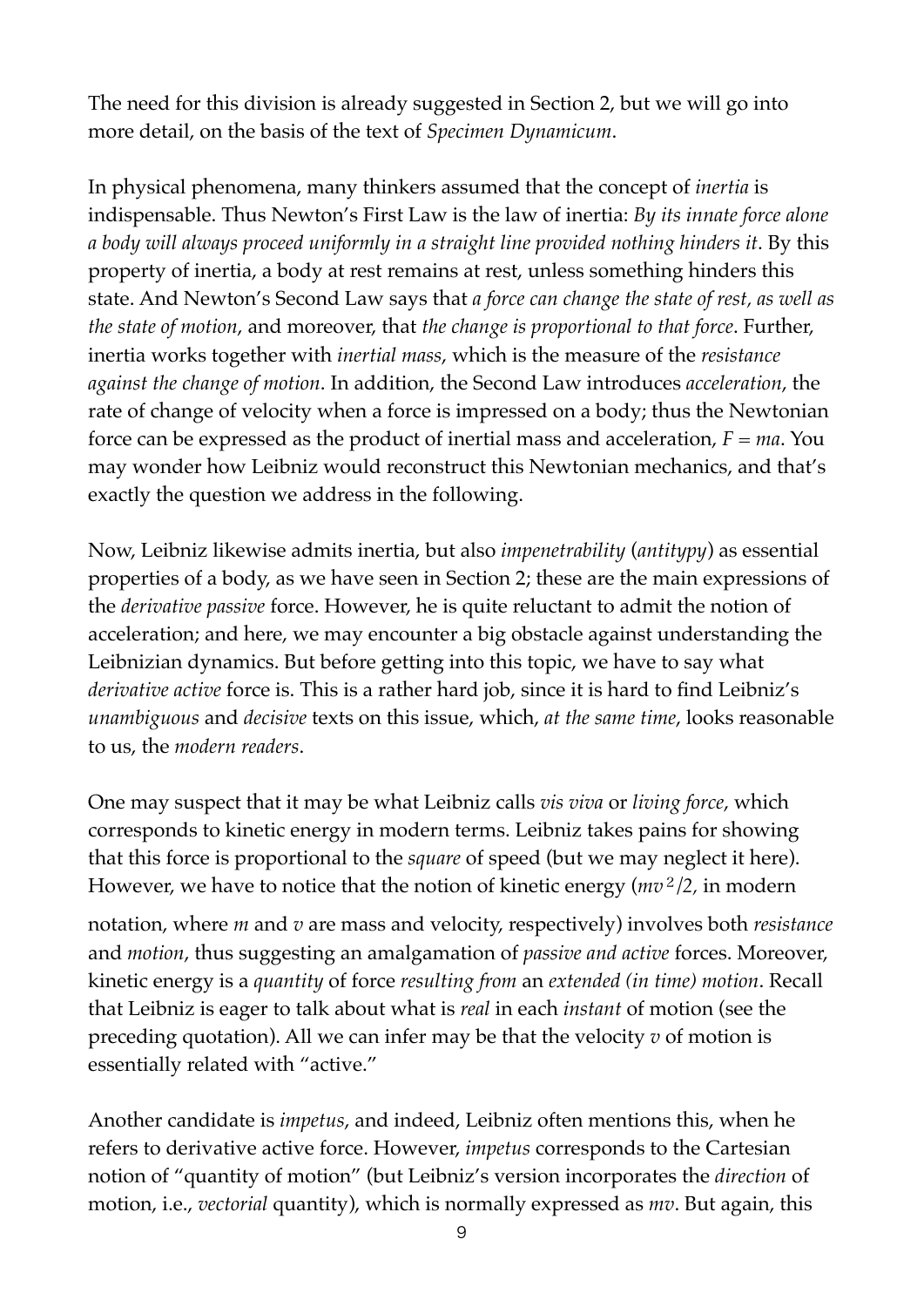The need for this division is already suggested in Section 2, but we will go into more detail, on the basis of the text of *Specimen Dynamicum*.

In physical phenomena, many thinkers assumed that the concept of *inertia* is indispensable. Thus Newton's First Law is the law of inertia: *By its innate force alone a body will always proceed uniformly in a straight line provided nothing hinders it*. By this property of inertia, a body at rest remains at rest, unless something hinders this state. And Newton's Second Law says that *a force can change the state of rest, as well as the state of motion*, and moreover, that *the change is proportional to that force*. Further, inertia works together with *inertial mass*, which is the measure of the *resistance against the change of motion*. In addition, the Second Law introduces *acceleration*, the rate of change of velocity when a force is impressed on a body; thus the Newtonian force can be expressed as the product of inertial mass and acceleration, *F = ma*. You may wonder how Leibniz would reconstruct this Newtonian mechanics, and that's exactly the question we address in the following.

Now, Leibniz likewise admits inertia, but also *impenetrability* (*antitypy*) as essential properties of a body, as we have seen in Section 2; these are the main expressions of the *derivative passive* force. However, he is quite reluctant to admit the notion of acceleration; and here, we may encounter a big obstacle against understanding the Leibnizian dynamics. But before getting into this topic, we have to say what *derivative active* force is. This is a rather hard job, since it is hard to find Leibniz's *unambiguous* and *decisive* texts on this issue, which, *at the same time*, looks reasonable to us, the *modern readers*.

One may suspect that it may be what Leibniz calls *vis viva* or *living force*, which corresponds to kinetic energy in modern terms. Leibniz takes pains for showing that this force is proportional to the *square* of speed (but we may neglect it here). However, we have to notice that the notion of kinetic energy (*mv*<sup>2</sup>*/2,* in modern

notation, where *m* and *v* are mass and velocity, respectively) involves both *resistance*  and *motion*, thus suggesting an amalgamation of *passive and active* forces. Moreover, kinetic energy is a *quantity* of force *resulting from* an *extended (in time) motion*. Recall that Leibniz is eager to talk about what is *real* in each *instant* of motion (see the preceding quotation). All we can infer may be that the velocity *v* of motion is essentially related with "active."

Another candidate is *impetus*, and indeed, Leibniz often mentions this, when he refers to derivative active force. However, *impetus* corresponds to the Cartesian notion of "quantity of motion" (but Leibniz's version incorporates the *direction* of motion, i.e., *vectorial* quantity), which is normally expressed as *mv*. But again, this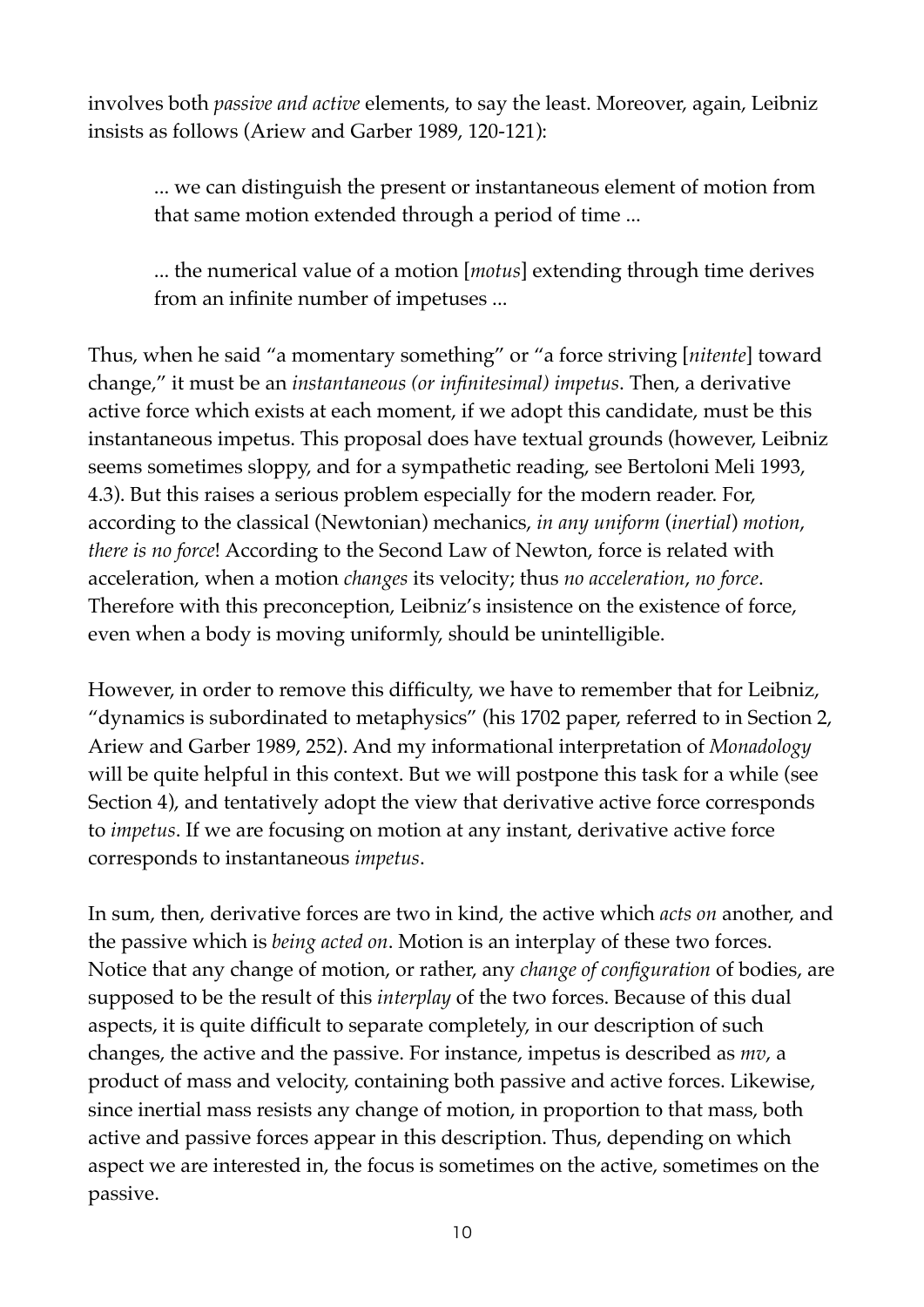involves both *passive and active* elements, to say the least. Moreover, again, Leibniz insists as follows (Ariew and Garber 1989, 120-121):

... we can distinguish the present or instantaneous element of motion from that same motion extended through a period of time ...

... the numerical value of a motion [*motus*] extending through time derives from an infinite number of impetuses ...

Thus, when he said "a momentary something" or "a force striving [*nitente*] toward change," it must be an *instantaneous (or infinitesimal) impetus*. Then, a derivative active force which exists at each moment, if we adopt this candidate, must be this instantaneous impetus. This proposal does have textual grounds (however, Leibniz seems sometimes sloppy, and for a sympathetic reading, see Bertoloni Meli 1993, 4.3). But this raises a serious problem especially for the modern reader. For, according to the classical (Newtonian) mechanics, *in any uniform* (*inertial*) *motion*, *there is no force*! According to the Second Law of Newton, force is related with acceleration, when a motion *changes* its velocity; thus *no acceleration*, *no force*. Therefore with this preconception, Leibniz's insistence on the existence of force, even when a body is moving uniformly, should be unintelligible.

However, in order to remove this difficulty, we have to remember that for Leibniz, "dynamics is subordinated to metaphysics" (his 1702 paper, referred to in Section 2, Ariew and Garber 1989, 252). And my informational interpretation of *Monadology* will be quite helpful in this context. But we will postpone this task for a while (see Section 4), and tentatively adopt the view that derivative active force corresponds to *impetus*. If we are focusing on motion at any instant, derivative active force corresponds to instantaneous *impetus*.

In sum, then, derivative forces are two in kind, the active which *acts on* another, and the passive which is *being acted on*. Motion is an interplay of these two forces. Notice that any change of motion, or rather, any *change of configuration* of bodies, are supposed to be the result of this *interplay* of the two forces. Because of this dual aspects, it is quite difficult to separate completely, in our description of such changes, the active and the passive. For instance, impetus is described as *mv*, a product of mass and velocity, containing both passive and active forces. Likewise, since inertial mass resists any change of motion, in proportion to that mass, both active and passive forces appear in this description. Thus, depending on which aspect we are interested in, the focus is sometimes on the active, sometimes on the passive.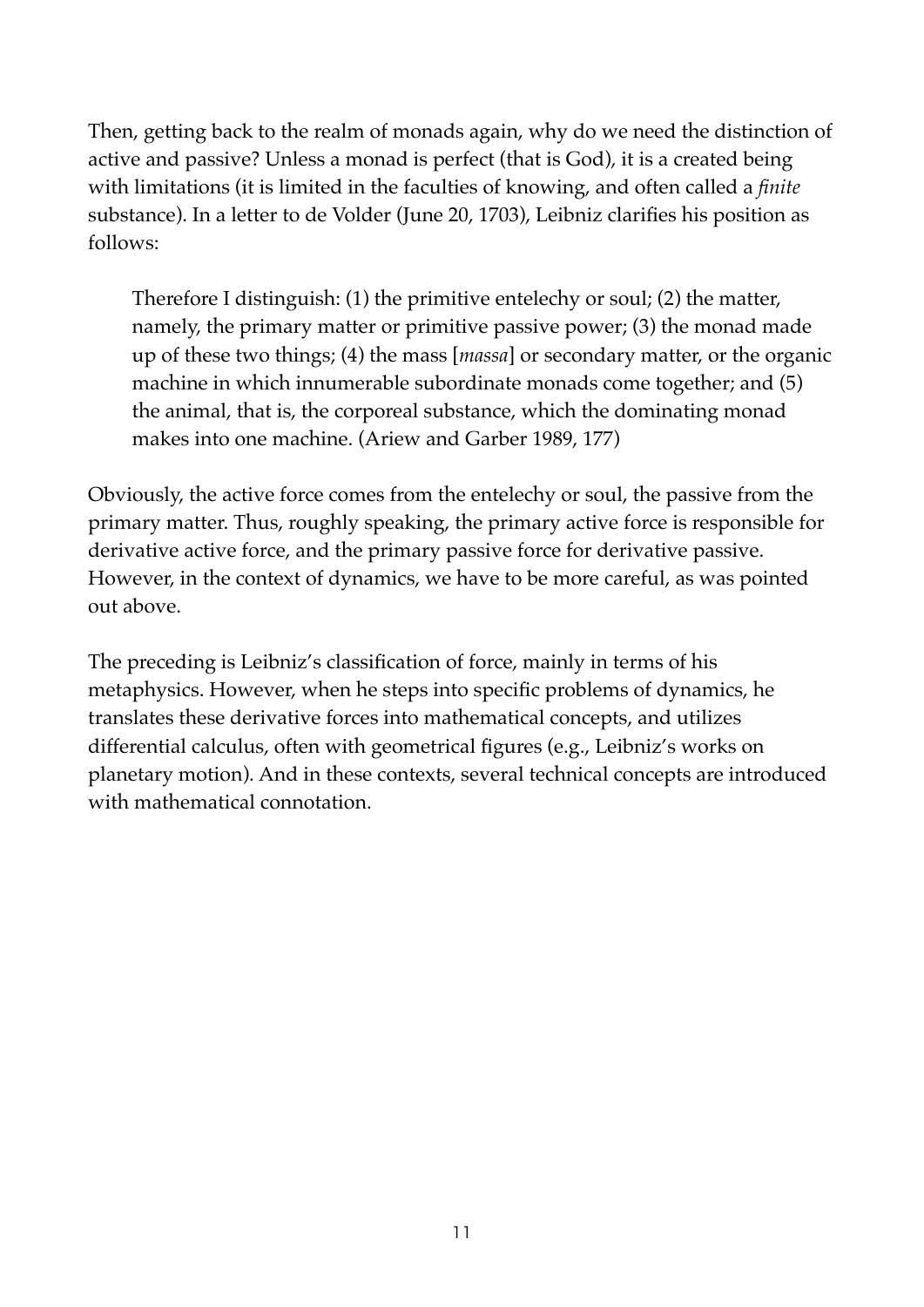Then, getting back to the realm of monads again, why do we need the distinction of active and passive? Unless a monad is perfect (that is God), it is a created being with limitations (it is limited in the faculties of knowing, and often called a *finite* substance). In a letter to de Volder (June 20, 1703), Leibniz clarifies his position as follows:

Therefore I distinguish: (1) the primitive entelechy or soul; (2) the matter, namely, the primary matter or primitive passive power; (3) the monad made up of these two things; (4) the mass [*massa*] or secondary matter, or the organic machine in which innumerable subordinate monads come together; and (5) the animal, that is, the corporeal substance, which the dominating monad makes into one machine. (Ariew and Garber 1989, 177)

Obviously, the active force comes from the entelechy or soul, the passive from the primary matter. Thus, roughly speaking, the primary active force is responsible for derivative active force, and the primary passive force for derivative passive. However, in the context of dynamics, we have to be more careful, as was pointed out above.

The preceding is Leibniz's classification of force, mainly in terms of his metaphysics. However, when he steps into specific problems of dynamics, he translates these derivative forces into mathematical concepts, and utilizes differential calculus, often with geometrical figures (e.g., Leibniz's works on planetary motion). And in these contexts, several technical concepts are introduced with mathematical connotation.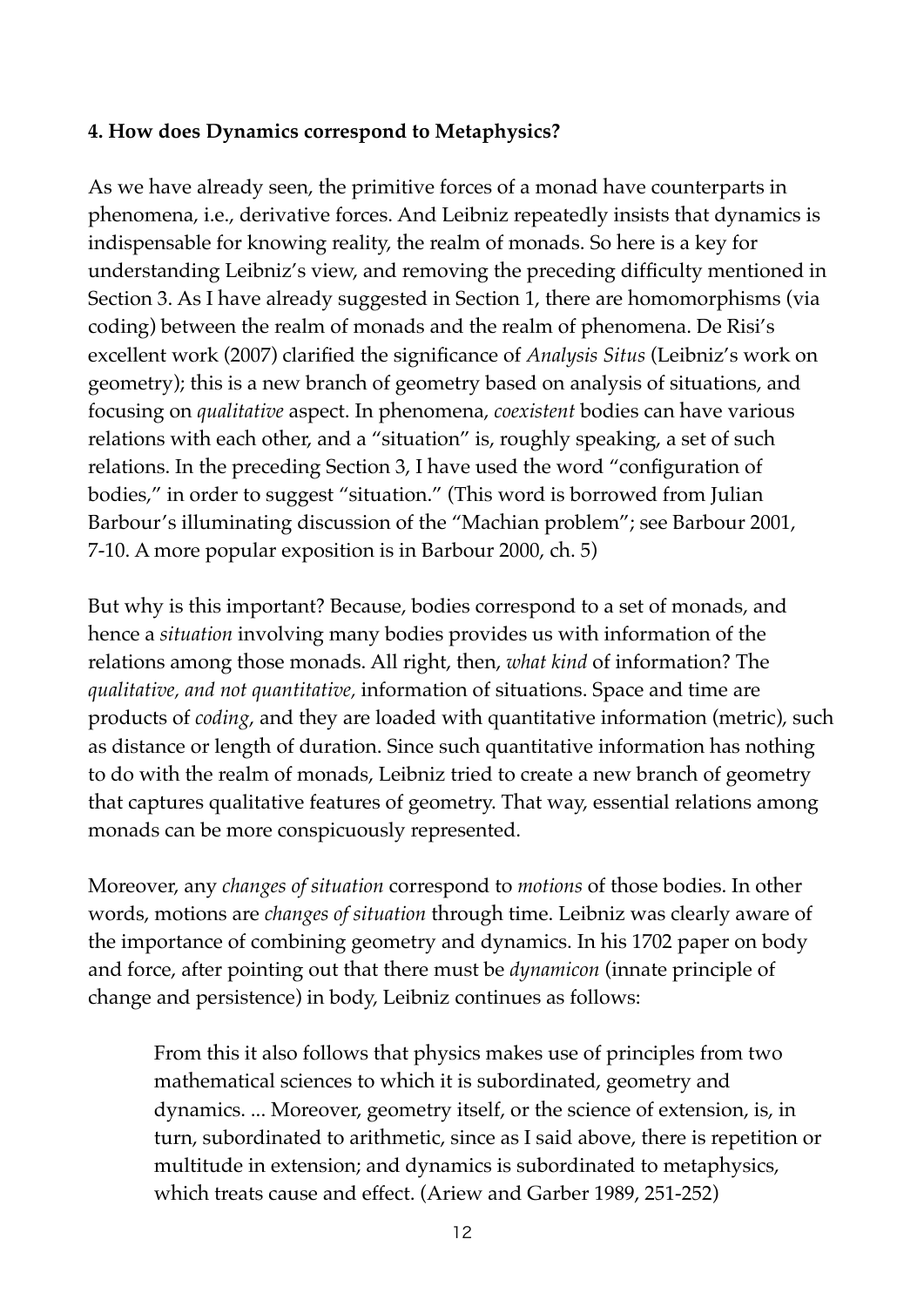## **4. How does Dynamics correspond to Metaphysics?**

As we have already seen, the primitive forces of a monad have counterparts in phenomena, i.e., derivative forces. And Leibniz repeatedly insists that dynamics is indispensable for knowing reality, the realm of monads. So here is a key for understanding Leibniz's view, and removing the preceding difficulty mentioned in Section 3. As I have already suggested in Section 1, there are homomorphisms (via coding) between the realm of monads and the realm of phenomena. De Risi's excellent work (2007) clarified the significance of *Analysis Situs* (Leibniz's work on geometry); this is a new branch of geometry based on analysis of situations, and focusing on *qualitative* aspect. In phenomena, *coexistent* bodies can have various relations with each other, and a "situation" is, roughly speaking, a set of such relations. In the preceding Section 3, I have used the word "configuration of bodies," in order to suggest "situation." (This word is borrowed from Julian Barbour's illuminating discussion of the "Machian problem"; see Barbour 2001, 7-10. A more popular exposition is in Barbour 2000, ch. 5)

But why is this important? Because, bodies correspond to a set of monads, and hence a *situation* involving many bodies provides us with information of the relations among those monads. All right, then, *what kind* of information? The *qualitative, and not quantitative,* information of situations. Space and time are products of *coding*, and they are loaded with quantitative information (metric), such as distance or length of duration. Since such quantitative information has nothing to do with the realm of monads, Leibniz tried to create a new branch of geometry that captures qualitative features of geometry. That way, essential relations among monads can be more conspicuously represented.

Moreover, any *changes of situation* correspond to *motions* of those bodies. In other words, motions are *changes of situation* through time. Leibniz was clearly aware of the importance of combining geometry and dynamics. In his 1702 paper on body and force, after pointing out that there must be *dynamicon* (innate principle of change and persistence) in body, Leibniz continues as follows:

From this it also follows that physics makes use of principles from two mathematical sciences to which it is subordinated, geometry and dynamics. ... Moreover, geometry itself, or the science of extension, is, in turn, subordinated to arithmetic, since as I said above, there is repetition or multitude in extension; and dynamics is subordinated to metaphysics, which treats cause and effect. (Ariew and Garber 1989, 251-252)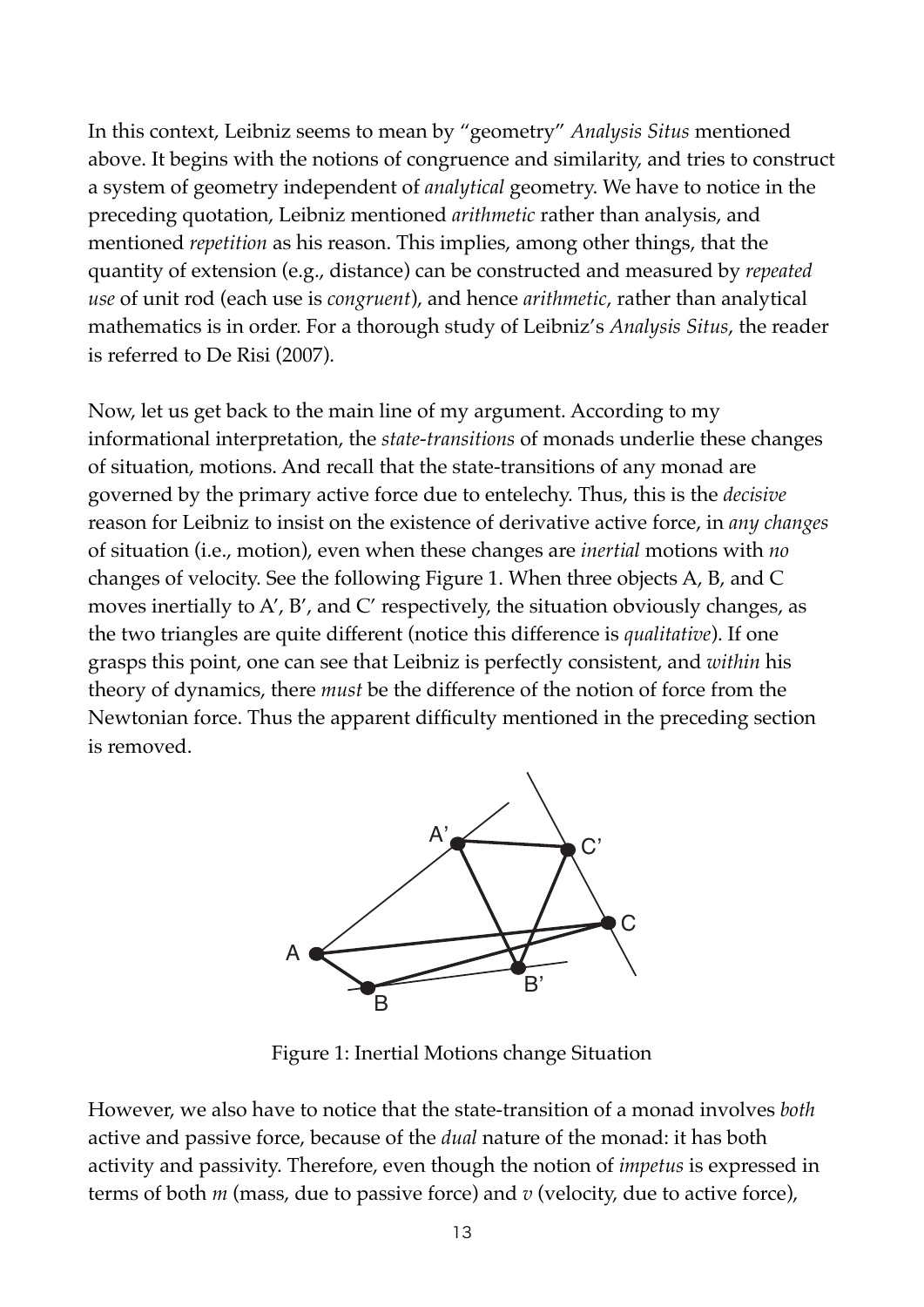In this context, Leibniz seems to mean by "geometry" *Analysis Situs* mentioned above. It begins with the notions of congruence and similarity, and tries to construct a system of geometry independent of *analytical* geometry. We have to notice in the preceding quotation, Leibniz mentioned *arithmetic* rather than analysis, and mentioned *repetition* as his reason. This implies, among other things, that the quantity of extension (e.g., distance) can be constructed and measured by *repeated use* of unit rod (each use is *congruent*), and hence *arithmetic*, rather than analytical mathematics is in order. For a thorough study of Leibniz's *Analysis Situs*, the reader is referred to De Risi (2007).

Now, let us get back to the main line of my argument. According to my informational interpretation, the *state-transitions* of monads underlie these changes of situation, motions. And recall that the state-transitions of any monad are governed by the primary active force due to entelechy. Thus, this is the *decisive* reason for Leibniz to insist on the existence of derivative active force, in *any changes* of situation (i.e., motion), even when these changes are *inertial* motions with *no* changes of velocity. See the following Figure 1. When three objects A, B, and C moves inertially to A', B', and C' respectively, the situation obviously changes, as the two triangles are quite different (notice this difference is *qualitative*). If one grasps this point, one can see that Leibniz is perfectly consistent, and *within* his theory of dynamics, there *must* be the difference of the notion of force from the Newtonian force. Thus the apparent difficulty mentioned in the preceding section is removed.



Figure 1: Inertial Motions change Situation

However, we also have to notice that the state-transition of a monad involves *both* active and passive force, because of the *dual* nature of the monad: it has both activity and passivity. Therefore, even though the notion of *impetus* is expressed in terms of both *m* (mass, due to passive force) and *v* (velocity, due to active force),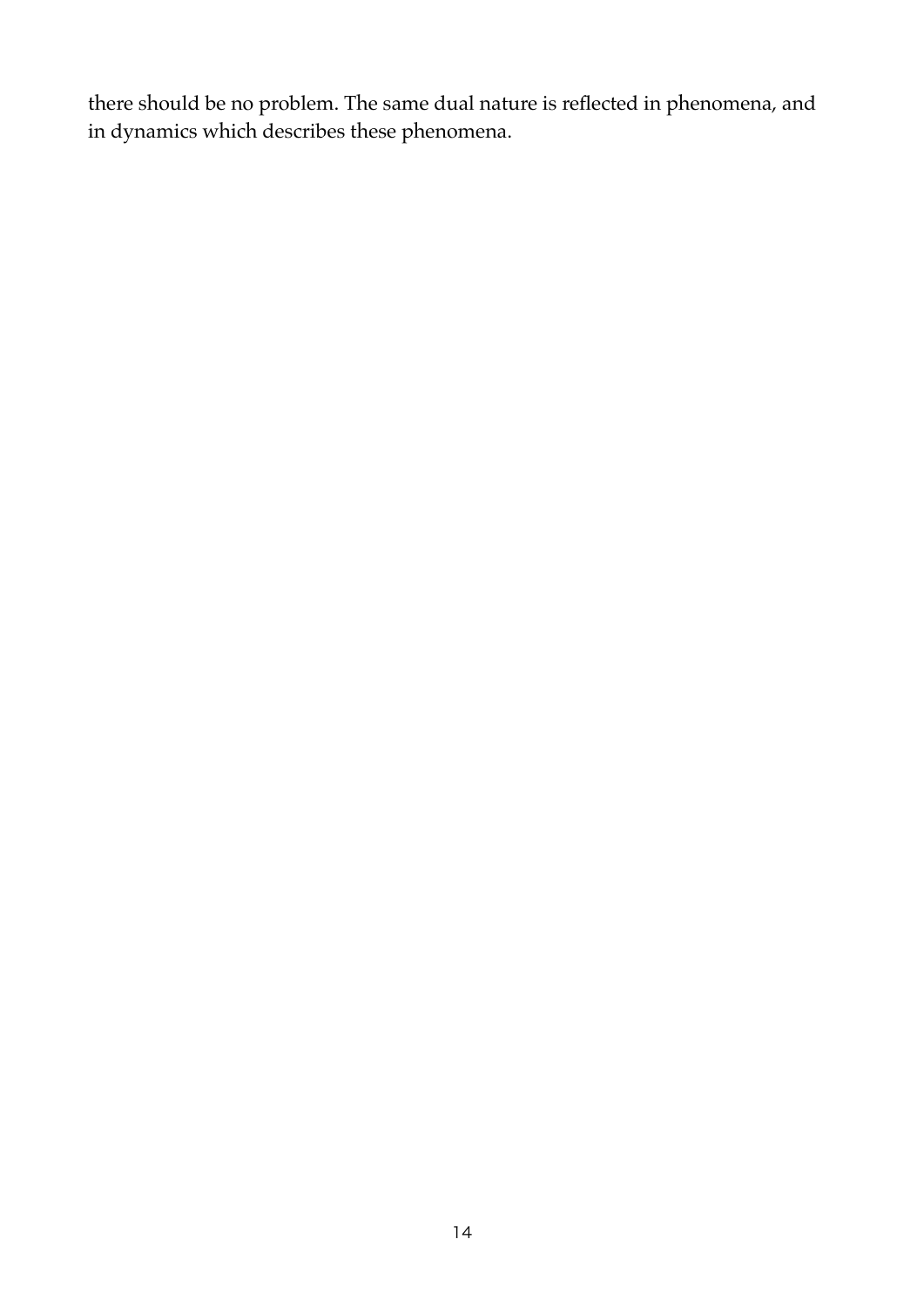there should be no problem. The same dual nature is reflected in phenomena, and in dynamics which describes these phenomena.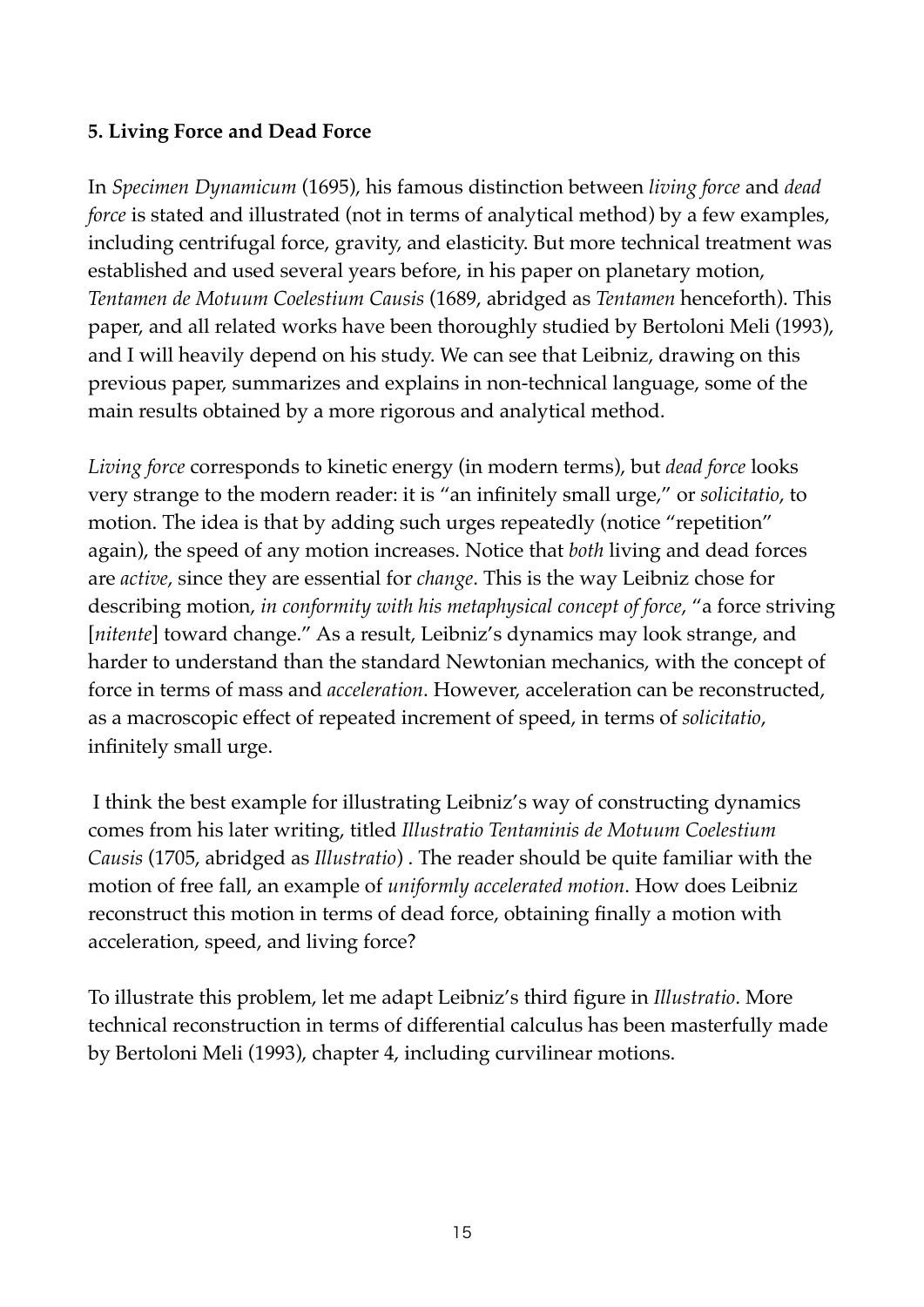# **5. Living Force and Dead Force**

In *Specimen Dynamicum* (1695), his famous distinction between *living force* and *dead force* is stated and illustrated (not in terms of analytical method) by a few examples, including centrifugal force, gravity, and elasticity. But more technical treatment was established and used several years before, in his paper on planetary motion, *Tentamen de Motuum Coelestium Causis* (1689, abridged as *Tentamen* henceforth). This paper, and all related works have been thoroughly studied by Bertoloni Meli (1993), and I will heavily depend on his study. We can see that Leibniz, drawing on this previous paper, summarizes and explains in non-technical language, some of the main results obtained by a more rigorous and analytical method.

*Living force* corresponds to kinetic energy (in modern terms), but *dead force* looks very strange to the modern reader: it is "an infinitely small urge," or *solicitatio*, to motion. The idea is that by adding such urges repeatedly (notice "repetition" again), the speed of any motion increases. Notice that *both* living and dead forces are *active*, since they are essential for *change*. This is the way Leibniz chose for describing motion, *in conformity with his metaphysical concept of force*, "a force striving [*nitente*] toward change." As a result, Leibniz's dynamics may look strange, and harder to understand than the standard Newtonian mechanics, with the concept of force in terms of mass and *acceleration*. However, acceleration can be reconstructed, as a macroscopic effect of repeated increment of speed, in terms of *solicitatio*, infinitely small urge.

 I think the best example for illustrating Leibniz's way of constructing dynamics comes from his later writing, titled *Illustratio Tentaminis de Motuum Coelestium Causis* (1705, abridged as *Illustratio*) . The reader should be quite familiar with the motion of free fall, an example of *uniformly accelerated motion*. How does Leibniz reconstruct this motion in terms of dead force, obtaining finally a motion with acceleration, speed, and living force?

To illustrate this problem, let me adapt Leibniz's third figure in *Illustratio*. More technical reconstruction in terms of differential calculus has been masterfully made by Bertoloni Meli (1993), chapter 4, including curvilinear motions.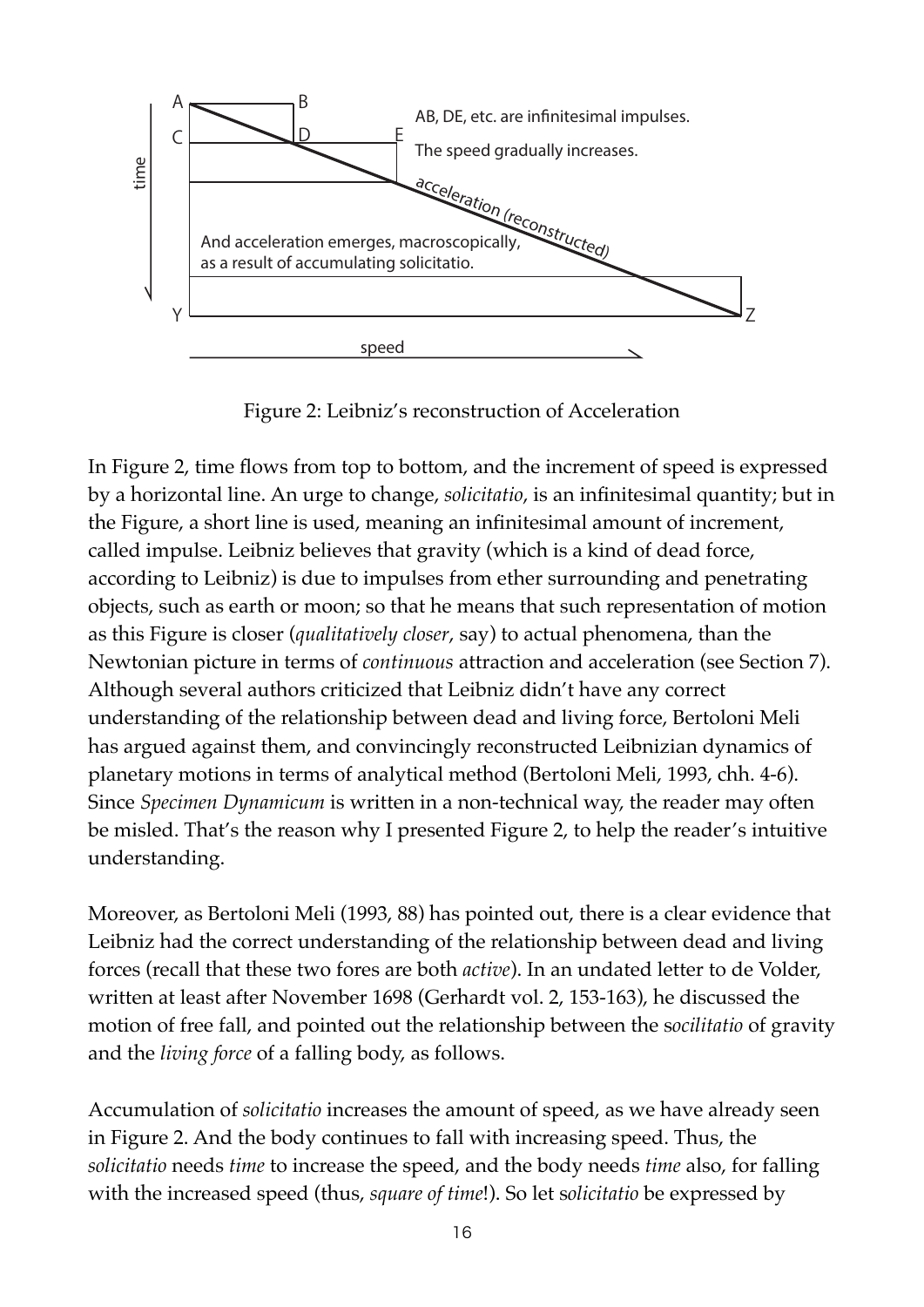

Figure 2: Leibniz's reconstruction of Acceleration

In Figure 2, time flows from top to bottom, and the increment of speed is expressed by a horizontal line. An urge to change, *solicitatio*, is an infinitesimal quantity; but in the Figure, a short line is used, meaning an infinitesimal amount of increment, called impulse. Leibniz believes that gravity (which is a kind of dead force, according to Leibniz) is due to impulses from ether surrounding and penetrating objects, such as earth or moon; so that he means that such representation of motion as this Figure is closer (*qualitatively closer*, say) to actual phenomena, than the Newtonian picture in terms of *continuous* attraction and acceleration (see Section 7). Although several authors criticized that Leibniz didn't have any correct understanding of the relationship between dead and living force, Bertoloni Meli has argued against them, and convincingly reconstructed Leibnizian dynamics of planetary motions in terms of analytical method (Bertoloni Meli, 1993, chh. 4-6). Since *Specimen Dynamicum* is written in a non-technical way, the reader may often be misled. That's the reason why I presented Figure 2, to help the reader's intuitive understanding.

Moreover, as Bertoloni Meli (1993, 88) has pointed out, there is a clear evidence that Leibniz had the correct understanding of the relationship between dead and living forces (recall that these two fores are both *active*). In an undated letter to de Volder, written at least after November 1698 (Gerhardt vol. 2, 153-163), he discussed the motion of free fall, and pointed out the relationship between the s*ocilitatio* of gravity and the *living force* of a falling body, as follows.

Accumulation of *solicitatio* increases the amount of speed, as we have already seen in Figure 2. And the body continues to fall with increasing speed. Thus, the *solicitatio* needs *time* to increase the speed, and the body needs *time* also, for falling with the increased speed (thus, *square of time*!). So let s*olicitatio* be expressed by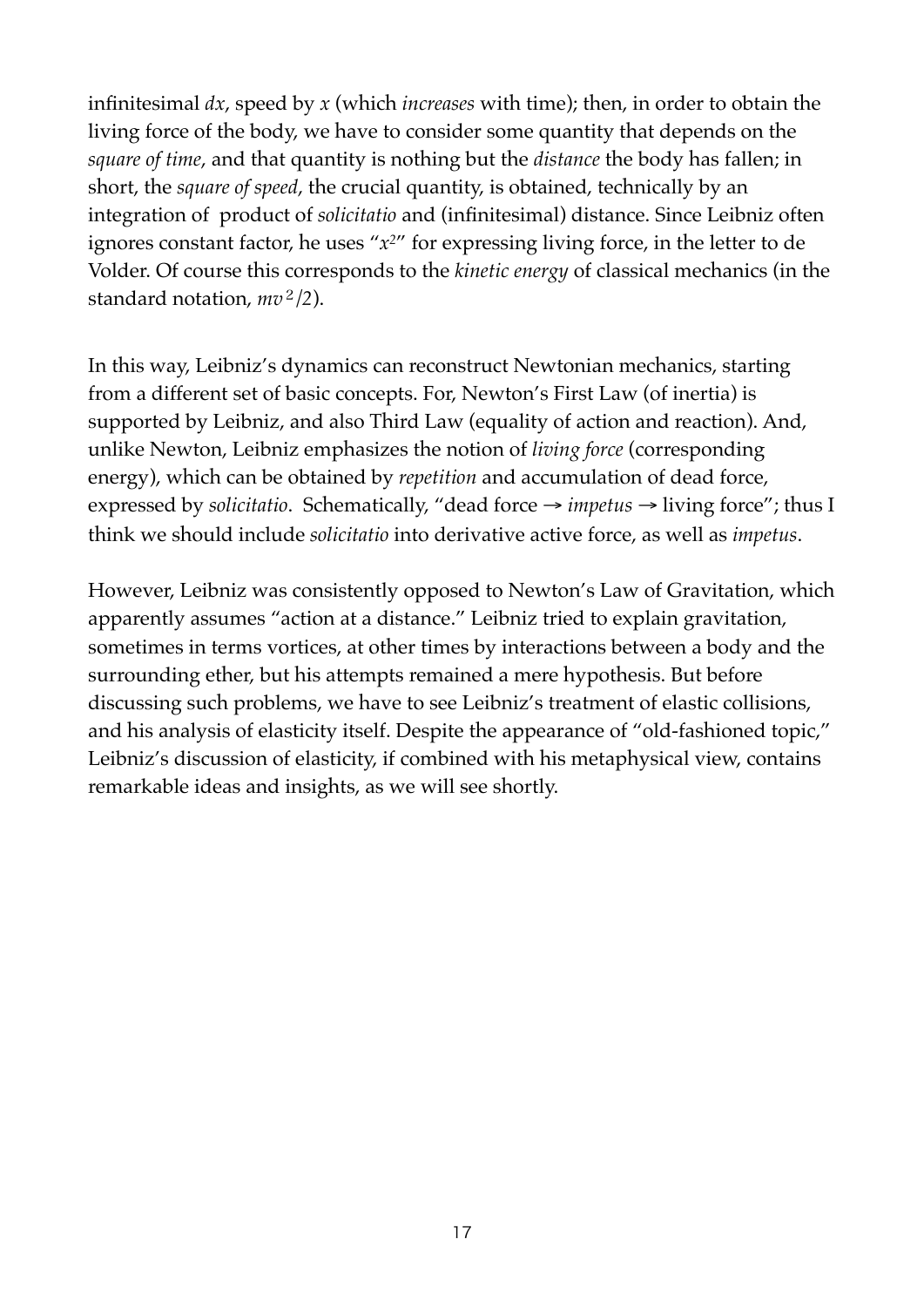infinitesimal *dx*, speed by *x* (which *increases* with time); then, in order to obtain the living force of the body, we have to consider some quantity that depends on the *square of time*, and that quantity is nothing but the *distance* the body has fallen; in short, the *square of speed*, the crucial quantity, is obtained, technically by an integration of product of *solicitatio* and (infinitesimal) distance. Since Leibniz often ignores constant factor, he uses "*x2*" for expressing living force, in the letter to de Volder. Of course this corresponds to the *kinetic energy* of classical mechanics (in the standard notation, *mv*<sup>2</sup>*/2*).

In this way, Leibniz's dynamics can reconstruct Newtonian mechanics, starting from a different set of basic concepts. For, Newton's First Law (of inertia) is supported by Leibniz, and also Third Law (equality of action and reaction). And, unlike Newton, Leibniz emphasizes the notion of *living force* (corresponding energy), which can be obtained by *repetition* and accumulation of dead force, expressed by *solicitatio*. Schematically, "dead force → *impetus* → living force"; thus I think we should include *solicitatio* into derivative active force, as well as *impetus*.

However, Leibniz was consistently opposed to Newton's Law of Gravitation, which apparently assumes "action at a distance." Leibniz tried to explain gravitation, sometimes in terms vortices, at other times by interactions between a body and the surrounding ether, but his attempts remained a mere hypothesis. But before discussing such problems, we have to see Leibniz's treatment of elastic collisions, and his analysis of elasticity itself. Despite the appearance of "old-fashioned topic," Leibniz's discussion of elasticity, if combined with his metaphysical view, contains remarkable ideas and insights, as we will see shortly.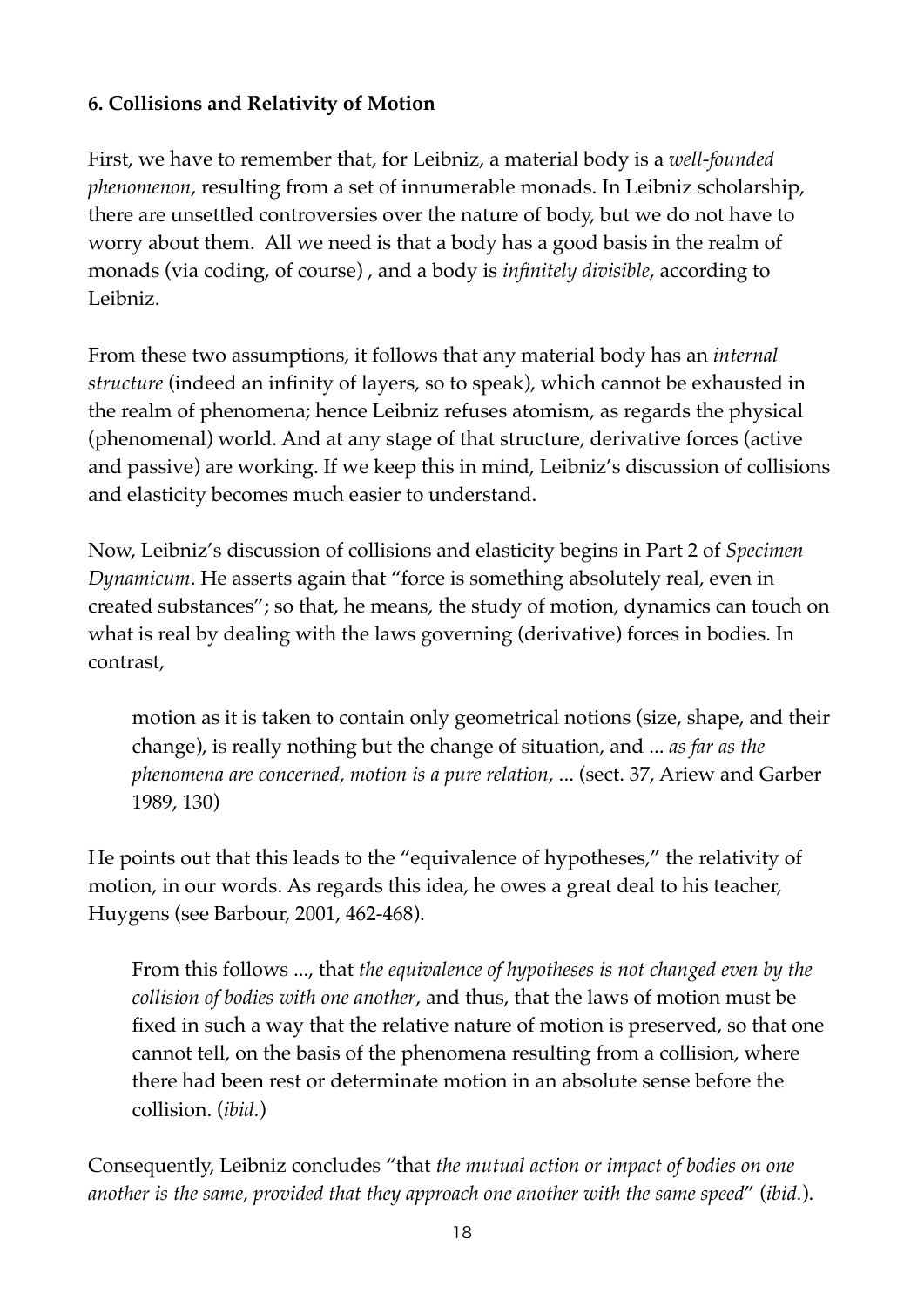# **6. Collisions and Relativity of Motion**

First, we have to remember that, for Leibniz, a material body is a *well-founded phenomenon*, resulting from a set of innumerable monads. In Leibniz scholarship, there are unsettled controversies over the nature of body, but we do not have to worry about them. All we need is that a body has a good basis in the realm of monads (via coding, of course) , and a body is *infinitely divisible*, according to Leibniz.

From these two assumptions, it follows that any material body has an *internal structure* (indeed an infinity of layers, so to speak), which cannot be exhausted in the realm of phenomena; hence Leibniz refuses atomism, as regards the physical (phenomenal) world. And at any stage of that structure, derivative forces (active and passive) are working. If we keep this in mind, Leibniz's discussion of collisions and elasticity becomes much easier to understand.

Now, Leibniz's discussion of collisions and elasticity begins in Part 2 of *Specimen Dynamicum*. He asserts again that "force is something absolutely real, even in created substances"; so that, he means, the study of motion, dynamics can touch on what is real by dealing with the laws governing (derivative) forces in bodies. In contrast,

motion as it is taken to contain only geometrical notions (size, shape, and their change), is really nothing but the change of situation, and ... *as far as the phenomena are concerned, motion is a pure relation*, ... (sect. 37, Ariew and Garber 1989, 130)

He points out that this leads to the "equivalence of hypotheses," the relativity of motion, in our words. As regards this idea, he owes a great deal to his teacher, Huygens (see Barbour, 2001, 462-468).

From this follows ..., that *the equivalence of hypotheses is not changed even by the collision of bodies with one another*, and thus, that the laws of motion must be fixed in such a way that the relative nature of motion is preserved, so that one cannot tell, on the basis of the phenomena resulting from a collision, where there had been rest or determinate motion in an absolute sense before the collision. (*ibid.*)

Consequently, Leibniz concludes "that *the mutual action or impact of bodies on one another is the same, provided that they approach one another with the same speed*" (*ibid.*).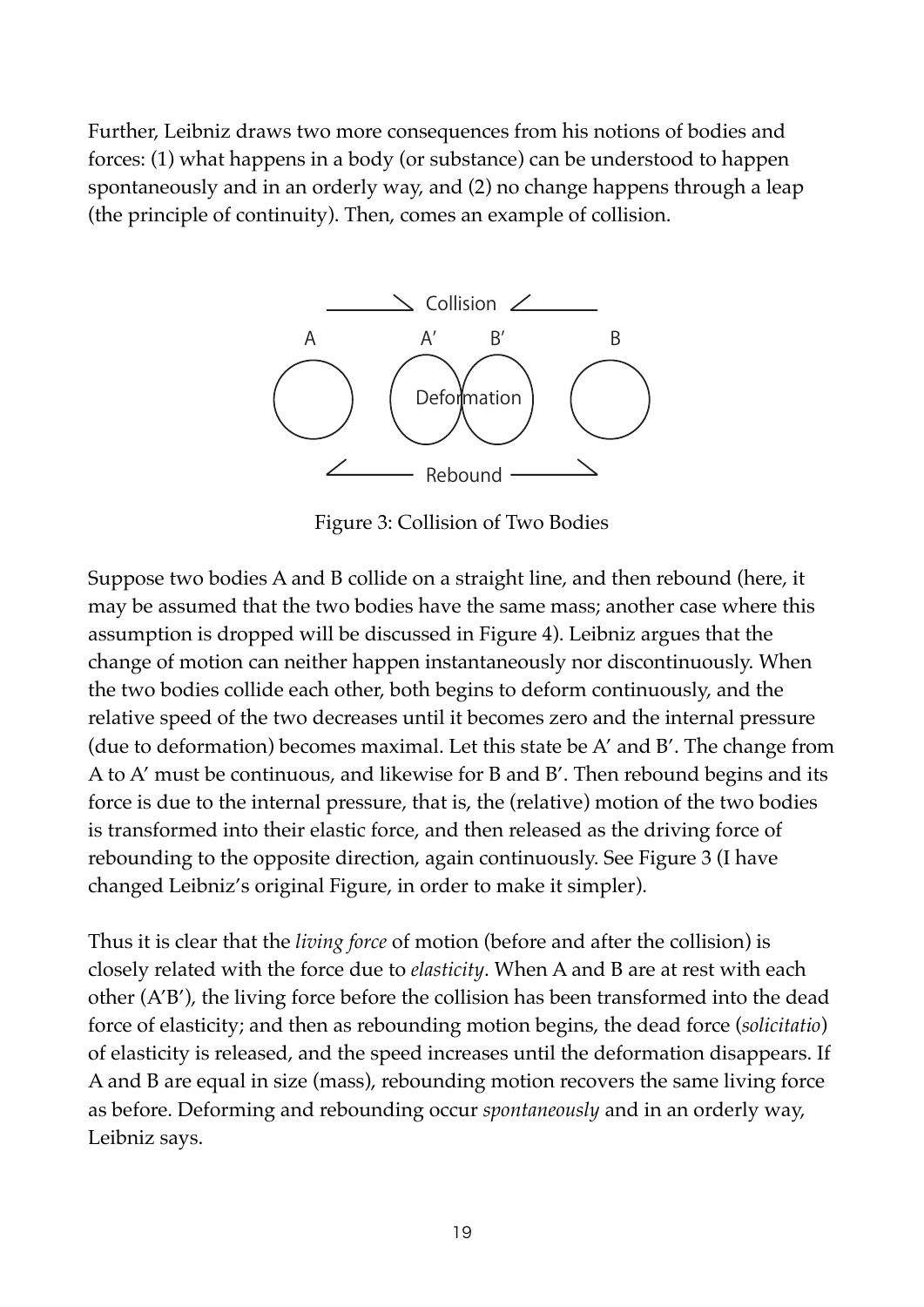Further, Leibniz draws two more consequences from his notions of bodies and forces: (1) what happens in a body (or substance) can be understood to happen spontaneously and in an orderly way, and (2) no change happens through a leap (the principle of continuity). Then, comes an example of collision.



Figure 3: Collision of Two Bodies

Suppose two bodies A and B collide on a straight line, and then rebound (here, it may be assumed that the two bodies have the same mass; another case where this assumption is dropped will be discussed in Figure 4). Leibniz argues that the change of motion can neither happen instantaneously nor discontinuously. When the two bodies collide each other, both begins to deform continuously, and the relative speed of the two decreases until it becomes zero and the internal pressure (due to deformation) becomes maximal. Let this state be A' and B'. The change from A to A' must be continuous, and likewise for B and B'. Then rebound begins and its force is due to the internal pressure, that is, the (relative) motion of the two bodies is transformed into their elastic force, and then released as the driving force of rebounding to the opposite direction, again continuously. See Figure 3 (I have changed Leibniz's original Figure, in order to make it simpler).

Thus it is clear that the *living force* of motion (before and after the collision) is closely related with the force due to *elasticity*. When A and B are at rest with each other (A'B'), the living force before the collision has been transformed into the dead force of elasticity; and then as rebounding motion begins, the dead force (*solicitatio*) of elasticity is released, and the speed increases until the deformation disappears. If A and B are equal in size (mass), rebounding motion recovers the same living force as before. Deforming and rebounding occur *spontaneously* and in an orderly way, Leibniz says.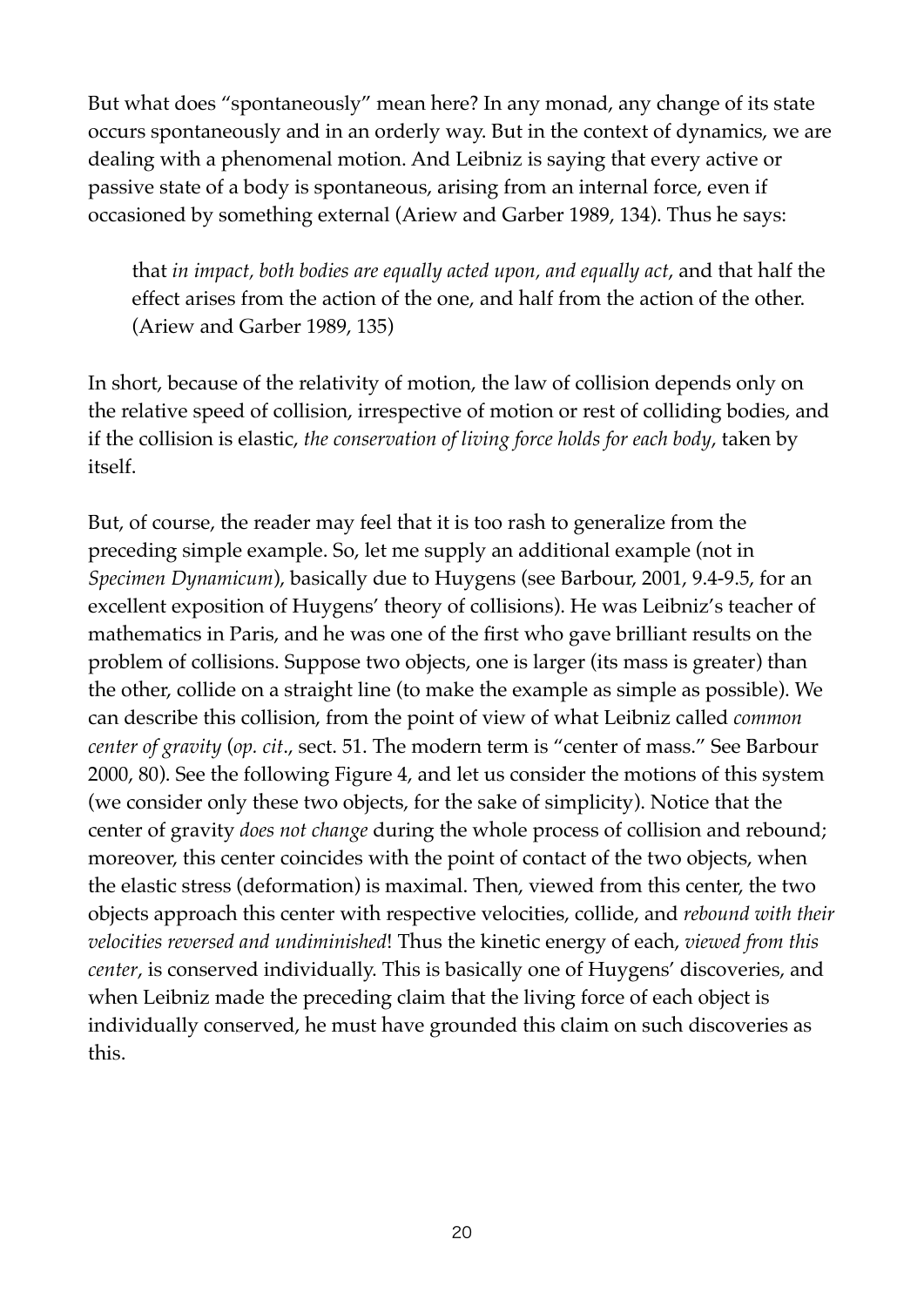But what does "spontaneously" mean here? In any monad, any change of its state occurs spontaneously and in an orderly way. But in the context of dynamics, we are dealing with a phenomenal motion. And Leibniz is saying that every active or passive state of a body is spontaneous, arising from an internal force, even if occasioned by something external (Ariew and Garber 1989, 134). Thus he says:

that *in impact, both bodies are equally acted upon, and equally act*, and that half the effect arises from the action of the one, and half from the action of the other. (Ariew and Garber 1989, 135)

In short, because of the relativity of motion, the law of collision depends only on the relative speed of collision, irrespective of motion or rest of colliding bodies, and if the collision is elastic, *the conservation of living force holds for each body*, taken by itself.

But, of course, the reader may feel that it is too rash to generalize from the preceding simple example. So, let me supply an additional example (not in *Specimen Dynamicum*), basically due to Huygens (see Barbour, 2001, 9.4-9.5, for an excellent exposition of Huygens' theory of collisions). He was Leibniz's teacher of mathematics in Paris, and he was one of the first who gave brilliant results on the problem of collisions. Suppose two objects, one is larger (its mass is greater) than the other, collide on a straight line (to make the example as simple as possible). We can describe this collision, from the point of view of what Leibniz called *common center of gravity* (*op. cit*., sect. 51. The modern term is "center of mass." See Barbour 2000, 80). See the following Figure 4, and let us consider the motions of this system (we consider only these two objects, for the sake of simplicity). Notice that the center of gravity *does not change* during the whole process of collision and rebound; moreover, this center coincides with the point of contact of the two objects, when the elastic stress (deformation) is maximal. Then, viewed from this center, the two objects approach this center with respective velocities, collide, and *rebound with their velocities reversed and undiminished*! Thus the kinetic energy of each, *viewed from this center*, is conserved individually. This is basically one of Huygens' discoveries, and when Leibniz made the preceding claim that the living force of each object is individually conserved, he must have grounded this claim on such discoveries as this.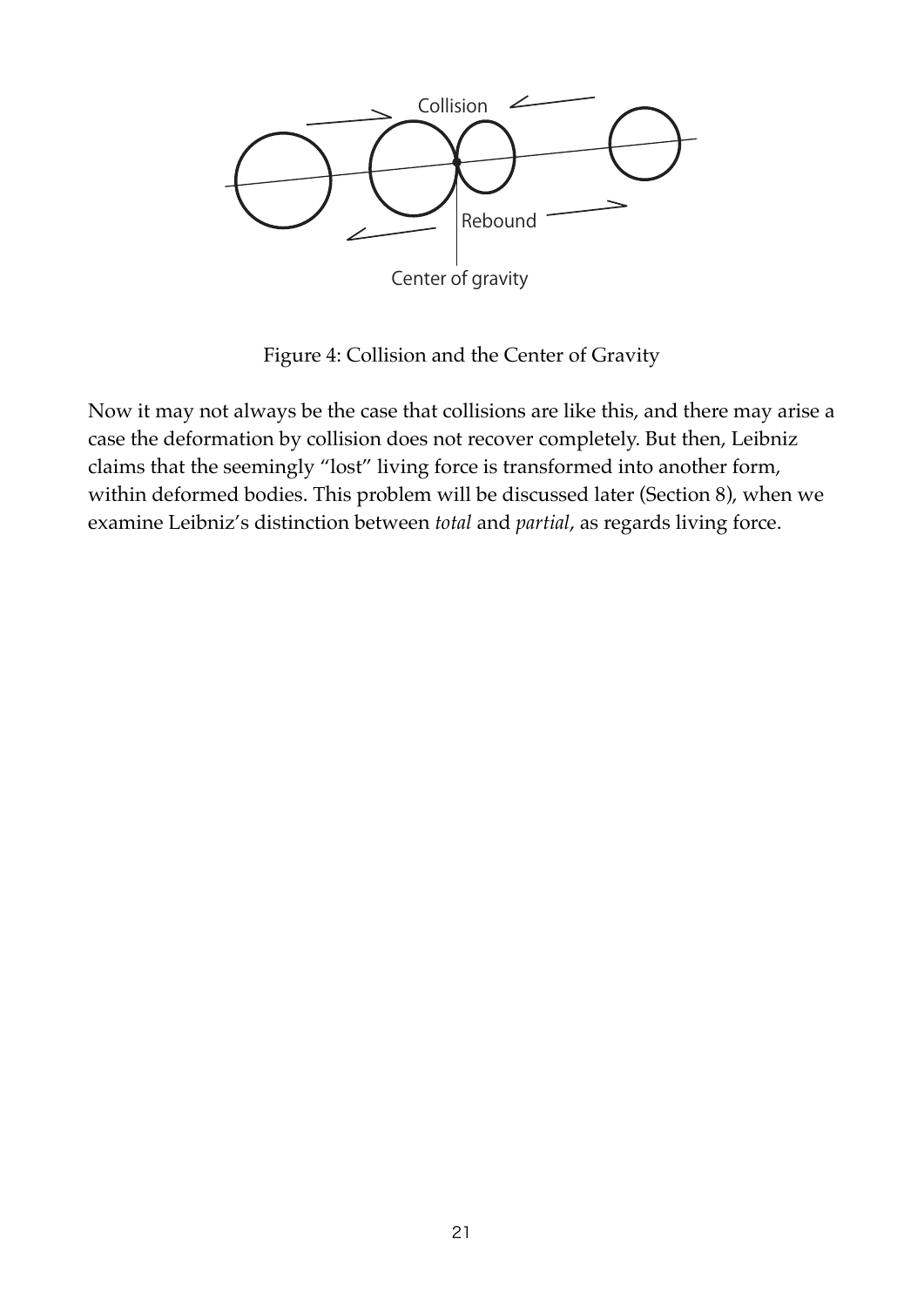

Figure 4: Collision and the Center of Gravity

Now it may not always be the case that collisions are like this, and there may arise a case the deformation by collision does not recover completely. But then, Leibniz claims that the seemingly "lost" living force is transformed into another form, within deformed bodies. This problem will be discussed later (Section 8), when we examine Leibniz's distinction between *total* and *partial*, as regards living force.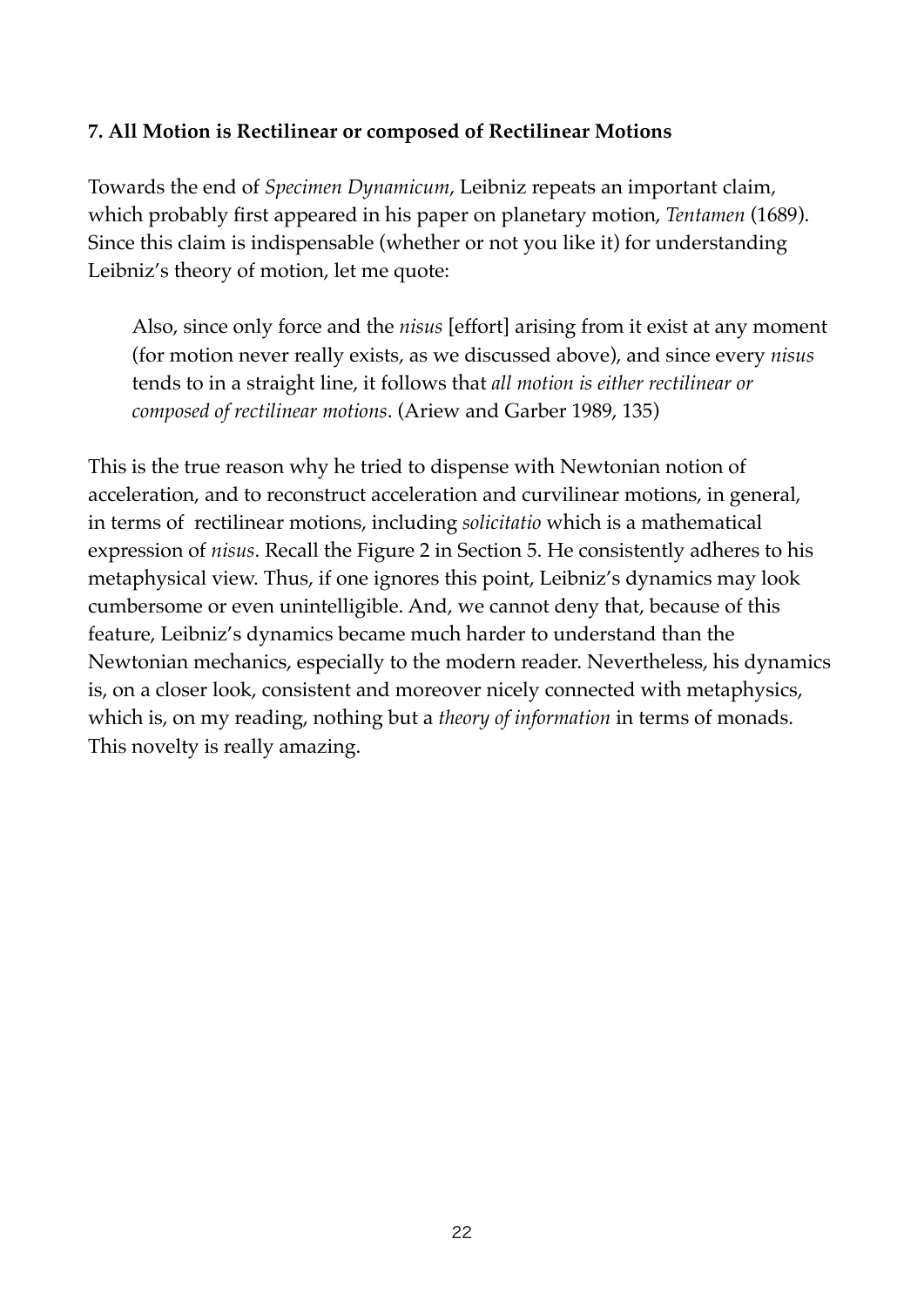# **7. All Motion is Rectilinear or composed of Rectilinear Motions**

Towards the end of *Specimen Dynamicum*, Leibniz repeats an important claim, which probably first appeared in his paper on planetary motion, *Tentamen* (1689). Since this claim is indispensable (whether or not you like it) for understanding Leibniz's theory of motion, let me quote:

Also, since only force and the *nisus* [effort] arising from it exist at any moment (for motion never really exists, as we discussed above), and since every *nisus* tends to in a straight line, it follows that *all motion is either rectilinear or composed of rectilinear motions*. (Ariew and Garber 1989, 135)

This is the true reason why he tried to dispense with Newtonian notion of acceleration, and to reconstruct acceleration and curvilinear motions, in general, in terms of rectilinear motions, including *solicitatio* which is a mathematical expression of *nisus*. Recall the Figure 2 in Section 5. He consistently adheres to his metaphysical view. Thus, if one ignores this point, Leibniz's dynamics may look cumbersome or even unintelligible. And, we cannot deny that, because of this feature, Leibniz's dynamics became much harder to understand than the Newtonian mechanics, especially to the modern reader. Nevertheless, his dynamics is, on a closer look, consistent and moreover nicely connected with metaphysics, which is, on my reading, nothing but a *theory of information* in terms of monads. This novelty is really amazing.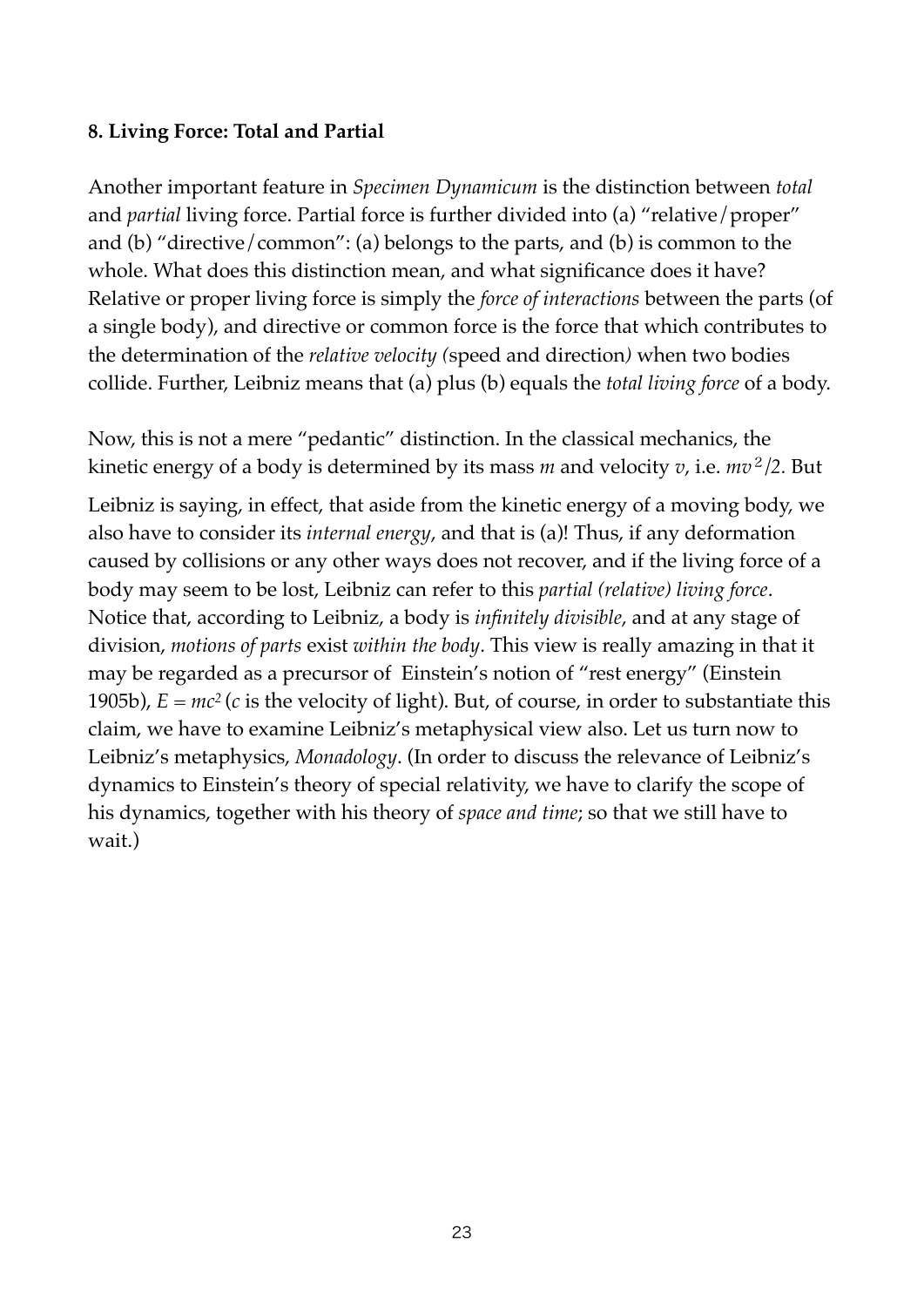# **8. Living Force: Total and Partial**

Another important feature in *Specimen Dynamicum* is the distinction between *total* and *partial* living force. Partial force is further divided into (a) "relative/proper" and (b) "directive/common": (a) belongs to the parts, and (b) is common to the whole. What does this distinction mean, and what significance does it have? Relative or proper living force is simply the *force of interactions* between the parts (of a single body), and directive or common force is the force that which contributes to the determination of the *relative velocity (*speed and direction*)* when two bodies collide. Further, Leibniz means that (a) plus (b) equals the *total living force* of a body.

Now, this is not a mere "pedantic" distinction. In the classical mechanics, the kinetic energy of a body is determined by its mass  $m$  and velocity  $v$ , i.e.  $mv^2/2$ . But

Leibniz is saying, in effect, that aside from the kinetic energy of a moving body, we also have to consider its *internal energy*, and that is (a)! Thus, if any deformation caused by collisions or any other ways does not recover, and if the living force of a body may seem to be lost, Leibniz can refer to this *partial (relative) living force*. Notice that, according to Leibniz, a body is *infinitely divisible*, and at any stage of division, *motions of parts* exist *within the body*. This view is really amazing in that it may be regarded as a precursor of Einstein's notion of "rest energy" (Einstein 1905b),  $E = mc^2$  (*c* is the velocity of light). But, of course, in order to substantiate this claim, we have to examine Leibniz's metaphysical view also. Let us turn now to Leibniz's metaphysics, *Monadology*. (In order to discuss the relevance of Leibniz's dynamics to Einstein's theory of special relativity, we have to clarify the scope of his dynamics, together with his theory of *space and time*; so that we still have to wait.)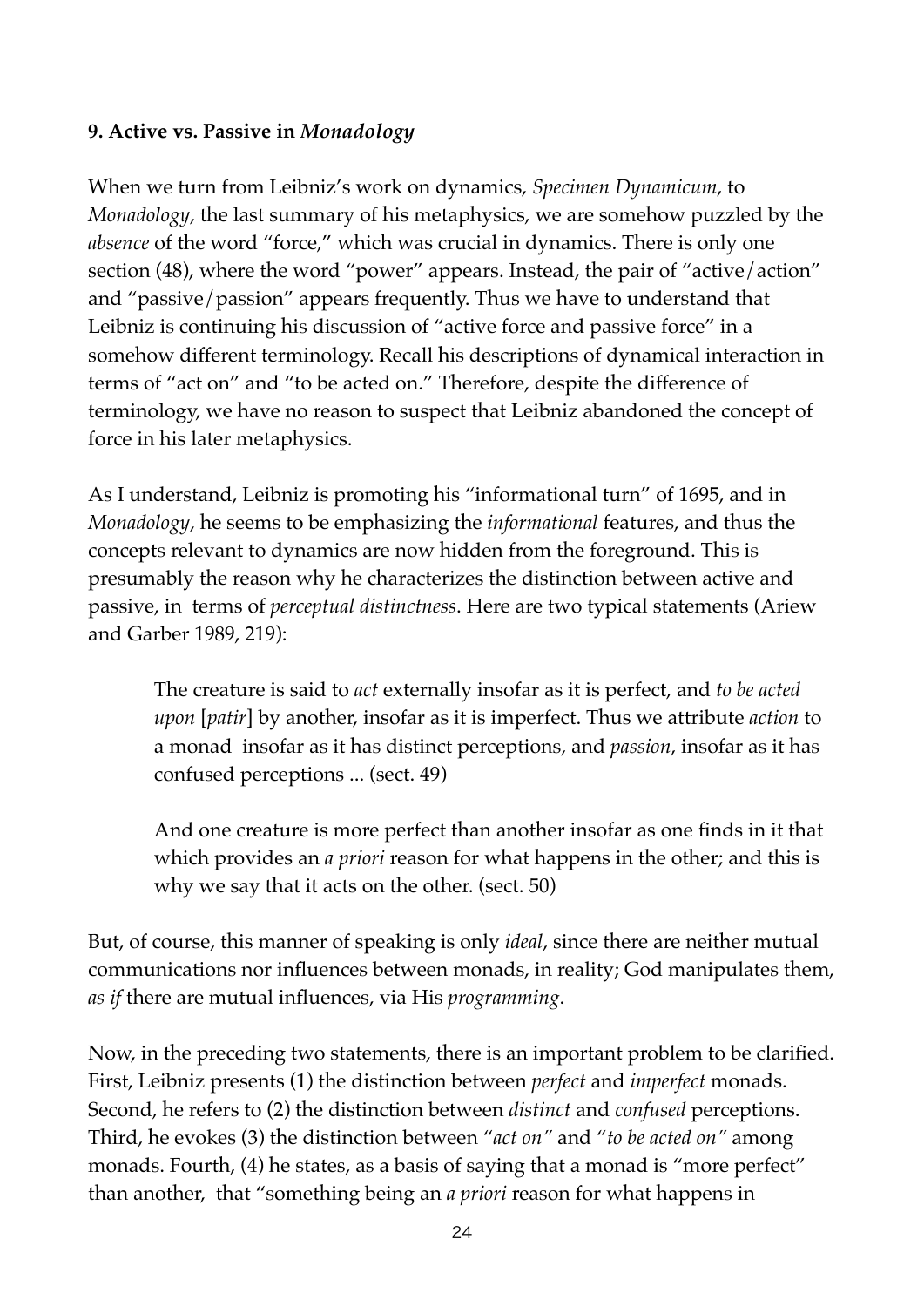# **9. Active vs. Passive in** *Monadology*

When we turn from Leibniz's work on dynamics, *Specimen Dynamicum*, to *Monadology*, the last summary of his metaphysics, we are somehow puzzled by the *absence* of the word "force," which was crucial in dynamics. There is only one section (48), where the word "power" appears. Instead, the pair of "active/action" and "passive/passion" appears frequently. Thus we have to understand that Leibniz is continuing his discussion of "active force and passive force" in a somehow different terminology. Recall his descriptions of dynamical interaction in terms of "act on" and "to be acted on." Therefore, despite the difference of terminology, we have no reason to suspect that Leibniz abandoned the concept of force in his later metaphysics.

As I understand, Leibniz is promoting his "informational turn" of 1695, and in *Monadology*, he seems to be emphasizing the *informational* features, and thus the concepts relevant to dynamics are now hidden from the foreground. This is presumably the reason why he characterizes the distinction between active and passive, in terms of *perceptual distinctness*. Here are two typical statements (Ariew and Garber 1989, 219):

The creature is said to *act* externally insofar as it is perfect, and *to be acted upon* [*patir*] by another, insofar as it is imperfect. Thus we attribute *action* to a monad insofar as it has distinct perceptions, and *passion*, insofar as it has confused perceptions ... (sect. 49)

And one creature is more perfect than another insofar as one finds in it that which provides an *a priori* reason for what happens in the other; and this is why we say that it acts on the other. (sect. 50)

But, of course, this manner of speaking is only *ideal*, since there are neither mutual communications nor influences between monads, in reality; God manipulates them, *as if* there are mutual influences, via His *programming*.

Now, in the preceding two statements, there is an important problem to be clarified. First, Leibniz presents (1) the distinction between *perfect* and *imperfect* monads. Second, he refers to (2) the distinction between *distinct* and *confused* perceptions. Third, he evokes (3) the distinction between "*act on"* and "*to be acted on"* among monads. Fourth, (4) he states, as a basis of saying that a monad is "more perfect" than another, that "something being an *a priori* reason for what happens in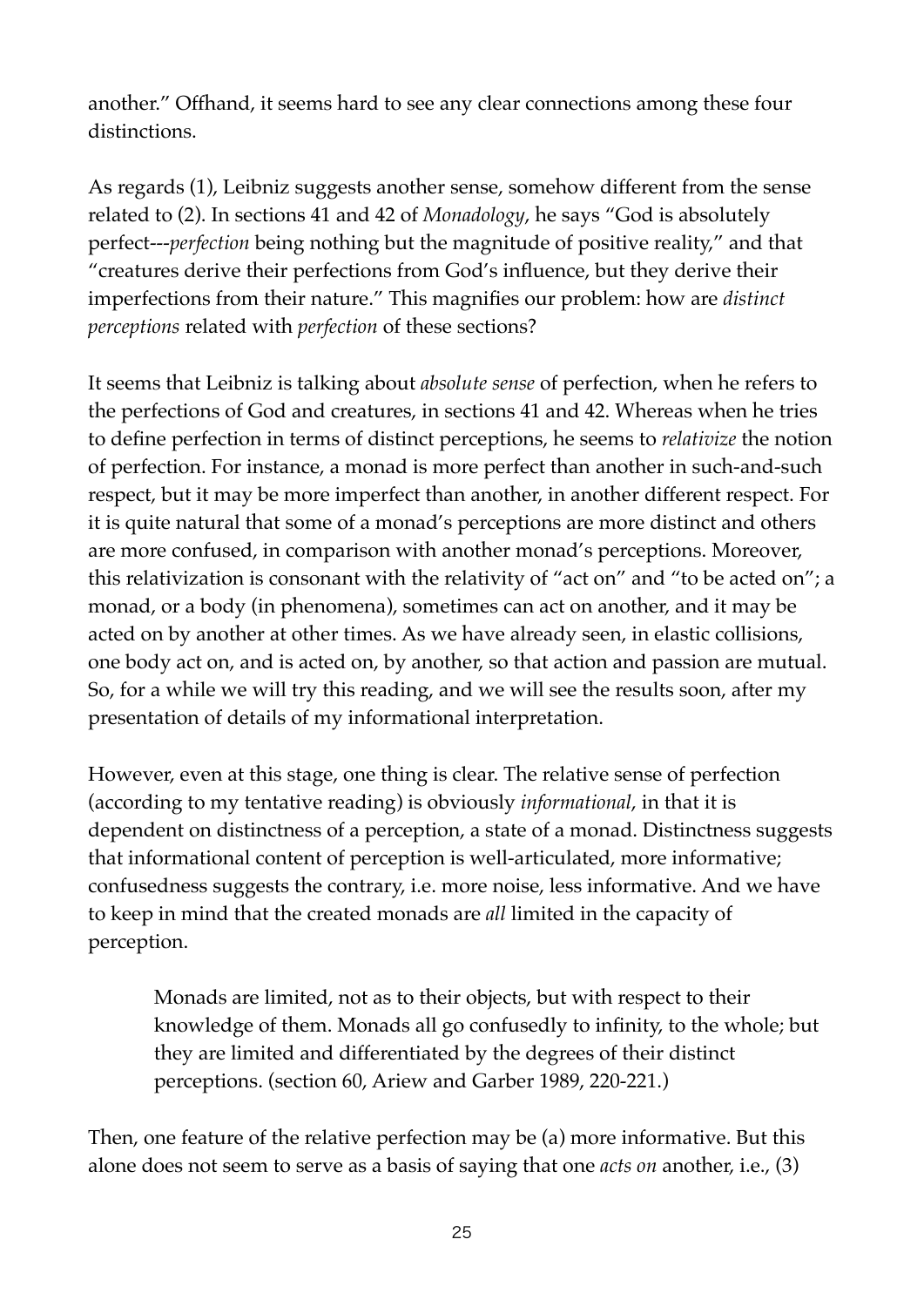another." Offhand, it seems hard to see any clear connections among these four distinctions.

As regards (1), Leibniz suggests another sense, somehow different from the sense related to (2). In sections 41 and 42 of *Monadology*, he says "God is absolutely perfect---*perfection* being nothing but the magnitude of positive reality," and that "creatures derive their perfections from God's influence, but they derive their imperfections from their nature." This magnifies our problem: how are *distinct perceptions* related with *perfection* of these sections?

It seems that Leibniz is talking about *absolute sense* of perfection, when he refers to the perfections of God and creatures, in sections 41 and 42. Whereas when he tries to define perfection in terms of distinct perceptions, he seems to *relativize* the notion of perfection. For instance, a monad is more perfect than another in such-and-such respect, but it may be more imperfect than another, in another different respect. For it is quite natural that some of a monad's perceptions are more distinct and others are more confused, in comparison with another monad's perceptions. Moreover, this relativization is consonant with the relativity of "act on" and "to be acted on"; a monad, or a body (in phenomena), sometimes can act on another, and it may be acted on by another at other times. As we have already seen, in elastic collisions, one body act on, and is acted on, by another, so that action and passion are mutual. So, for a while we will try this reading, and we will see the results soon, after my presentation of details of my informational interpretation.

However, even at this stage, one thing is clear. The relative sense of perfection (according to my tentative reading) is obviously *informational*, in that it is dependent on distinctness of a perception, a state of a monad. Distinctness suggests that informational content of perception is well-articulated, more informative; confusedness suggests the contrary, i.e. more noise, less informative. And we have to keep in mind that the created monads are *all* limited in the capacity of perception.

Monads are limited, not as to their objects, but with respect to their knowledge of them. Monads all go confusedly to infinity, to the whole; but they are limited and differentiated by the degrees of their distinct perceptions. (section 60, Ariew and Garber 1989, 220-221.)

Then, one feature of the relative perfection may be (a) more informative. But this alone does not seem to serve as a basis of saying that one *acts on* another, i.e., (3)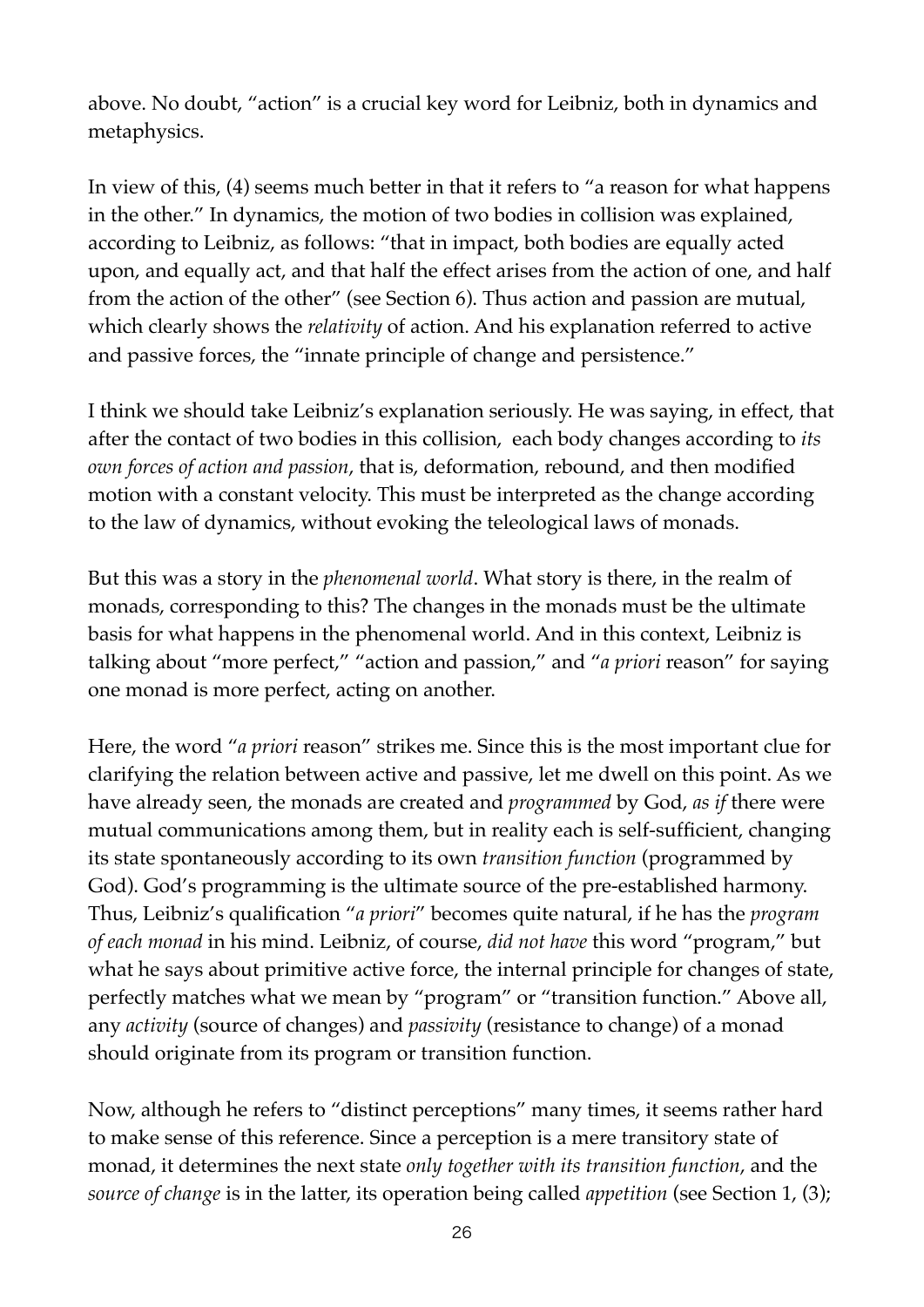above. No doubt, "action" is a crucial key word for Leibniz, both in dynamics and metaphysics.

In view of this, (4) seems much better in that it refers to "a reason for what happens in the other." In dynamics, the motion of two bodies in collision was explained, according to Leibniz, as follows: "that in impact, both bodies are equally acted upon, and equally act, and that half the effect arises from the action of one, and half from the action of the other" (see Section 6). Thus action and passion are mutual, which clearly shows the *relativity* of action. And his explanation referred to active and passive forces, the "innate principle of change and persistence."

I think we should take Leibniz's explanation seriously. He was saying, in effect, that after the contact of two bodies in this collision, each body changes according to *its own forces of action and passion*, that is, deformation, rebound, and then modified motion with a constant velocity. This must be interpreted as the change according to the law of dynamics, without evoking the teleological laws of monads.

But this was a story in the *phenomenal world*. What story is there, in the realm of monads, corresponding to this? The changes in the monads must be the ultimate basis for what happens in the phenomenal world. And in this context, Leibniz is talking about "more perfect," "action and passion," and "*a priori* reason" for saying one monad is more perfect, acting on another.

Here, the word "*a priori* reason" strikes me. Since this is the most important clue for clarifying the relation between active and passive, let me dwell on this point. As we have already seen, the monads are created and *programmed* by God, *as if* there were mutual communications among them, but in reality each is self-sufficient, changing its state spontaneously according to its own *transition function* (programmed by God). God's programming is the ultimate source of the pre-established harmony. Thus, Leibniz's qualification "*a priori*" becomes quite natural, if he has the *program of each monad* in his mind. Leibniz, of course, *did not have* this word "program," but what he says about primitive active force, the internal principle for changes of state, perfectly matches what we mean by "program" or "transition function." Above all, any *activity* (source of changes) and *passivity* (resistance to change) of a monad should originate from its program or transition function.

Now, although he refers to "distinct perceptions" many times, it seems rather hard to make sense of this reference. Since a perception is a mere transitory state of monad, it determines the next state *only together with its transition function*, and the *source of change* is in the latter, its operation being called *appetition* (see Section 1, (3);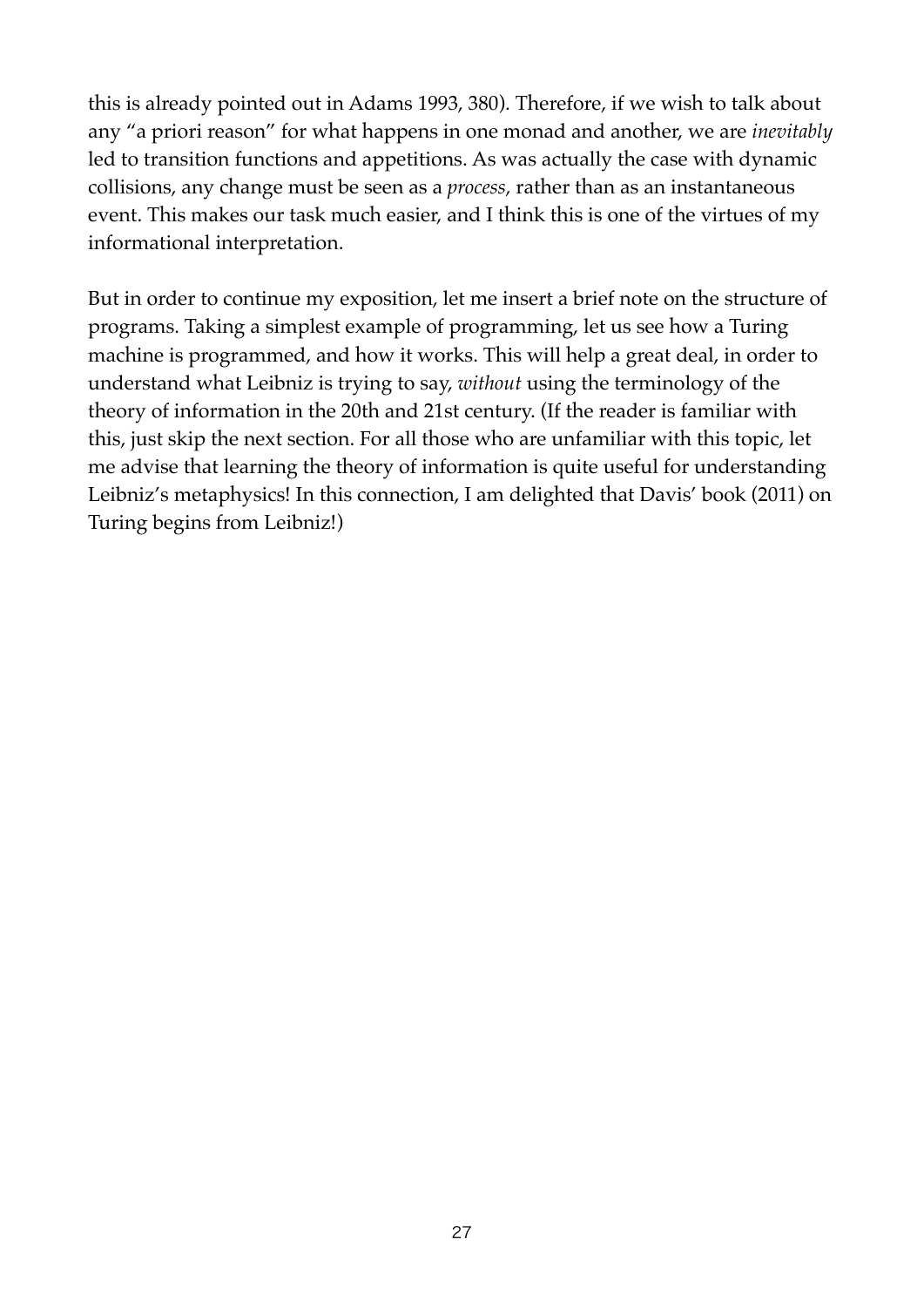this is already pointed out in Adams 1993, 380). Therefore, if we wish to talk about any "a priori reason" for what happens in one monad and another, we are *inevitably* led to transition functions and appetitions. As was actually the case with dynamic collisions, any change must be seen as a *process*, rather than as an instantaneous event. This makes our task much easier, and I think this is one of the virtues of my informational interpretation.

But in order to continue my exposition, let me insert a brief note on the structure of programs. Taking a simplest example of programming, let us see how a Turing machine is programmed, and how it works. This will help a great deal, in order to understand what Leibniz is trying to say, *without* using the terminology of the theory of information in the 20th and 21st century. (If the reader is familiar with this, just skip the next section. For all those who are unfamiliar with this topic, let me advise that learning the theory of information is quite useful for understanding Leibniz's metaphysics! In this connection, I am delighted that Davis' book (2011) on Turing begins from Leibniz!)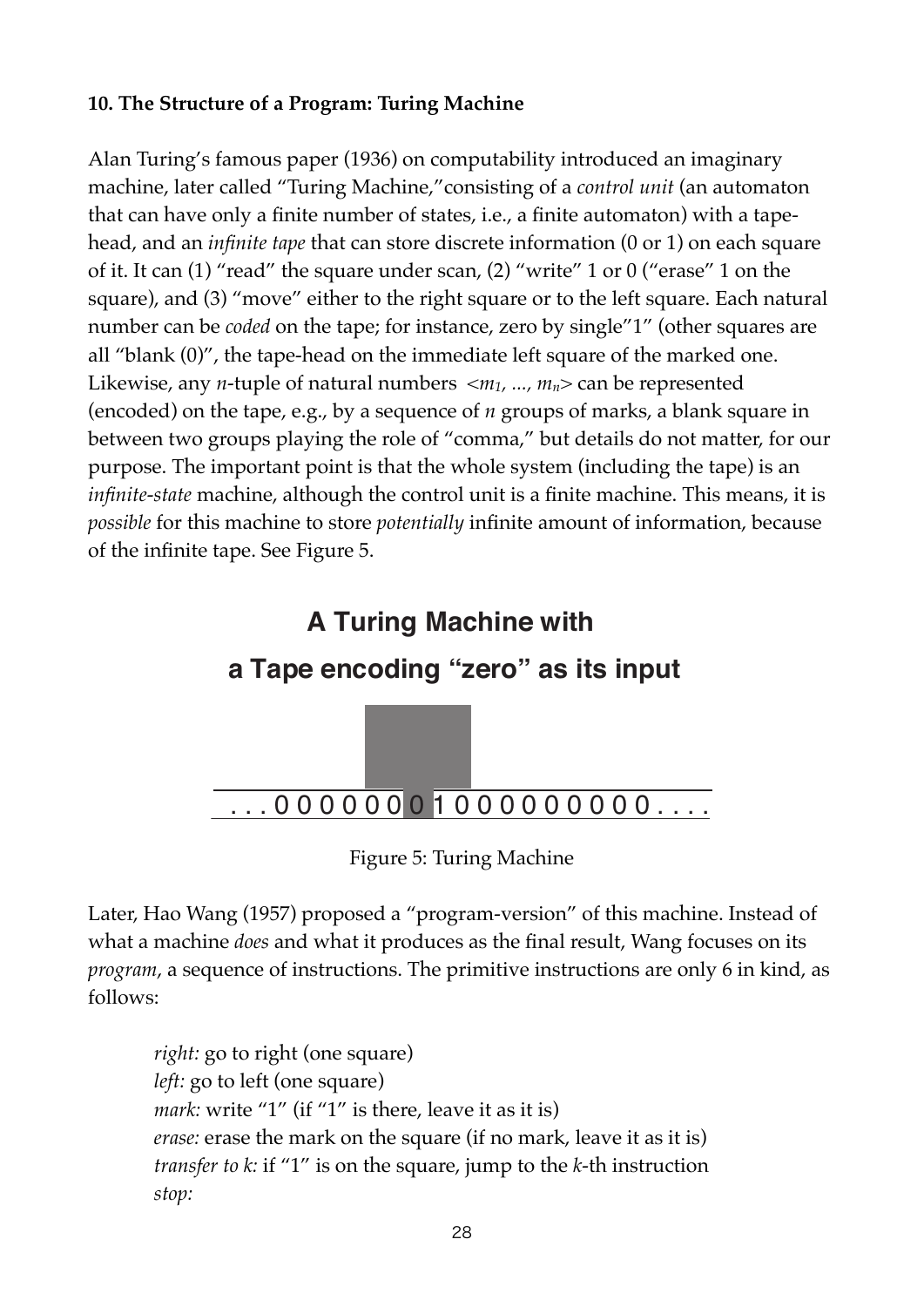# **10. The Structure of a Program: Turing Machine**

Alan Turing's famous paper (1936) on computability introduced an imaginary machine, later called "Turing Machine,"consisting of a *control unit* (an automaton that can have only a finite number of states, i.e., a finite automaton) with a tapehead, and an *infinite tape* that can store discrete information (0 or 1) on each square of it. It can (1) "read" the square under scan, (2) "write" 1 or 0 ("erase" 1 on the square), and (3) "move" either to the right square or to the left square. Each natural number can be *coded* on the tape; for instance, zero by single"1" (other squares are all "blank (0)", the tape-head on the immediate left square of the marked one. Likewise, any *n*-tuple of natural numbers  $\langle m_1, ..., m_n \rangle$  can be represented (encoded) on the tape, e.g., by a sequence of *n* groups of marks, a blank square in between two groups playing the role of "comma," but details do not matter, for our purpose. The important point is that the whole system (including the tape) is an *infinite-state* machine, although the control unit is a finite machine. This means, it is *possible* for this machine to store *potentially* infinite amount of information, because of the infinite tape. See Figure 5.



Figure 5: Turing Machine

Later, Hao Wang (1957) proposed a "program-version" of this machine. Instead of what a machine *does* and what it produces as the final result, Wang focuses on its *program*, a sequence of instructions. The primitive instructions are only 6 in kind, as follows:

*right:* go to right (one square) *left:* go to left (one square) *mark:* write "1" (if "1" is there, leave it as it is) *erase:* erase the mark on the square (if no mark, leave it as it is) *transfer to k:* if "1" is on the square, jump to the *k*-th instruction *stop:*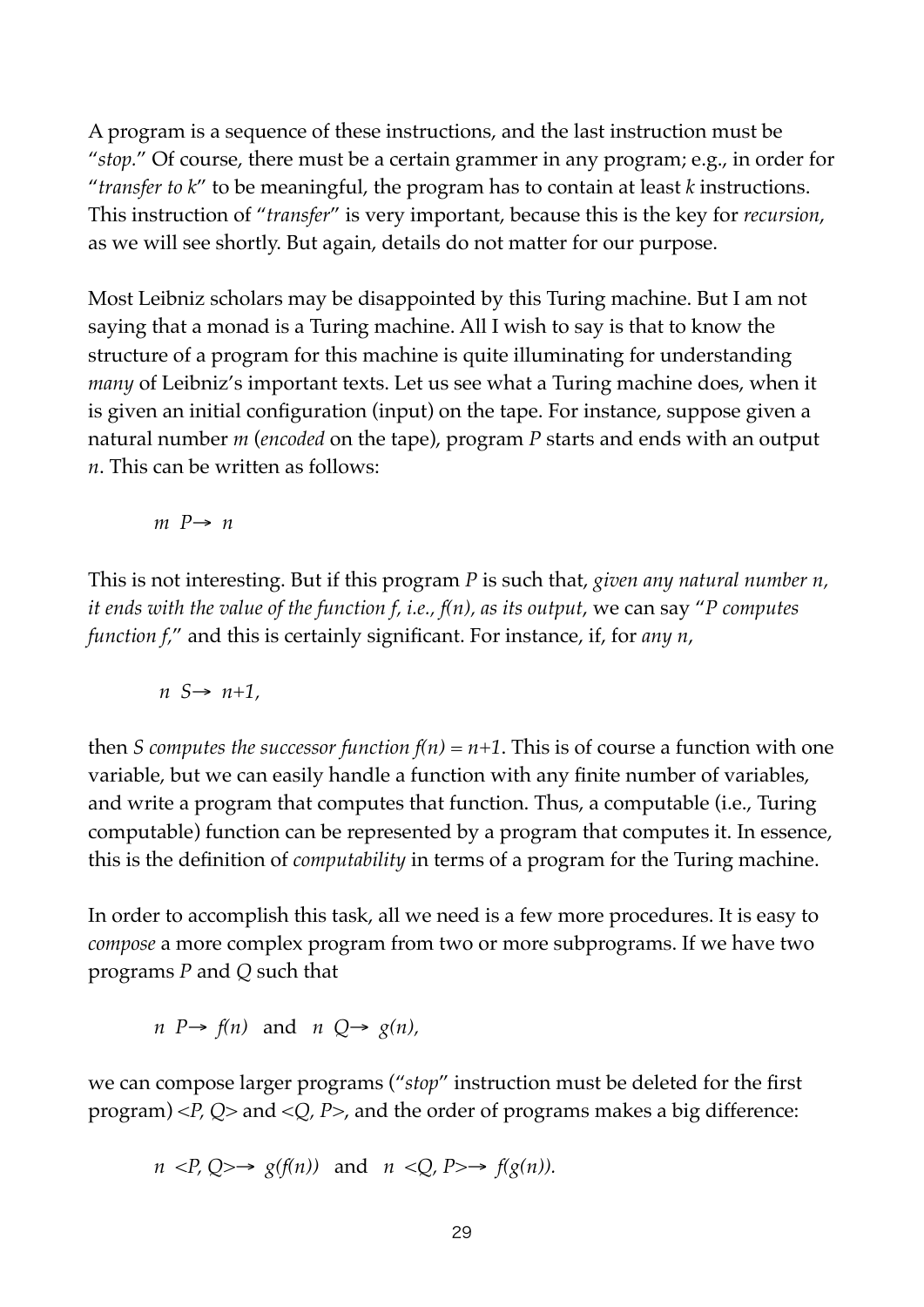A program is a sequence of these instructions, and the last instruction must be "*stop.*" Of course, there must be a certain grammer in any program; e.g., in order for "*transfer to k*" to be meaningful, the program has to contain at least *k* instructions. This instruction of "*transfer*" is very important, because this is the key for *recursion*, as we will see shortly. But again, details do not matter for our purpose.

Most Leibniz scholars may be disappointed by this Turing machine. But I am not saying that a monad is a Turing machine. All I wish to say is that to know the structure of a program for this machine is quite illuminating for understanding *many* of Leibniz's important texts. Let us see what a Turing machine does, when it is given an initial configuration (input) on the tape. For instance, suppose given a natural number *m* (*encoded* on the tape), program *P* starts and ends with an output *n*. This can be written as follows:

 $m P \rightarrow n$ 

This is not interesting. But if this program *P* is such that, *given any natural number n, it ends with the value of the function f, i.e., f(n), as its output*, we can say "*P computes function f,*" and this is certainly significant. For instance, if, for *any n*,

$$
n S \rightarrow n+1,
$$

then *S* computes the successor function  $f(n) = n+1$ . This is of course a function with one variable, but we can easily handle a function with any finite number of variables, and write a program that computes that function. Thus, a computable (i.e., Turing computable) function can be represented by a program that computes it. In essence, this is the definition of *computability* in terms of a program for the Turing machine.

In order to accomplish this task, all we need is a few more procedures. It is easy to *compose* a more complex program from two or more subprograms. If we have two programs *P* and *Q* such that

*n P*→ *f(n)* and *n Q*→ *g(n),*

we can compose larger programs ("*stop*" instruction must be deleted for the first program) <*P, Q*> and <*Q, P*>, and the order of programs makes a big difference:

$$
n < P, Q \rightarrow g(f(n))
$$
 and  $n < Q, P \rightarrow f(g(n)).$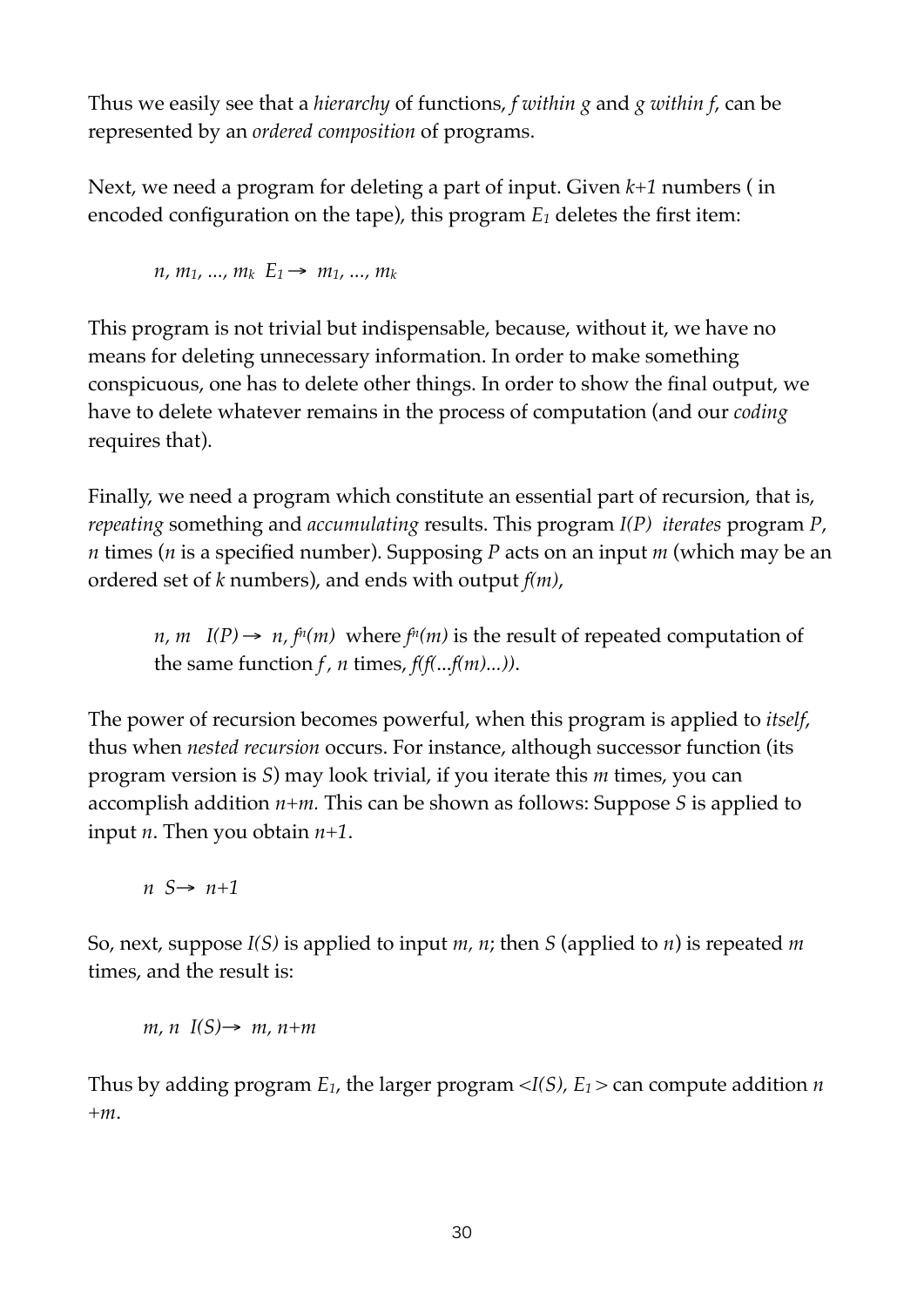Thus we easily see that a *hierarchy* of functions, *f within g* and *g within f*, can be represented by an *ordered composition* of programs.

Next, we need a program for deleting a part of input. Given *k+1* numbers ( in encoded configuration on the tape), this program *E1* deletes the first item:

 $n, m_1, ..., m_k$   $E_1 \rightarrow m_1, ..., m_k$ 

This program is not trivial but indispensable, because, without it, we have no means for deleting unnecessary information. In order to make something conspicuous, one has to delete other things. In order to show the final output, we have to delete whatever remains in the process of computation (and our *coding* requires that).

Finally, we need a program which constitute an essential part of recursion, that is, *repeating* something and *accumulating* results. This program *I(P) iterates* program *P*, *n* times (*n* is a specified number). Supposing *P* acts on an input *m* (which may be an ordered set of *k* numbers), and ends with output *f(m)*,

*n, m*  $I(P) \rightarrow n$ ,  $f^{n}(m)$  where  $f^{n}(m)$  is the result of repeated computation of the same function  $f$ ,  $n$  times,  $f(f(...f(m)...))$ .

The power of recursion becomes powerful, when this program is applied to *itself*, thus when *nested recursion* occurs. For instance, although successor function (its program version is *S*) may look trivial, if you iterate this *m* times, you can accomplish addition *n+m.* This can be shown as follows: Suppose *S* is applied to input *n*. Then you obtain *n+1*.

*n S*→ *n+1*

So, next, suppose *I(S)* is applied to input *m, n*; then *S* (applied to *n*) is repeated *m* times, and the result is:

$$
m, n \ I(S) \to m, n+m
$$

Thus by adding program  $E_1$ , the larger program  $\langle I(S), E_1 \rangle$  can compute addition *n +m*.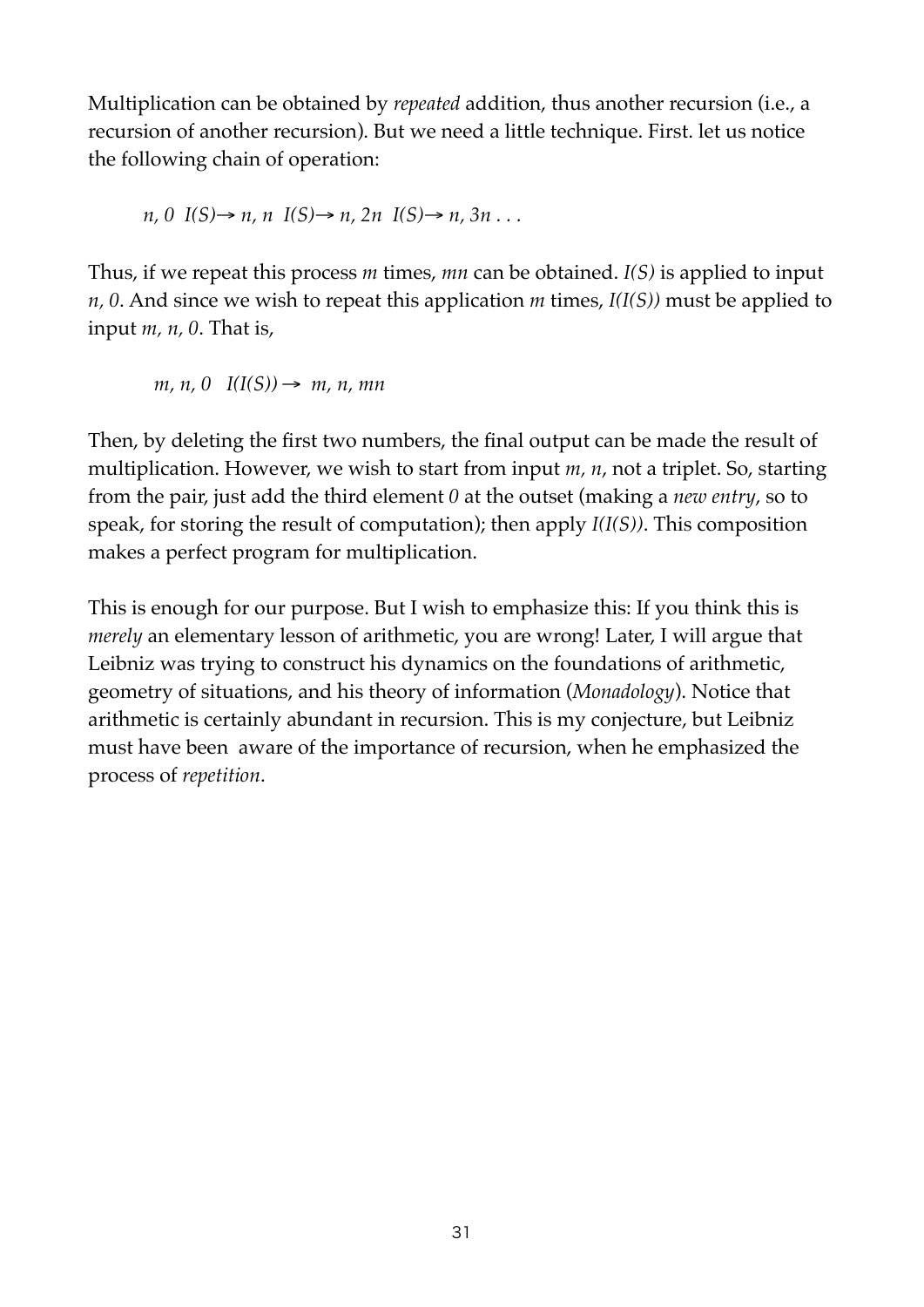Multiplication can be obtained by *repeated* addition, thus another recursion (i.e., a recursion of another recursion). But we need a little technique. First. let us notice the following chain of operation:

$$
n, 0 \quad I(S) \to n, n \quad I(S) \to n, 2n \quad I(S) \to n, 3n \ldots
$$

Thus, if we repeat this process *m* times, *mn* can be obtained. *I(S)* is applied to input *n, 0*. And since we wish to repeat this application *m* times, *I(I(S))* must be applied to input *m, n, 0*. That is,

 $m, n, 0$   $I(I(S)) \rightarrow m, n, mn$ 

Then, by deleting the first two numbers, the final output can be made the result of multiplication. However, we wish to start from input *m, n*, not a triplet. So, starting from the pair, just add the third element *0* at the outset (making a *new entry*, so to speak, for storing the result of computation); then apply *I(I(S))*. This composition makes a perfect program for multiplication.

This is enough for our purpose. But I wish to emphasize this: If you think this is *merely* an elementary lesson of arithmetic, you are wrong! Later, I will argue that Leibniz was trying to construct his dynamics on the foundations of arithmetic, geometry of situations, and his theory of information (*Monadology*). Notice that arithmetic is certainly abundant in recursion. This is my conjecture, but Leibniz must have been aware of the importance of recursion, when he emphasized the process of *repetition*.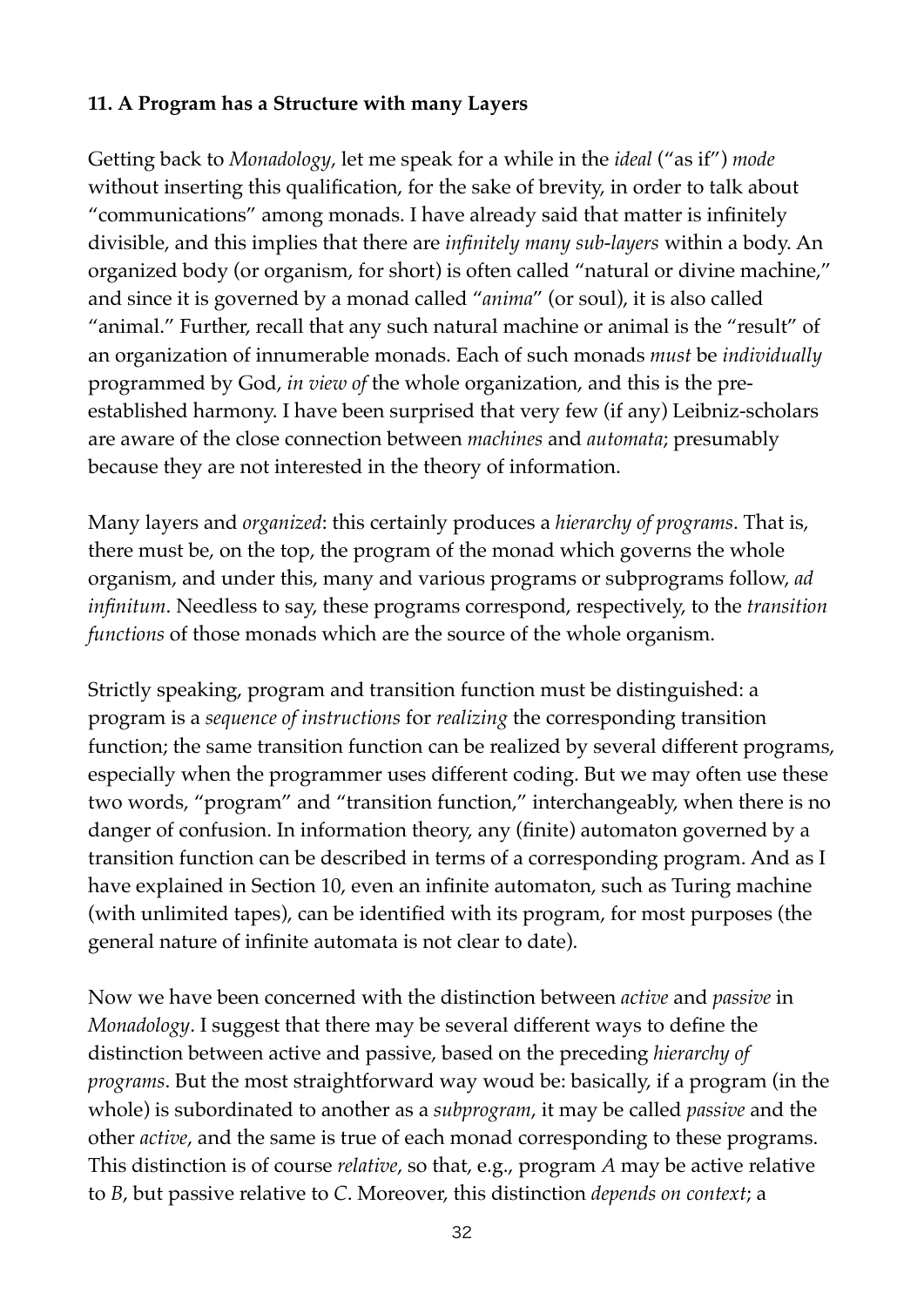## **11. A Program has a Structure with many Layers**

Getting back to *Monadology*, let me speak for a while in the *ideal* ("as if") *mode* without inserting this qualification, for the sake of brevity, in order to talk about "communications" among monads. I have already said that matter is infinitely divisible, and this implies that there are *infinitely many sub-layers* within a body. An organized body (or organism, for short) is often called "natural or divine machine," and since it is governed by a monad called "*anima*" (or soul), it is also called "animal." Further, recall that any such natural machine or animal is the "result" of an organization of innumerable monads. Each of such monads *must* be *individually* programmed by God, *in view of* the whole organization, and this is the preestablished harmony. I have been surprised that very few (if any) Leibniz-scholars are aware of the close connection between *machines* and *automata*; presumably because they are not interested in the theory of information.

Many layers and *organized*: this certainly produces a *hierarchy of programs*. That is, there must be, on the top, the program of the monad which governs the whole organism, and under this, many and various programs or subprograms follow, *ad infinitum*. Needless to say, these programs correspond, respectively, to the *transition functions* of those monads which are the source of the whole organism.

Strictly speaking, program and transition function must be distinguished: a program is a *sequence of instructions* for *realizing* the corresponding transition function; the same transition function can be realized by several different programs, especially when the programmer uses different coding. But we may often use these two words, "program" and "transition function," interchangeably, when there is no danger of confusion. In information theory, any (finite) automaton governed by a transition function can be described in terms of a corresponding program. And as I have explained in Section 10, even an infinite automaton, such as Turing machine (with unlimited tapes), can be identified with its program, for most purposes (the general nature of infinite automata is not clear to date).

Now we have been concerned with the distinction between *active* and *passive* in *Monadology*. I suggest that there may be several different ways to define the distinction between active and passive, based on the preceding *hierarchy of programs*. But the most straightforward way woud be: basically, if a program (in the whole) is subordinated to another as a *subprogram*, it may be called *passive* and the other *active*, and the same is true of each monad corresponding to these programs. This distinction is of course *relative*, so that, e.g., program *A* may be active relative to *B*, but passive relative to *C*. Moreover, this distinction *depends on context*; a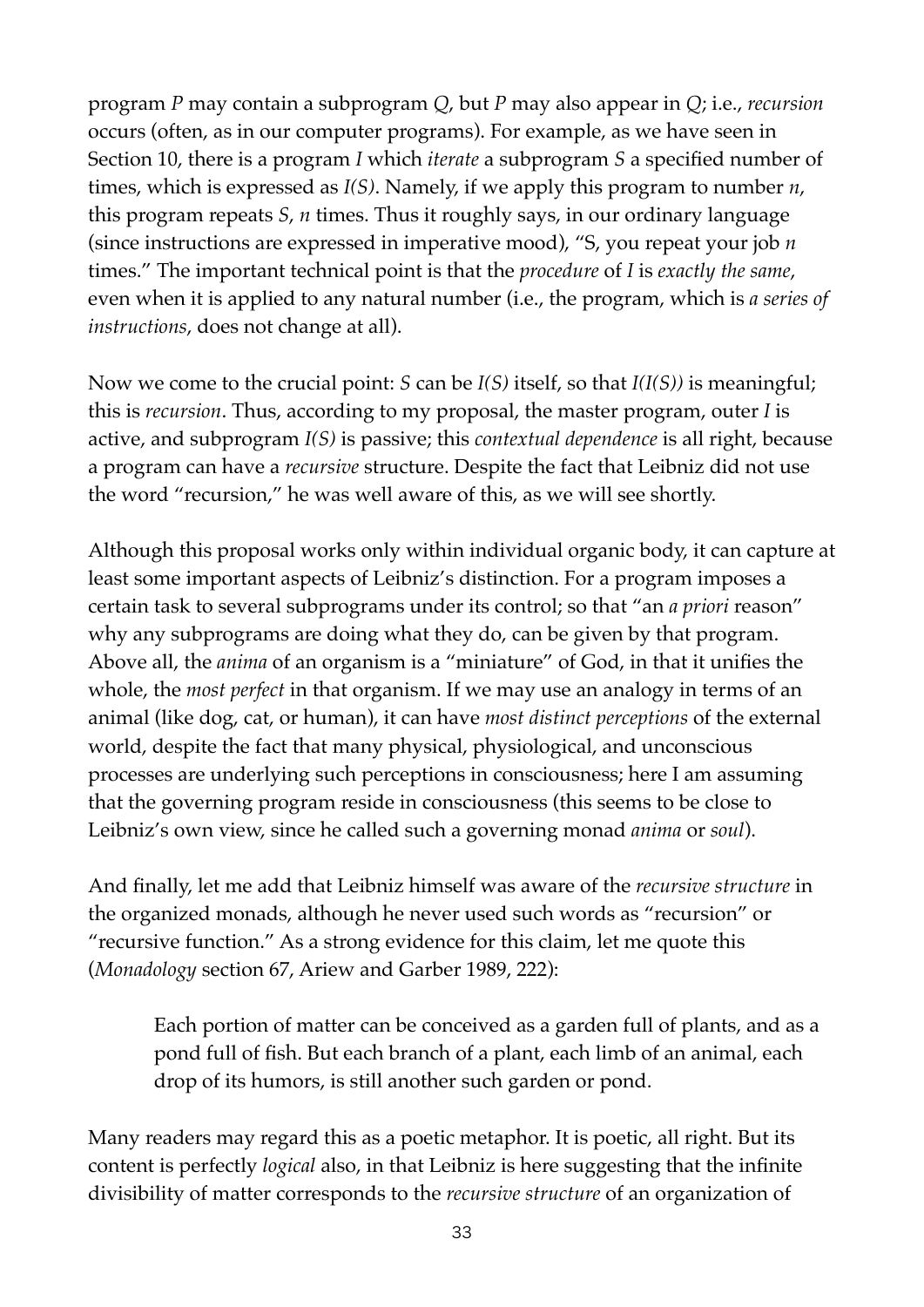program *P* may contain a subprogram *Q*, but *P* may also appear in *Q*; i.e., *recursion* occurs (often, as in our computer programs). For example, as we have seen in Section 10, there is a program *I* which *iterate* a subprogram *S* a specified number of times, which is expressed as *I(S)*. Namely, if we apply this program to number *n*, this program repeats *S*, *n* times. Thus it roughly says, in our ordinary language (since instructions are expressed in imperative mood), "S, you repeat your job *n* times." The important technical point is that the *procedure* of *I* is *exactly the same*, even when it is applied to any natural number (i.e., the program, which is *a series of instructions*, does not change at all).

Now we come to the crucial point: *S* can be *I(S)* itself, so that *I(I(S))* is meaningful; this is *recursion*. Thus, according to my proposal, the master program, outer *I* is active, and subprogram *I(S)* is passive; this *contextual dependence* is all right, because a program can have a *recursive* structure. Despite the fact that Leibniz did not use the word "recursion," he was well aware of this, as we will see shortly.

Although this proposal works only within individual organic body, it can capture at least some important aspects of Leibniz's distinction. For a program imposes a certain task to several subprograms under its control; so that "an *a priori* reason" why any subprograms are doing what they do, can be given by that program. Above all, the *anima* of an organism is a "miniature" of God, in that it unifies the whole, the *most perfect* in that organism. If we may use an analogy in terms of an animal (like dog, cat, or human), it can have *most distinct perceptions* of the external world, despite the fact that many physical, physiological, and unconscious processes are underlying such perceptions in consciousness; here I am assuming that the governing program reside in consciousness (this seems to be close to Leibniz's own view, since he called such a governing monad *anima* or *soul*).

And finally, let me add that Leibniz himself was aware of the *recursive structure* in the organized monads, although he never used such words as "recursion" or "recursive function." As a strong evidence for this claim, let me quote this (*Monadology* section 67, Ariew and Garber 1989, 222):

Each portion of matter can be conceived as a garden full of plants, and as a pond full of fish. But each branch of a plant, each limb of an animal, each drop of its humors, is still another such garden or pond.

Many readers may regard this as a poetic metaphor. It is poetic, all right. But its content is perfectly *logical* also, in that Leibniz is here suggesting that the infinite divisibility of matter corresponds to the *recursive structure* of an organization of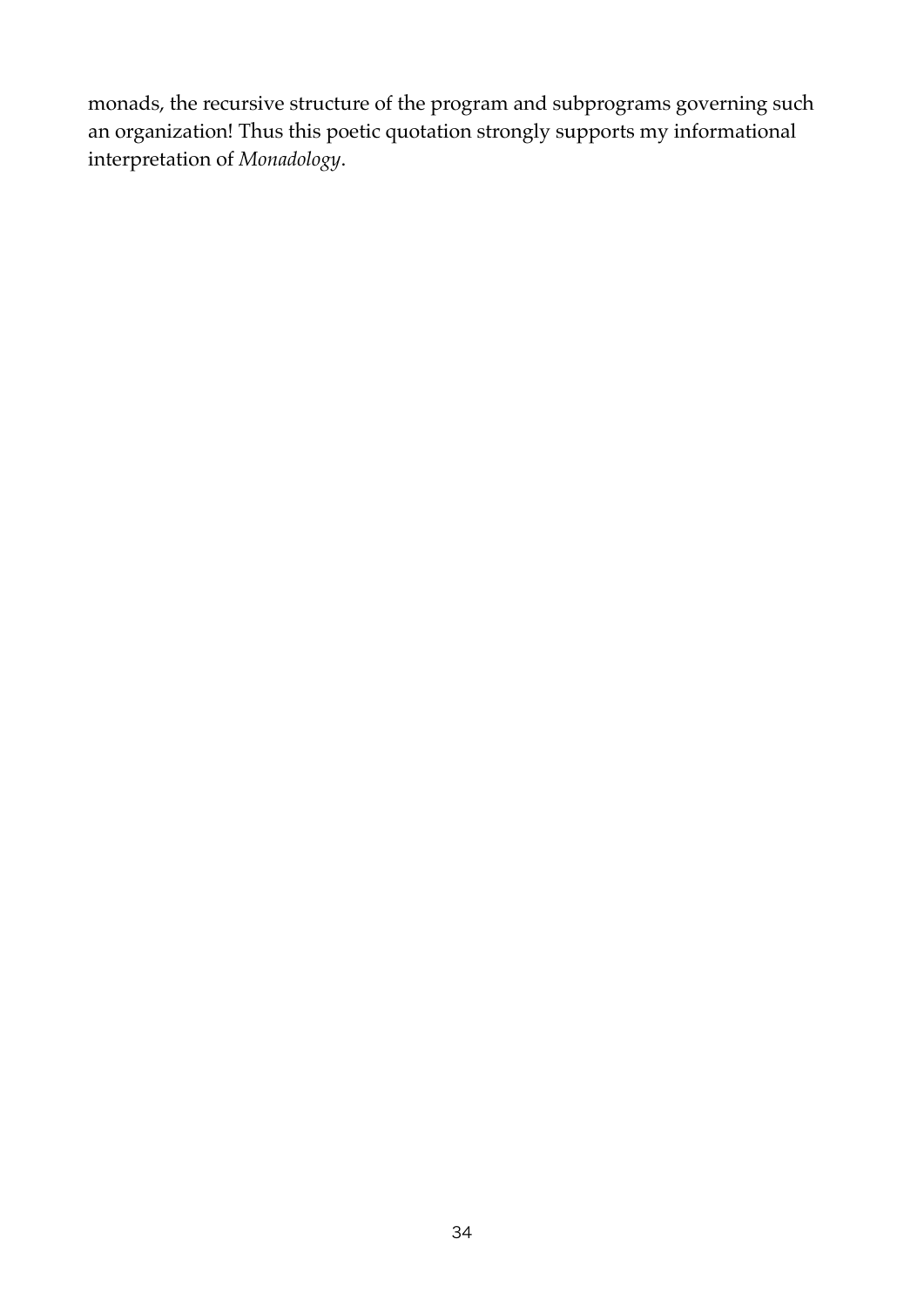monads, the recursive structure of the program and subprograms governing such an organization! Thus this poetic quotation strongly supports my informational interpretation of *Monadology*.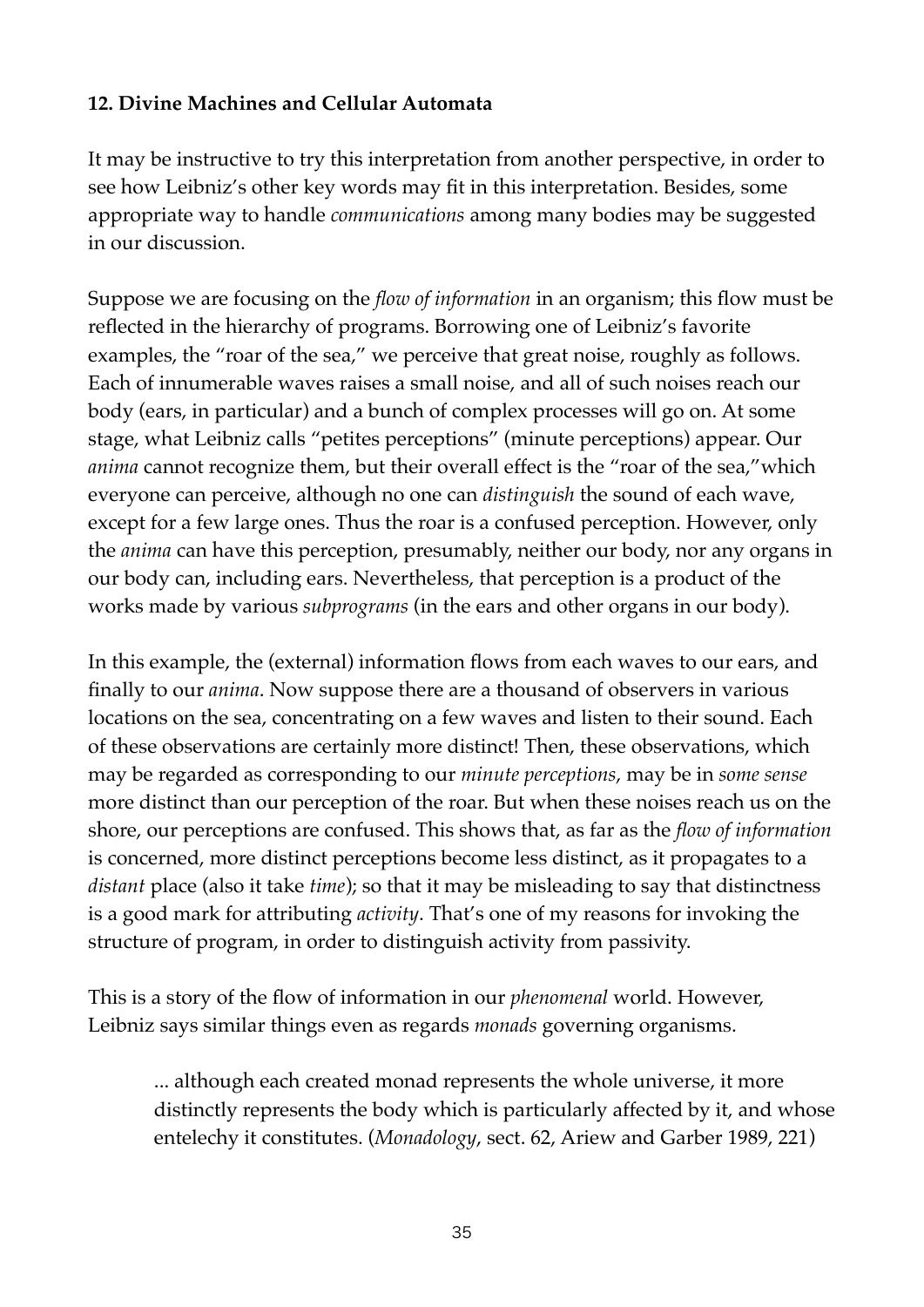# **12. Divine Machines and Cellular Automata**

It may be instructive to try this interpretation from another perspective, in order to see how Leibniz's other key words may fit in this interpretation. Besides, some appropriate way to handle *communications* among many bodies may be suggested in our discussion.

Suppose we are focusing on the *flow of information* in an organism; this flow must be reflected in the hierarchy of programs. Borrowing one of Leibniz's favorite examples, the "roar of the sea," we perceive that great noise, roughly as follows. Each of innumerable waves raises a small noise, and all of such noises reach our body (ears, in particular) and a bunch of complex processes will go on. At some stage, what Leibniz calls "petites perceptions" (minute perceptions) appear. Our *anima* cannot recognize them, but their overall effect is the "roar of the sea,"which everyone can perceive, although no one can *distinguish* the sound of each wave, except for a few large ones. Thus the roar is a confused perception. However, only the *anima* can have this perception, presumably, neither our body, nor any organs in our body can, including ears. Nevertheless, that perception is a product of the works made by various *subprograms* (in the ears and other organs in our body).

In this example, the (external) information flows from each waves to our ears, and finally to our *anima*. Now suppose there are a thousand of observers in various locations on the sea, concentrating on a few waves and listen to their sound. Each of these observations are certainly more distinct! Then, these observations, which may be regarded as corresponding to our *minute perceptions*, may be in *some sense* more distinct than our perception of the roar. But when these noises reach us on the shore, our perceptions are confused. This shows that, as far as the *flow of information* is concerned, more distinct perceptions become less distinct, as it propagates to a *distant* place (also it take *time*); so that it may be misleading to say that distinctness is a good mark for attributing *activity*. That's one of my reasons for invoking the structure of program, in order to distinguish activity from passivity.

This is a story of the flow of information in our *phenomenal* world. However, Leibniz says similar things even as regards *monads* governing organisms.

... although each created monad represents the whole universe, it more distinctly represents the body which is particularly affected by it, and whose entelechy it constitutes. (*Monadology*, sect. 62, Ariew and Garber 1989, 221)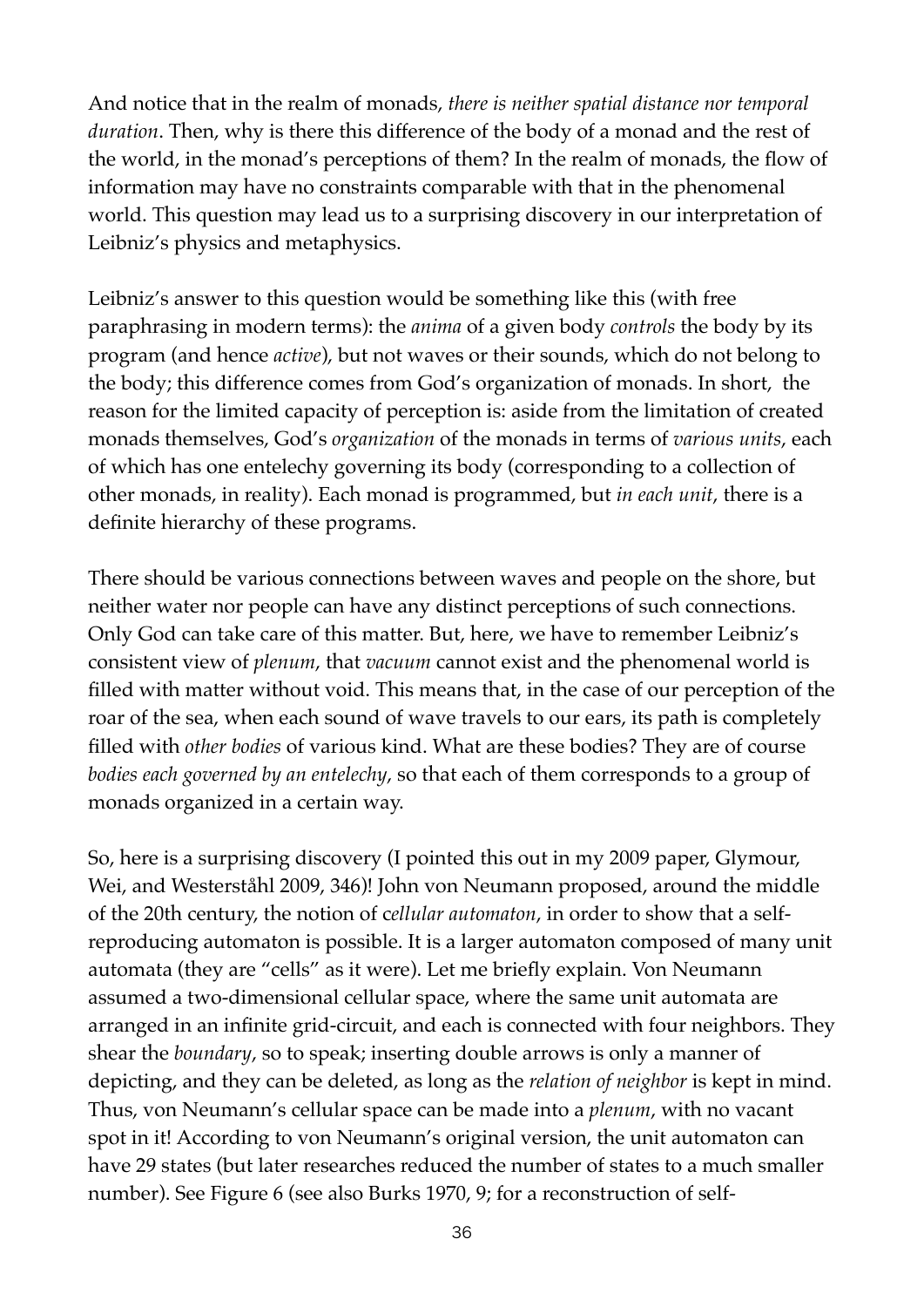And notice that in the realm of monads, *there is neither spatial distance nor temporal duration*. Then, why is there this difference of the body of a monad and the rest of the world, in the monad's perceptions of them? In the realm of monads, the flow of information may have no constraints comparable with that in the phenomenal world. This question may lead us to a surprising discovery in our interpretation of Leibniz's physics and metaphysics.

Leibniz's answer to this question would be something like this (with free paraphrasing in modern terms): the *anima* of a given body *controls* the body by its program (and hence *active*), but not waves or their sounds, which do not belong to the body; this difference comes from God's organization of monads. In short, the reason for the limited capacity of perception is: aside from the limitation of created monads themselves, God's *organization* of the monads in terms of *various units*, each of which has one entelechy governing its body (corresponding to a collection of other monads, in reality). Each monad is programmed, but *in each unit*, there is a definite hierarchy of these programs.

There should be various connections between waves and people on the shore, but neither water nor people can have any distinct perceptions of such connections. Only God can take care of this matter. But, here, we have to remember Leibniz's consistent view of *plenum*, that *vacuum* cannot exist and the phenomenal world is filled with matter without void. This means that, in the case of our perception of the roar of the sea, when each sound of wave travels to our ears, its path is completely filled with *other bodies* of various kind. What are these bodies? They are of course *bodies each governed by an entelechy*, so that each of them corresponds to a group of monads organized in a certain way.

So, here is a surprising discovery (I pointed this out in my 2009 paper, Glymour, Wei, and Westerståhl 2009, 346)! John von Neumann proposed, around the middle of the 20th century, the notion of c*ellular automaton*, in order to show that a selfreproducing automaton is possible. It is a larger automaton composed of many unit automata (they are "cells" as it were). Let me briefly explain. Von Neumann assumed a two-dimensional cellular space, where the same unit automata are arranged in an infinite grid-circuit, and each is connected with four neighbors. They shear the *boundary*, so to speak; inserting double arrows is only a manner of depicting, and they can be deleted, as long as the *relation of neighbor* is kept in mind. Thus, von Neumann's cellular space can be made into a *plenum*, with no vacant spot in it! According to von Neumann's original version, the unit automaton can have 29 states (but later researches reduced the number of states to a much smaller number). See Figure 6 (see also Burks 1970, 9; for a reconstruction of self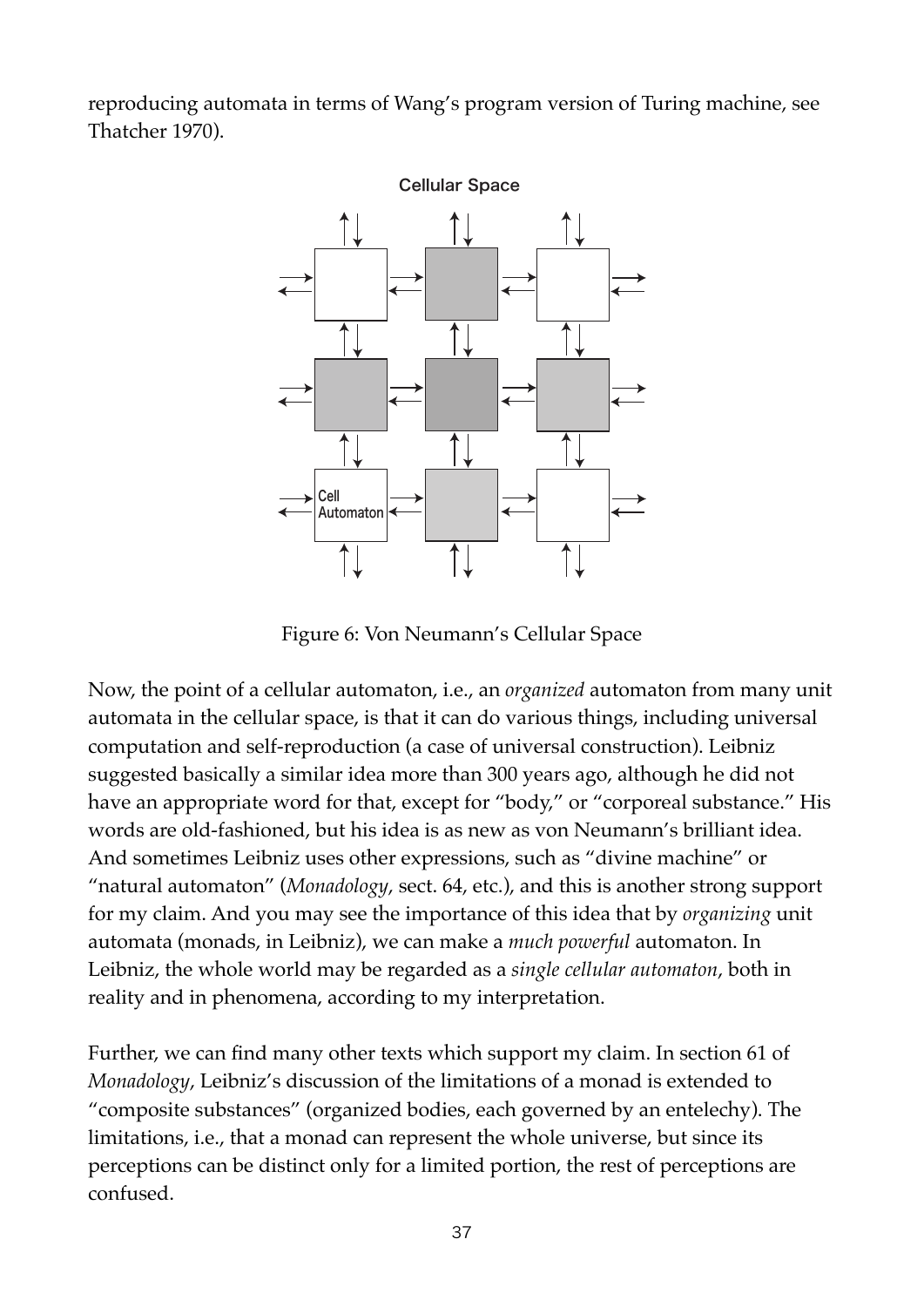reproducing automata in terms of Wang's program version of Turing machine, see Thatcher 1970).



Figure 6: Von Neumann's Cellular Space

Now, the point of a cellular automaton, i.e., an *organized* automaton from many unit automata in the cellular space, is that it can do various things, including universal computation and self-reproduction (a case of universal construction). Leibniz suggested basically a similar idea more than 300 years ago, although he did not have an appropriate word for that, except for "body," or "corporeal substance." His words are old-fashioned, but his idea is as new as von Neumann's brilliant idea. And sometimes Leibniz uses other expressions, such as "divine machine" or "natural automaton" (*Monadology*, sect. 64, etc.), and this is another strong support for my claim. And you may see the importance of this idea that by *organizing* unit automata (monads, in Leibniz), we can make a *much powerful* automaton. In Leibniz, the whole world may be regarded as a *single cellular automaton*, both in reality and in phenomena, according to my interpretation.

Further, we can find many other texts which support my claim. In section 61 of *Monadology*, Leibniz's discussion of the limitations of a monad is extended to "composite substances" (organized bodies, each governed by an entelechy). The limitations, i.e., that a monad can represent the whole universe, but since its perceptions can be distinct only for a limited portion, the rest of perceptions are confused.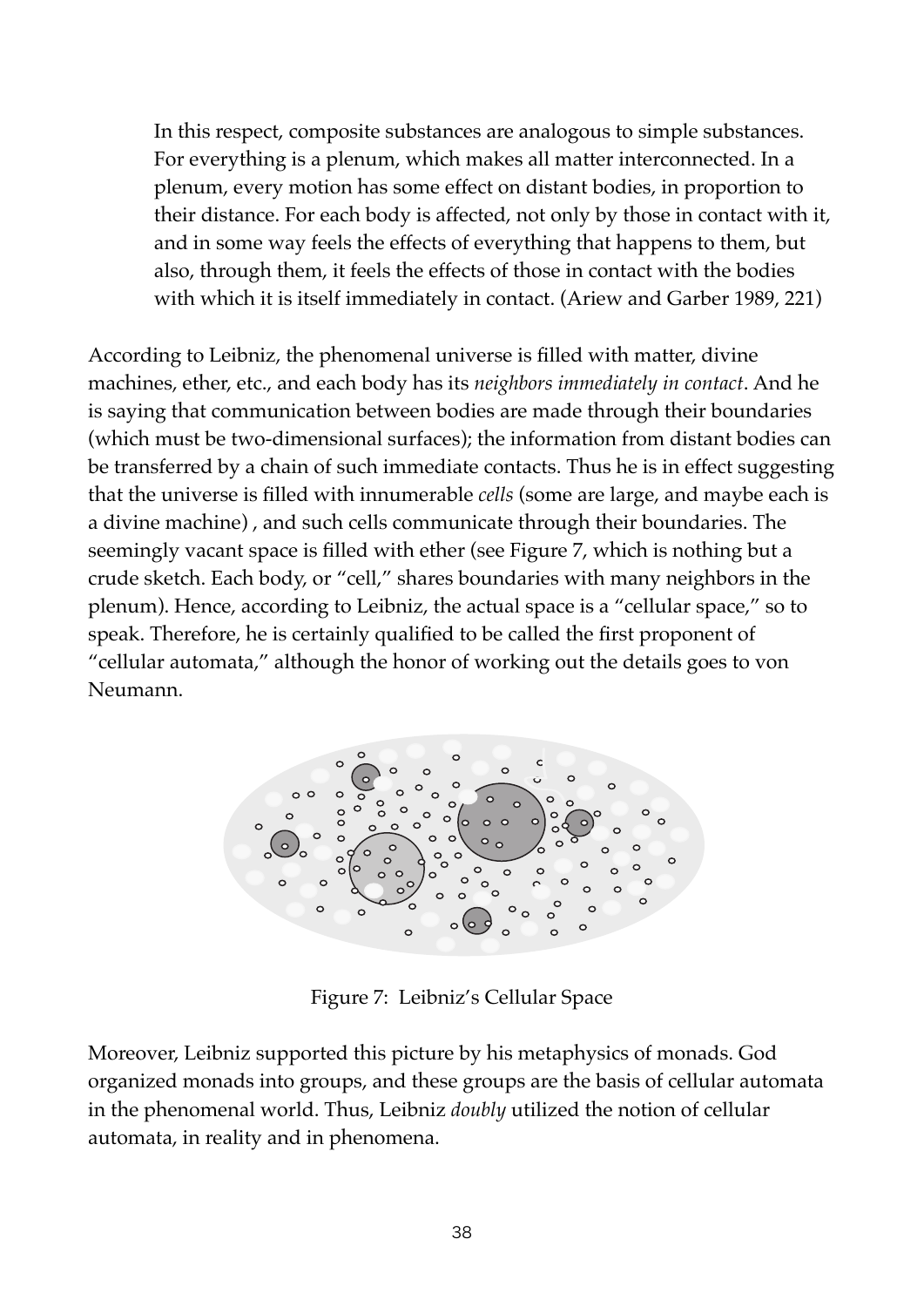In this respect, composite substances are analogous to simple substances. For everything is a plenum, which makes all matter interconnected. In a plenum, every motion has some effect on distant bodies, in proportion to their distance. For each body is affected, not only by those in contact with it, and in some way feels the effects of everything that happens to them, but also, through them, it feels the effects of those in contact with the bodies with which it is itself immediately in contact. (Ariew and Garber 1989, 221)

According to Leibniz, the phenomenal universe is filled with matter, divine machines, ether, etc., and each body has its *neighbors immediately in contact*. And he is saying that communication between bodies are made through their boundaries (which must be two-dimensional surfaces); the information from distant bodies can be transferred by a chain of such immediate contacts. Thus he is in effect suggesting that the universe is filled with innumerable *cells* (some are large, and maybe each is a divine machine) , and such cells communicate through their boundaries. The seemingly vacant space is filled with ether (see Figure 7, which is nothing but a crude sketch. Each body, or "cell," shares boundaries with many neighbors in the plenum). Hence, according to Leibniz, the actual space is a "cellular space," so to speak. Therefore, he is certainly qualified to be called the first proponent of "cellular automata," although the honor of working out the details goes to von Neumann.



Figure 7: Leibniz's Cellular Space

Moreover, Leibniz supported this picture by his metaphysics of monads. God organized monads into groups, and these groups are the basis of cellular automata in the phenomenal world. Thus, Leibniz *doubly* utilized the notion of cellular automata, in reality and in phenomena.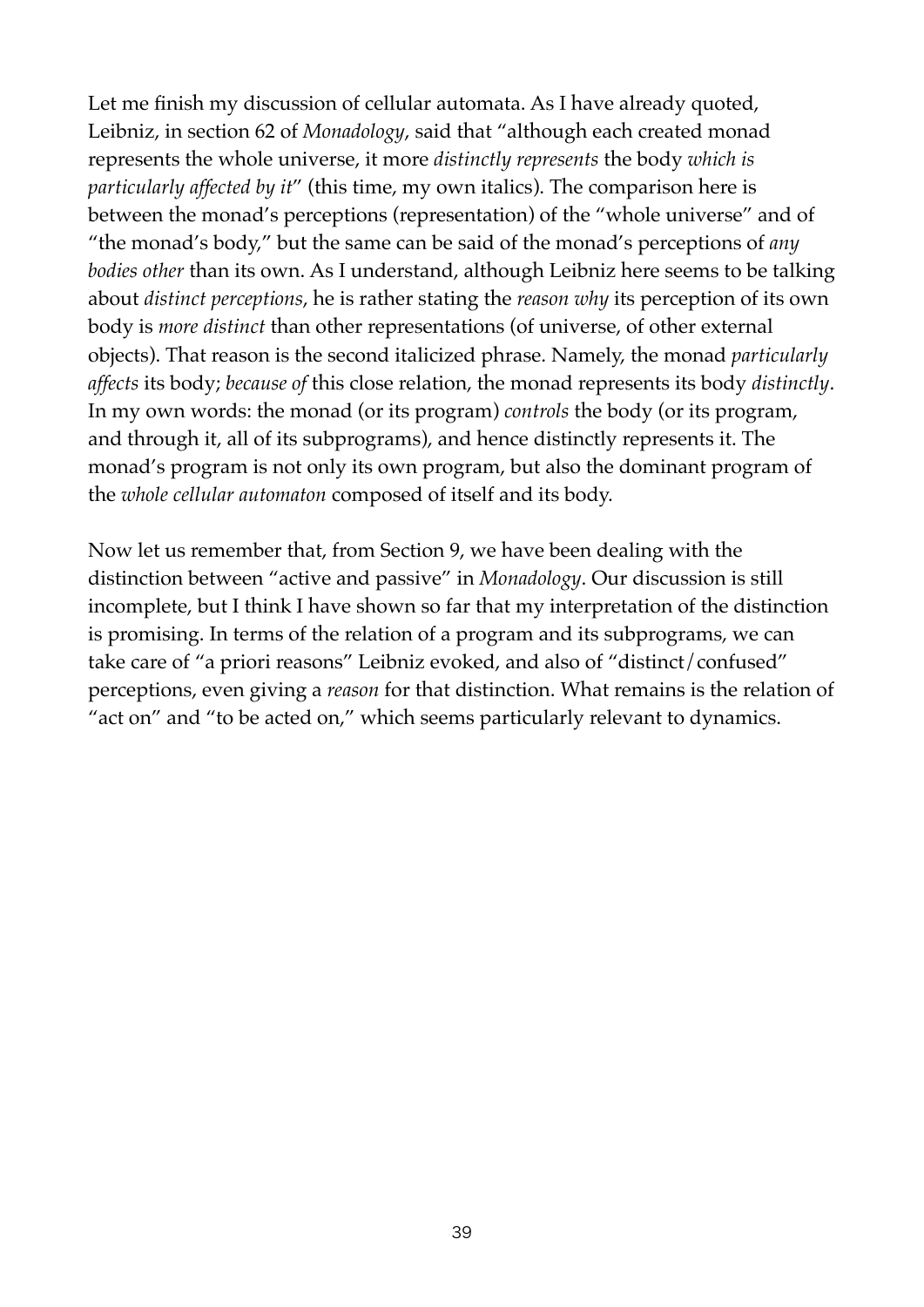Let me finish my discussion of cellular automata. As I have already quoted, Leibniz, in section 62 of *Monadology*, said that "although each created monad represents the whole universe, it more *distinctly represents* the body *which is particularly affected by it*" (this time, my own italics). The comparison here is between the monad's perceptions (representation) of the "whole universe" and of "the monad's body," but the same can be said of the monad's perceptions of *any bodies other* than its own. As I understand, although Leibniz here seems to be talking about *distinct perceptions*, he is rather stating the *reason why* its perception of its own body is *more distinct* than other representations (of universe, of other external objects). That reason is the second italicized phrase. Namely, the monad *particularly affects* its body; *because of* this close relation, the monad represents its body *distinctly*. In my own words: the monad (or its program) *controls* the body (or its program, and through it, all of its subprograms), and hence distinctly represents it. The monad's program is not only its own program, but also the dominant program of the *whole cellular automaton* composed of itself and its body.

Now let us remember that, from Section 9, we have been dealing with the distinction between "active and passive" in *Monadology*. Our discussion is still incomplete, but I think I have shown so far that my interpretation of the distinction is promising. In terms of the relation of a program and its subprograms, we can take care of "a priori reasons" Leibniz evoked, and also of "distinct/confused" perceptions, even giving a *reason* for that distinction. What remains is the relation of "act on" and "to be acted on," which seems particularly relevant to dynamics.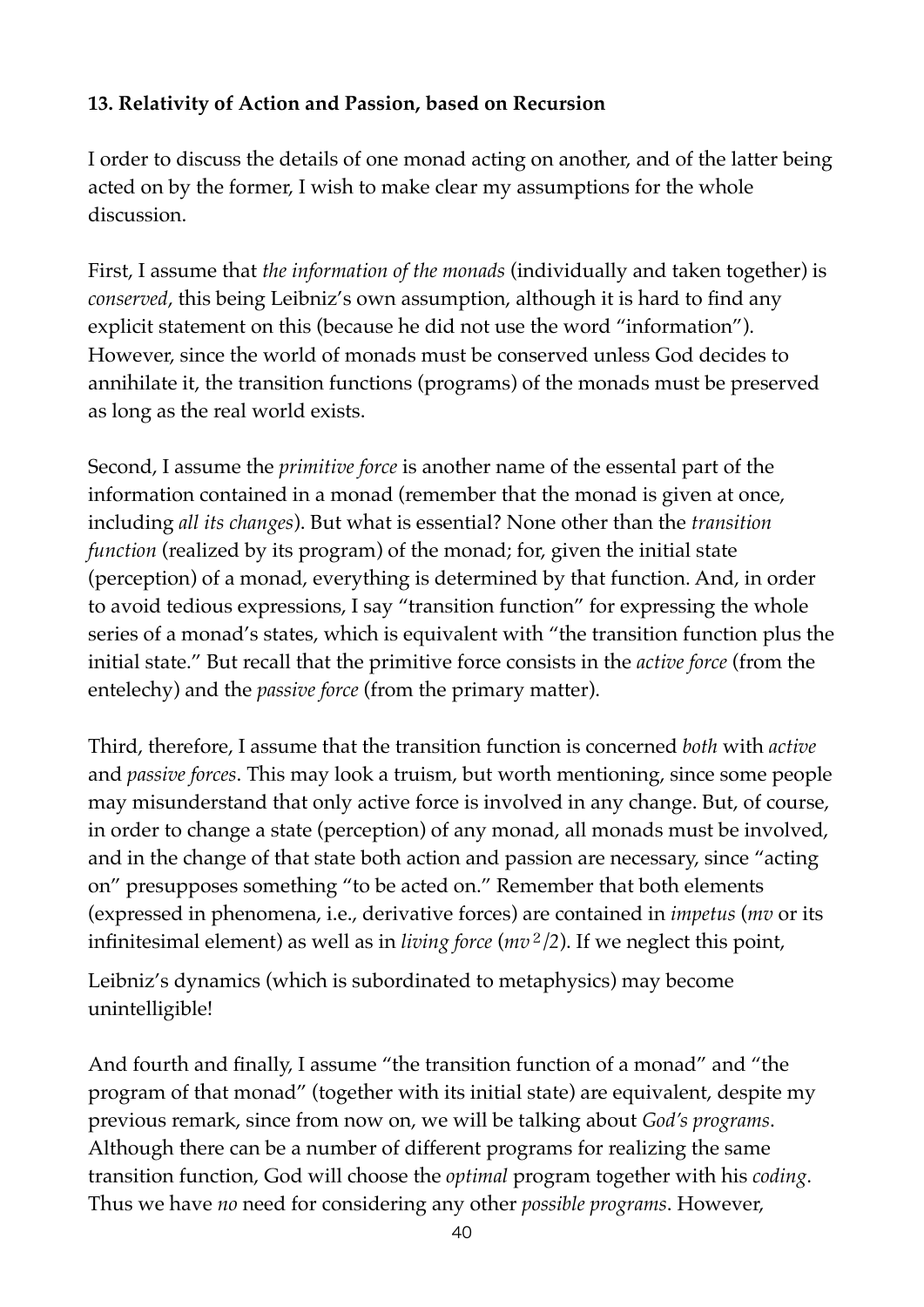# **13. Relativity of Action and Passion, based on Recursion**

I order to discuss the details of one monad acting on another, and of the latter being acted on by the former, I wish to make clear my assumptions for the whole discussion.

First, I assume that *the information of the monads* (individually and taken together) is *conserved*, this being Leibniz's own assumption, although it is hard to find any explicit statement on this (because he did not use the word "information"). However, since the world of monads must be conserved unless God decides to annihilate it, the transition functions (programs) of the monads must be preserved as long as the real world exists.

Second, I assume the *primitive force* is another name of the essental part of the information contained in a monad (remember that the monad is given at once, including *all its changes*). But what is essential? None other than the *transition function* (realized by its program) of the monad; for, given the initial state (perception) of a monad, everything is determined by that function. And, in order to avoid tedious expressions, I say "transition function" for expressing the whole series of a monad's states, which is equivalent with "the transition function plus the initial state." But recall that the primitive force consists in the *active force* (from the entelechy) and the *passive force* (from the primary matter).

Third, therefore, I assume that the transition function is concerned *both* with *active* and *passive forces*. This may look a truism, but worth mentioning, since some people may misunderstand that only active force is involved in any change. But, of course, in order to change a state (perception) of any monad, all monads must be involved, and in the change of that state both action and passion are necessary, since "acting on" presupposes something "to be acted on." Remember that both elements (expressed in phenomena, i.e., derivative forces) are contained in *impetus* (*mv* or its infinitesimal element) as well as in *living force* (*mv*<sup>2</sup>*/2*). If we neglect this point,

Leibniz's dynamics (which is subordinated to metaphysics) may become unintelligible!

And fourth and finally, I assume "the transition function of a monad" and "the program of that monad" (together with its initial state) are equivalent, despite my previous remark, since from now on, we will be talking about *God's programs*. Although there can be a number of different programs for realizing the same transition function, God will choose the *optimal* program together with his *coding*. Thus we have *no* need for considering any other *possible programs*. However,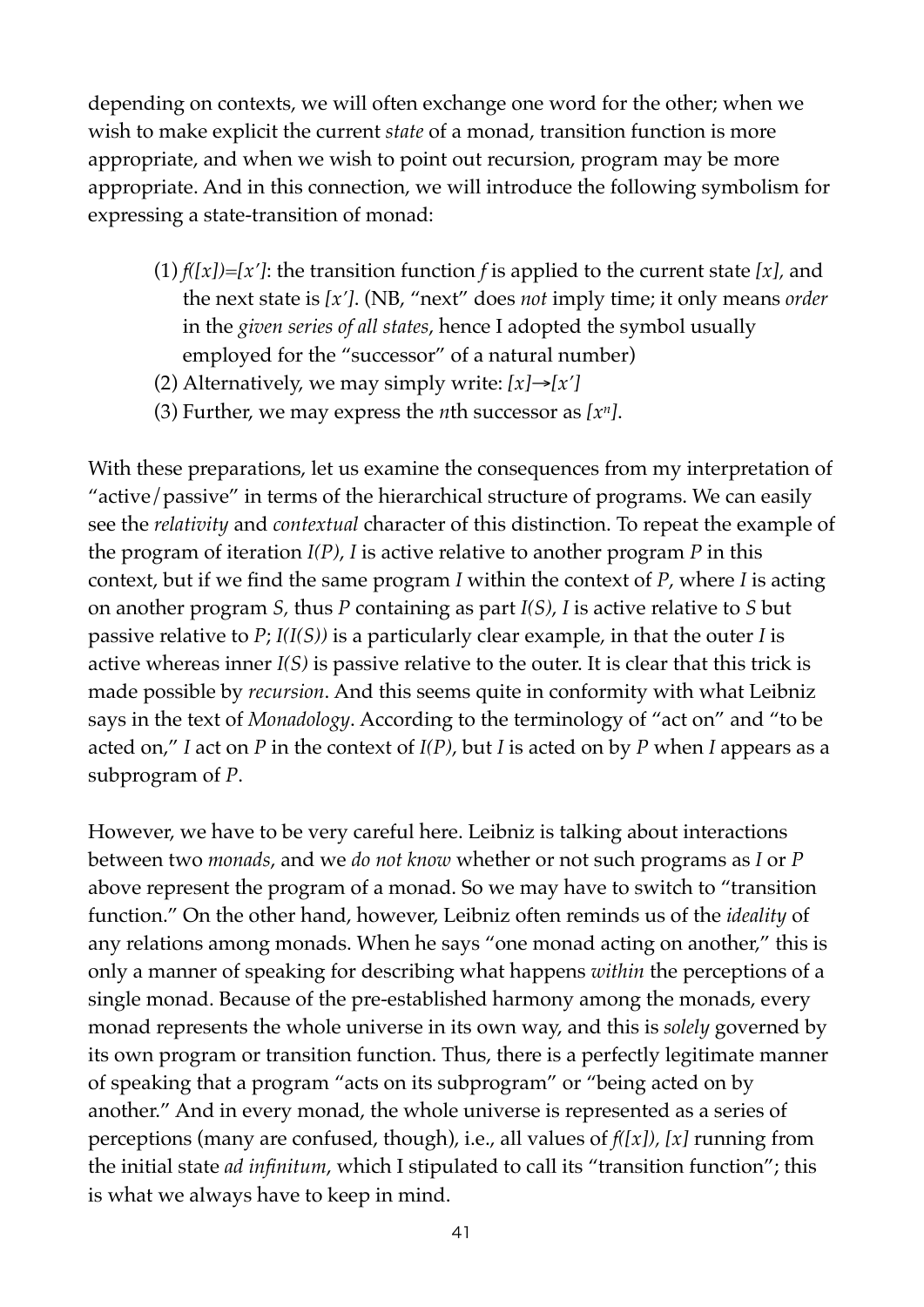depending on contexts, we will often exchange one word for the other; when we wish to make explicit the current *state* of a monad, transition function is more appropriate, and when we wish to point out recursion, program may be more appropriate. And in this connection, we will introduce the following symbolism for expressing a state-transition of monad:

- (1) *f([x])*=*[x']*: the transition function *f* is applied to the current state *[x],* and the next state is *[x']*. (NB, "next" does *not* imply time; it only means *order*  in the *given series of all states*, hence I adopted the symbol usually employed for the "successor" of a natural number)
- (2) Alternatively, we may simply write:  $[x] \rightarrow [x']$
- (3) Further, we may express the *n*th successor as *[xn]*.

With these preparations, let us examine the consequences from my interpretation of "active/passive" in terms of the hierarchical structure of programs. We can easily see the *relativity* and *contextual* character of this distinction. To repeat the example of the program of iteration *I(P)*, *I* is active relative to another program *P* in this context, but if we find the same program *I* within the context of *P*, where *I* is acting on another program *S,* thus *P* containing as part *I(S)*, *I* is active relative to *S* but passive relative to *P*; *I(I(S))* is a particularly clear example, in that the outer *I* is active whereas inner *I(S)* is passive relative to the outer. It is clear that this trick is made possible by *recursion*. And this seems quite in conformity with what Leibniz says in the text of *Monadology*. According to the terminology of "act on" and "to be acted on," *I* act on *P* in the context of *I(P)*, but *I* is acted on by *P* when *I* appears as a subprogram of *P*.

However, we have to be very careful here. Leibniz is talking about interactions between two *monads*, and we *do not know* whether or not such programs as *I* or *P* above represent the program of a monad. So we may have to switch to "transition function." On the other hand, however, Leibniz often reminds us of the *ideality* of any relations among monads. When he says "one monad acting on another," this is only a manner of speaking for describing what happens *within* the perceptions of a single monad. Because of the pre-established harmony among the monads, every monad represents the whole universe in its own way, and this is *solely* governed by its own program or transition function. Thus, there is a perfectly legitimate manner of speaking that a program "acts on its subprogram" or "being acted on by another." And in every monad, the whole universe is represented as a series of perceptions (many are confused, though), i.e., all values of *f([x]), [x]* running from the initial state *ad infinitum*, which I stipulated to call its "transition function"; this is what we always have to keep in mind.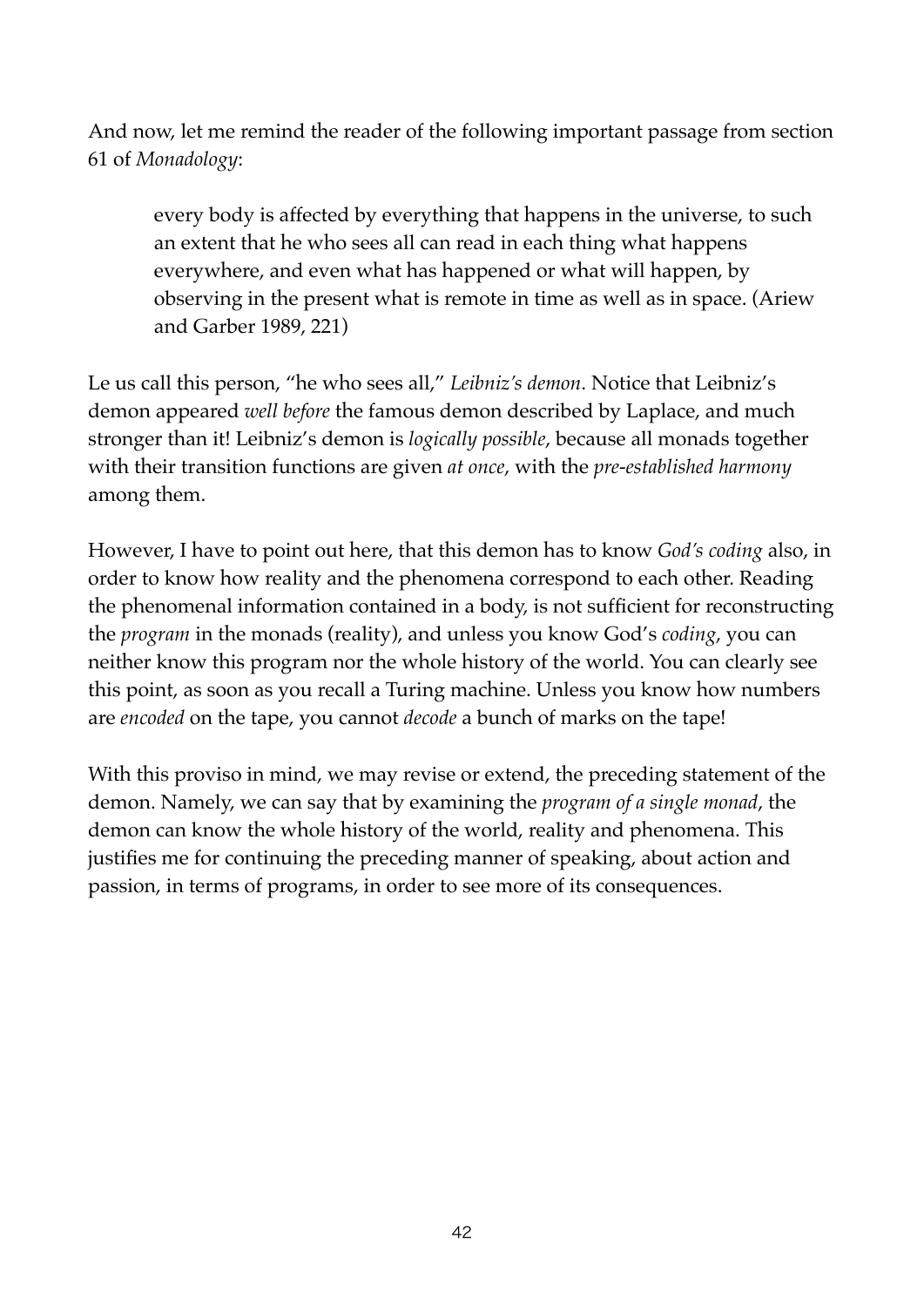And now, let me remind the reader of the following important passage from section 61 of *Monadology*:

every body is affected by everything that happens in the universe, to such an extent that he who sees all can read in each thing what happens everywhere, and even what has happened or what will happen, by observing in the present what is remote in time as well as in space. (Ariew and Garber 1989, 221)

Le us call this person, "he who sees all," *Leibniz's demon*. Notice that Leibniz's demon appeared *well before* the famous demon described by Laplace, and much stronger than it! Leibniz's demon is *logically possible*, because all monads together with their transition functions are given *at once*, with the *pre-established harmony* among them.

However, I have to point out here, that this demon has to know *God's coding* also, in order to know how reality and the phenomena correspond to each other. Reading the phenomenal information contained in a body, is not sufficient for reconstructing the *program* in the monads (reality), and unless you know God's *coding*, you can neither know this program nor the whole history of the world. You can clearly see this point, as soon as you recall a Turing machine. Unless you know how numbers are *encoded* on the tape, you cannot *decode* a bunch of marks on the tape!

With this proviso in mind, we may revise or extend, the preceding statement of the demon. Namely, we can say that by examining the *program of a single monad*, the demon can know the whole history of the world, reality and phenomena. This justifies me for continuing the preceding manner of speaking, about action and passion, in terms of programs, in order to see more of its consequences.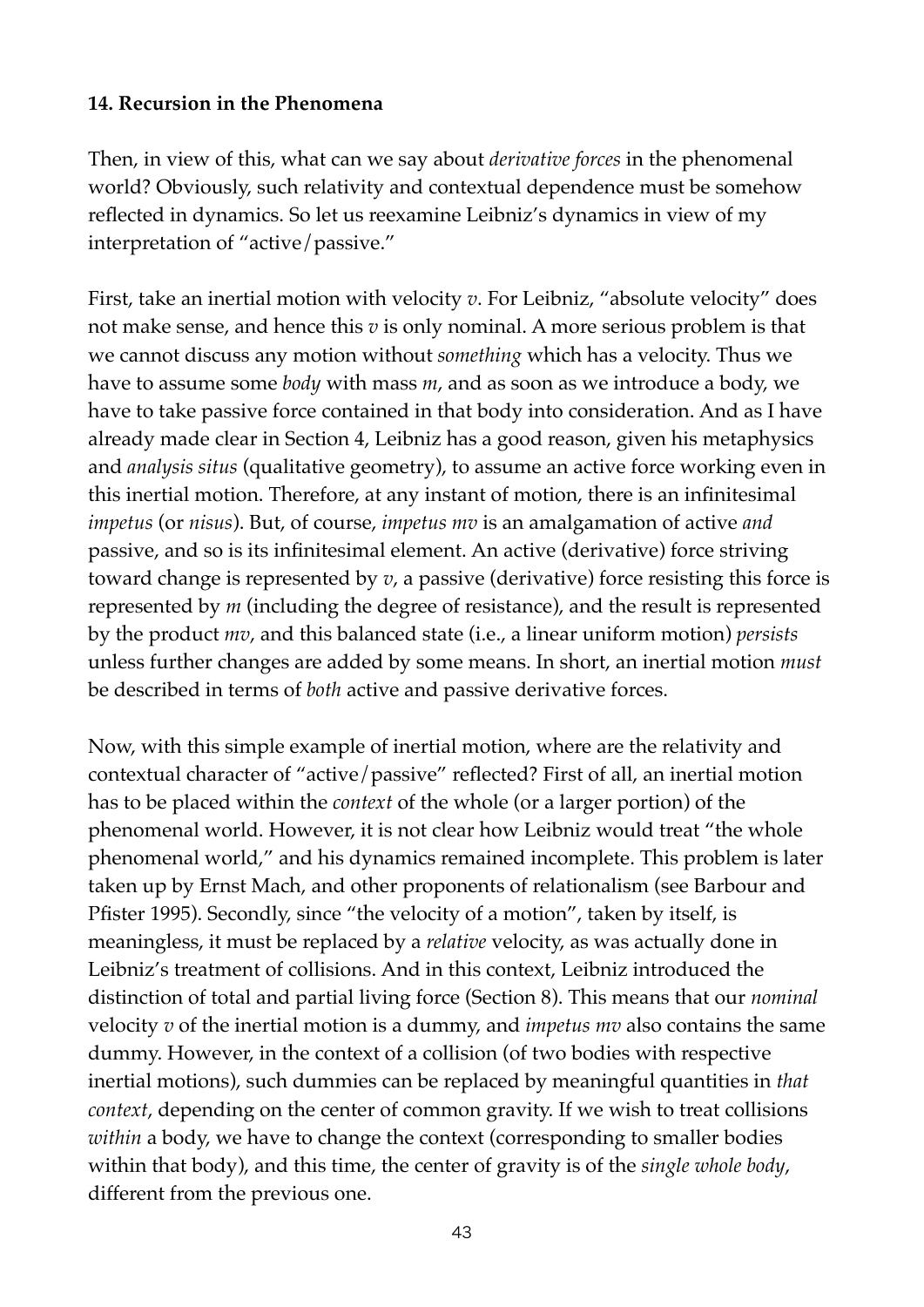#### **14. Recursion in the Phenomena**

Then, in view of this, what can we say about *derivative forces* in the phenomenal world? Obviously, such relativity and contextual dependence must be somehow reflected in dynamics. So let us reexamine Leibniz's dynamics in view of my interpretation of "active/passive."

First, take an inertial motion with velocity *v*. For Leibniz, "absolute velocity" does not make sense, and hence this *v* is only nominal. A more serious problem is that we cannot discuss any motion without *something* which has a velocity. Thus we have to assume some *body* with mass *m*, and as soon as we introduce a body, we have to take passive force contained in that body into consideration. And as I have already made clear in Section 4, Leibniz has a good reason, given his metaphysics and *analysis situs* (qualitative geometry), to assume an active force working even in this inertial motion. Therefore, at any instant of motion, there is an infinitesimal *impetus* (or *nisus*). But, of course, *impetus mv* is an amalgamation of active *and* passive, and so is its infinitesimal element. An active (derivative) force striving toward change is represented by *v*, a passive (derivative) force resisting this force is represented by *m* (including the degree of resistance), and the result is represented by the product *mv*, and this balanced state (i.e., a linear uniform motion) *persists* unless further changes are added by some means. In short, an inertial motion *must* be described in terms of *both* active and passive derivative forces.

Now, with this simple example of inertial motion, where are the relativity and contextual character of "active/passive" reflected? First of all, an inertial motion has to be placed within the *context* of the whole (or a larger portion) of the phenomenal world. However, it is not clear how Leibniz would treat "the whole phenomenal world," and his dynamics remained incomplete. This problem is later taken up by Ernst Mach, and other proponents of relationalism (see Barbour and Pfister 1995). Secondly, since "the velocity of a motion", taken by itself, is meaningless, it must be replaced by a *relative* velocity, as was actually done in Leibniz's treatment of collisions. And in this context, Leibniz introduced the distinction of total and partial living force (Section 8). This means that our *nominal* velocity *v* of the inertial motion is a dummy, and *impetus mv* also contains the same dummy. However, in the context of a collision (of two bodies with respective inertial motions), such dummies can be replaced by meaningful quantities in *that context*, depending on the center of common gravity. If we wish to treat collisions *within* a body, we have to change the context (corresponding to smaller bodies within that body), and this time, the center of gravity is of the *single whole body*, different from the previous one.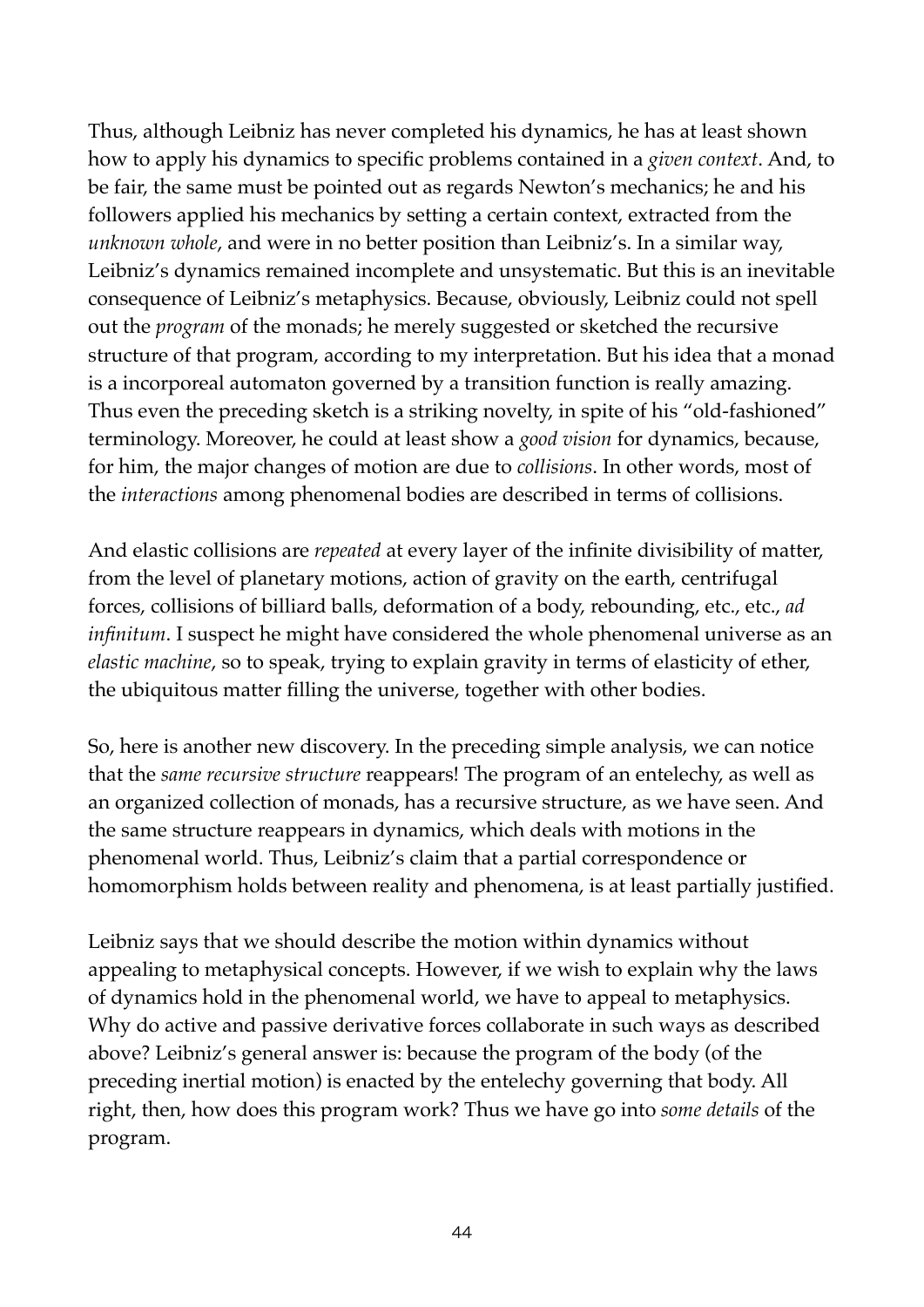Thus, although Leibniz has never completed his dynamics, he has at least shown how to apply his dynamics to specific problems contained in a *given context*. And, to be fair, the same must be pointed out as regards Newton's mechanics; he and his followers applied his mechanics by setting a certain context, extracted from the *unknown whole*, and were in no better position than Leibniz's. In a similar way, Leibniz's dynamics remained incomplete and unsystematic. But this is an inevitable consequence of Leibniz's metaphysics. Because, obviously, Leibniz could not spell out the *program* of the monads; he merely suggested or sketched the recursive structure of that program, according to my interpretation. But his idea that a monad is a incorporeal automaton governed by a transition function is really amazing. Thus even the preceding sketch is a striking novelty, in spite of his "old-fashioned" terminology. Moreover, he could at least show a *good vision* for dynamics, because, for him, the major changes of motion are due to *collisions*. In other words, most of the *interactions* among phenomenal bodies are described in terms of collisions.

And elastic collisions are *repeated* at every layer of the infinite divisibility of matter, from the level of planetary motions, action of gravity on the earth, centrifugal forces, collisions of billiard balls, deformation of a body, rebounding, etc., etc., *ad infinitum*. I suspect he might have considered the whole phenomenal universe as an *elastic machine*, so to speak, trying to explain gravity in terms of elasticity of ether, the ubiquitous matter filling the universe, together with other bodies.

So, here is another new discovery. In the preceding simple analysis, we can notice that the *same recursive structure* reappears! The program of an entelechy, as well as an organized collection of monads, has a recursive structure, as we have seen. And the same structure reappears in dynamics, which deals with motions in the phenomenal world. Thus, Leibniz's claim that a partial correspondence or homomorphism holds between reality and phenomena, is at least partially justified.

Leibniz says that we should describe the motion within dynamics without appealing to metaphysical concepts. However, if we wish to explain why the laws of dynamics hold in the phenomenal world, we have to appeal to metaphysics. Why do active and passive derivative forces collaborate in such ways as described above? Leibniz's general answer is: because the program of the body (of the preceding inertial motion) is enacted by the entelechy governing that body. All right, then, how does this program work? Thus we have go into *some details* of the program.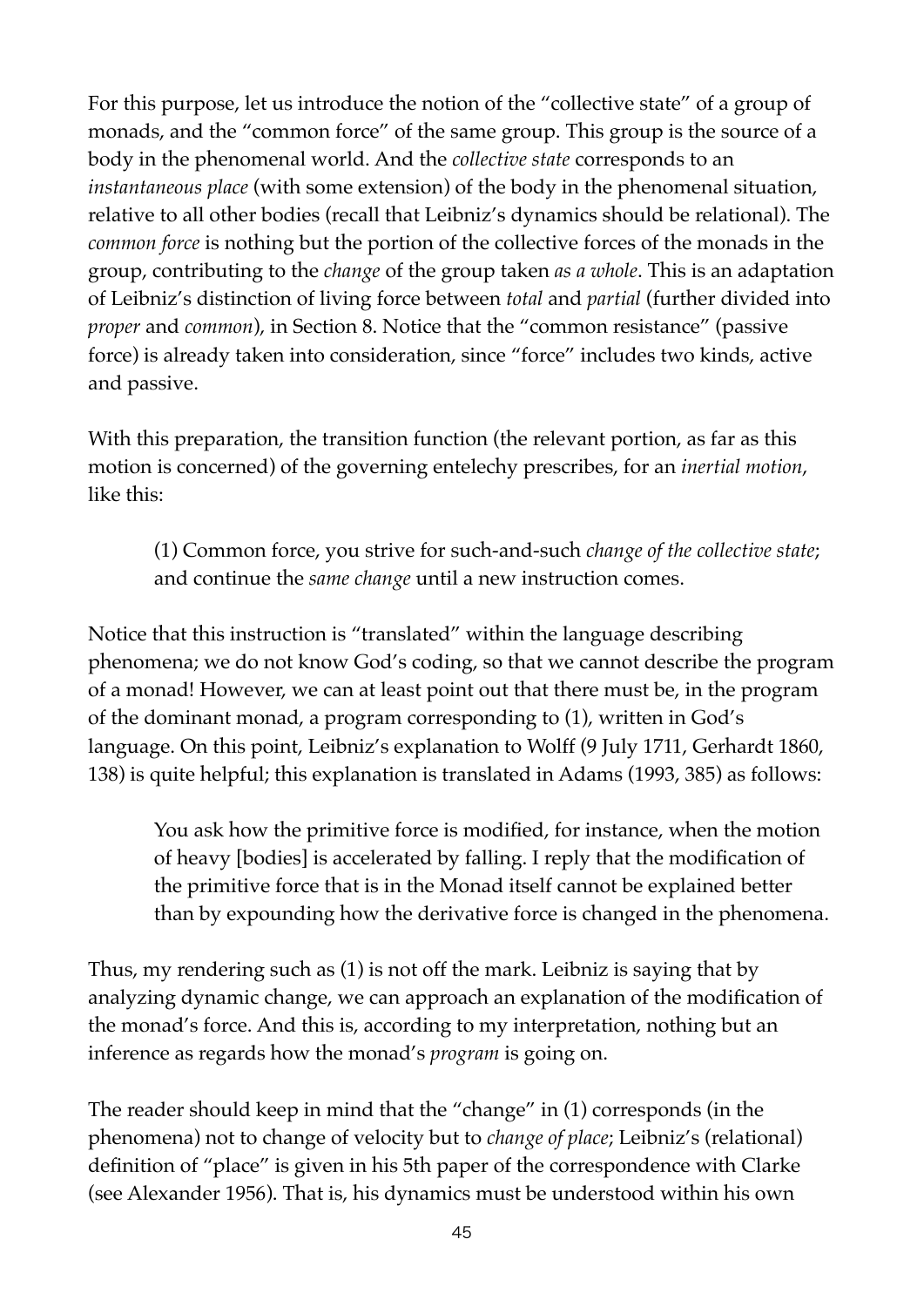For this purpose, let us introduce the notion of the "collective state" of a group of monads, and the "common force" of the same group. This group is the source of a body in the phenomenal world. And the *collective state* corresponds to an *instantaneous place* (with some extension) of the body in the phenomenal situation, relative to all other bodies (recall that Leibniz's dynamics should be relational). The *common force* is nothing but the portion of the collective forces of the monads in the group, contributing to the *change* of the group taken *as a whole*. This is an adaptation of Leibniz's distinction of living force between *total* and *partial* (further divided into *proper* and *common*), in Section 8. Notice that the "common resistance" (passive force) is already taken into consideration, since "force" includes two kinds, active and passive.

With this preparation, the transition function (the relevant portion, as far as this motion is concerned) of the governing entelechy prescribes, for an *inertial motion*, like this:

(1) Common force, you strive for such-and-such *change of the collective state*; and continue the *same change* until a new instruction comes.

Notice that this instruction is "translated" within the language describing phenomena; we do not know God's coding, so that we cannot describe the program of a monad! However, we can at least point out that there must be, in the program of the dominant monad, a program corresponding to (1), written in God's language. On this point, Leibniz's explanation to Wolff (9 July 1711, Gerhardt 1860, 138) is quite helpful; this explanation is translated in Adams (1993, 385) as follows:

You ask how the primitive force is modified, for instance, when the motion of heavy [bodies] is accelerated by falling. I reply that the modification of the primitive force that is in the Monad itself cannot be explained better than by expounding how the derivative force is changed in the phenomena.

Thus, my rendering such as (1) is not off the mark. Leibniz is saying that by analyzing dynamic change, we can approach an explanation of the modification of the monad's force. And this is, according to my interpretation, nothing but an inference as regards how the monad's *program* is going on.

The reader should keep in mind that the "change" in (1) corresponds (in the phenomena) not to change of velocity but to *change of place*; Leibniz's (relational) definition of "place" is given in his 5th paper of the correspondence with Clarke (see Alexander 1956). That is, his dynamics must be understood within his own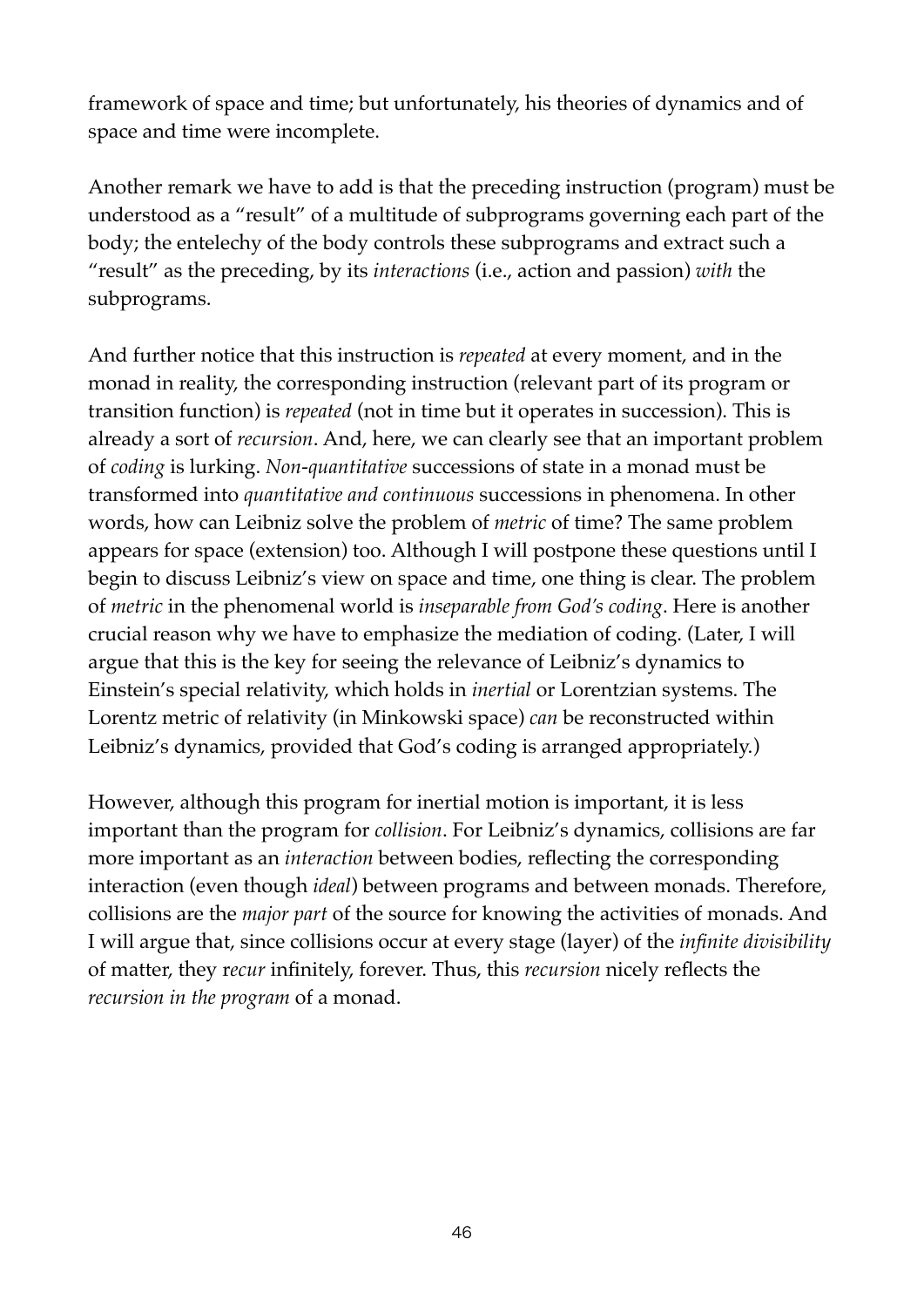framework of space and time; but unfortunately, his theories of dynamics and of space and time were incomplete.

Another remark we have to add is that the preceding instruction (program) must be understood as a "result" of a multitude of subprograms governing each part of the body; the entelechy of the body controls these subprograms and extract such a "result" as the preceding, by its *interactions* (i.e., action and passion) *with* the subprograms.

And further notice that this instruction is *repeated* at every moment, and in the monad in reality, the corresponding instruction (relevant part of its program or transition function) is *repeated* (not in time but it operates in succession). This is already a sort of *recursion*. And, here, we can clearly see that an important problem of *coding* is lurking. *Non-quantitative* successions of state in a monad must be transformed into *quantitative and continuous* successions in phenomena. In other words, how can Leibniz solve the problem of *metric* of time? The same problem appears for space (extension) too. Although I will postpone these questions until I begin to discuss Leibniz's view on space and time, one thing is clear. The problem of *metric* in the phenomenal world is *inseparable from God's coding*. Here is another crucial reason why we have to emphasize the mediation of coding. (Later, I will argue that this is the key for seeing the relevance of Leibniz's dynamics to Einstein's special relativity, which holds in *inertial* or Lorentzian systems. The Lorentz metric of relativity (in Minkowski space) *can* be reconstructed within Leibniz's dynamics, provided that God's coding is arranged appropriately.)

However, although this program for inertial motion is important, it is less important than the program for *collision*. For Leibniz's dynamics, collisions are far more important as an *interaction* between bodies, reflecting the corresponding interaction (even though *ideal*) between programs and between monads. Therefore, collisions are the *major part* of the source for knowing the activities of monads. And I will argue that, since collisions occur at every stage (layer) of the *infinite divisibility* of matter, they r*ecur* infinitely, forever. Thus, this *recursion* nicely reflects the *recursion in the program* of a monad.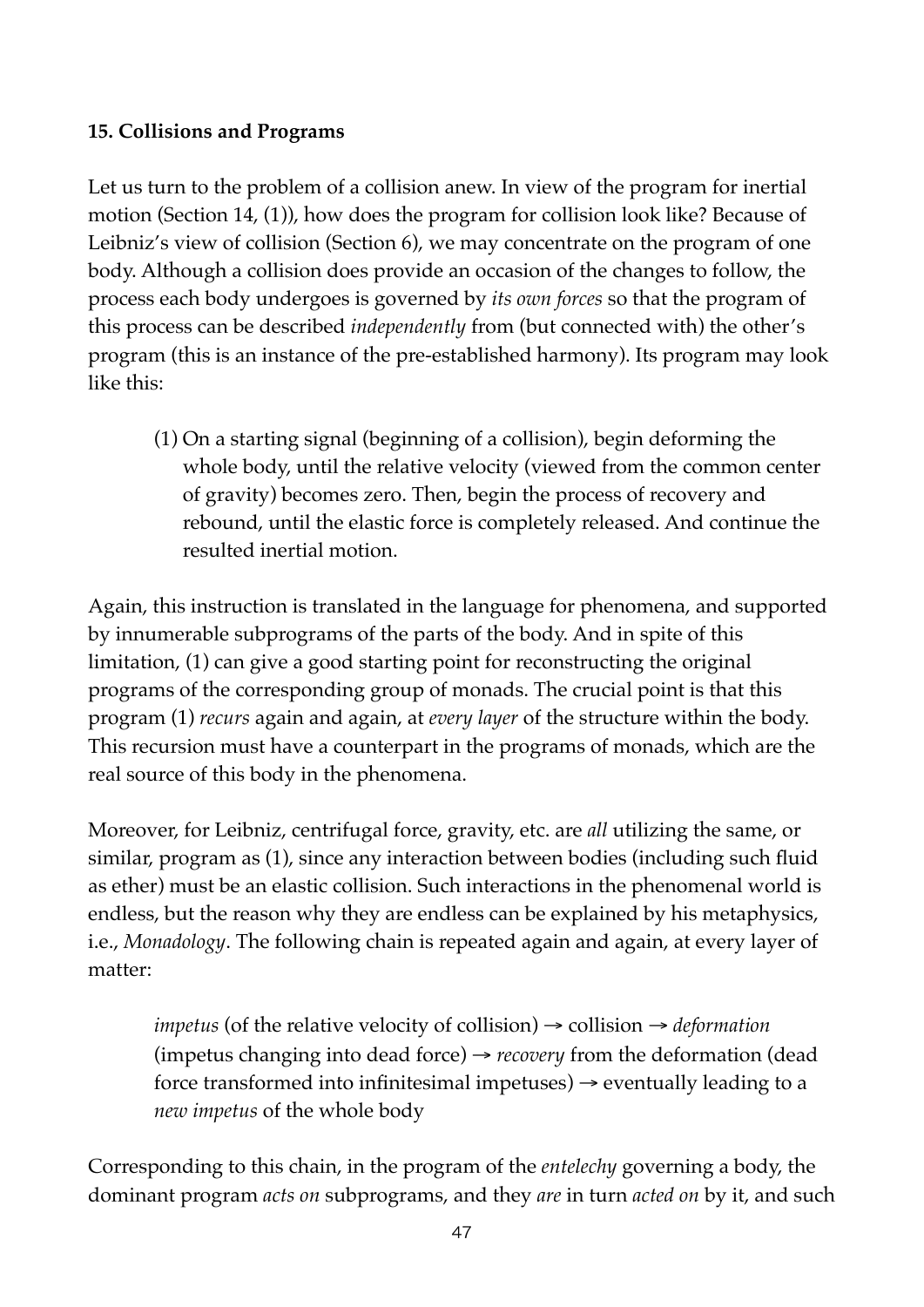# **15. Collisions and Programs**

Let us turn to the problem of a collision anew. In view of the program for inertial motion (Section 14, (1)), how does the program for collision look like? Because of Leibniz's view of collision (Section 6), we may concentrate on the program of one body. Although a collision does provide an occasion of the changes to follow, the process each body undergoes is governed by *its own forces* so that the program of this process can be described *independently* from (but connected with) the other's program (this is an instance of the pre-established harmony). Its program may look like this:

(1) On a starting signal (beginning of a collision), begin deforming the whole body, until the relative velocity (viewed from the common center of gravity) becomes zero. Then, begin the process of recovery and rebound, until the elastic force is completely released. And continue the resulted inertial motion.

Again, this instruction is translated in the language for phenomena, and supported by innumerable subprograms of the parts of the body. And in spite of this limitation, (1) can give a good starting point for reconstructing the original programs of the corresponding group of monads. The crucial point is that this program (1) *recurs* again and again, at *every layer* of the structure within the body. This recursion must have a counterpart in the programs of monads, which are the real source of this body in the phenomena.

Moreover, for Leibniz, centrifugal force, gravity, etc. are *all* utilizing the same, or similar, program as (1), since any interaction between bodies (including such fluid as ether) must be an elastic collision. Such interactions in the phenomenal world is endless, but the reason why they are endless can be explained by his metaphysics, i.e., *Monadology*. The following chain is repeated again and again, at every layer of matter:

*impetus* (of the relative velocity of collision) → collision → *deformation* (impetus changing into dead force) → *recovery* from the deformation (dead force transformed into infinitesimal impetuses)  $\rightarrow$  eventually leading to a *new impetus* of the whole body

Corresponding to this chain, in the program of the *entelechy* governing a body, the dominant program *acts on* subprograms, and they *are* in turn *acted on* by it, and such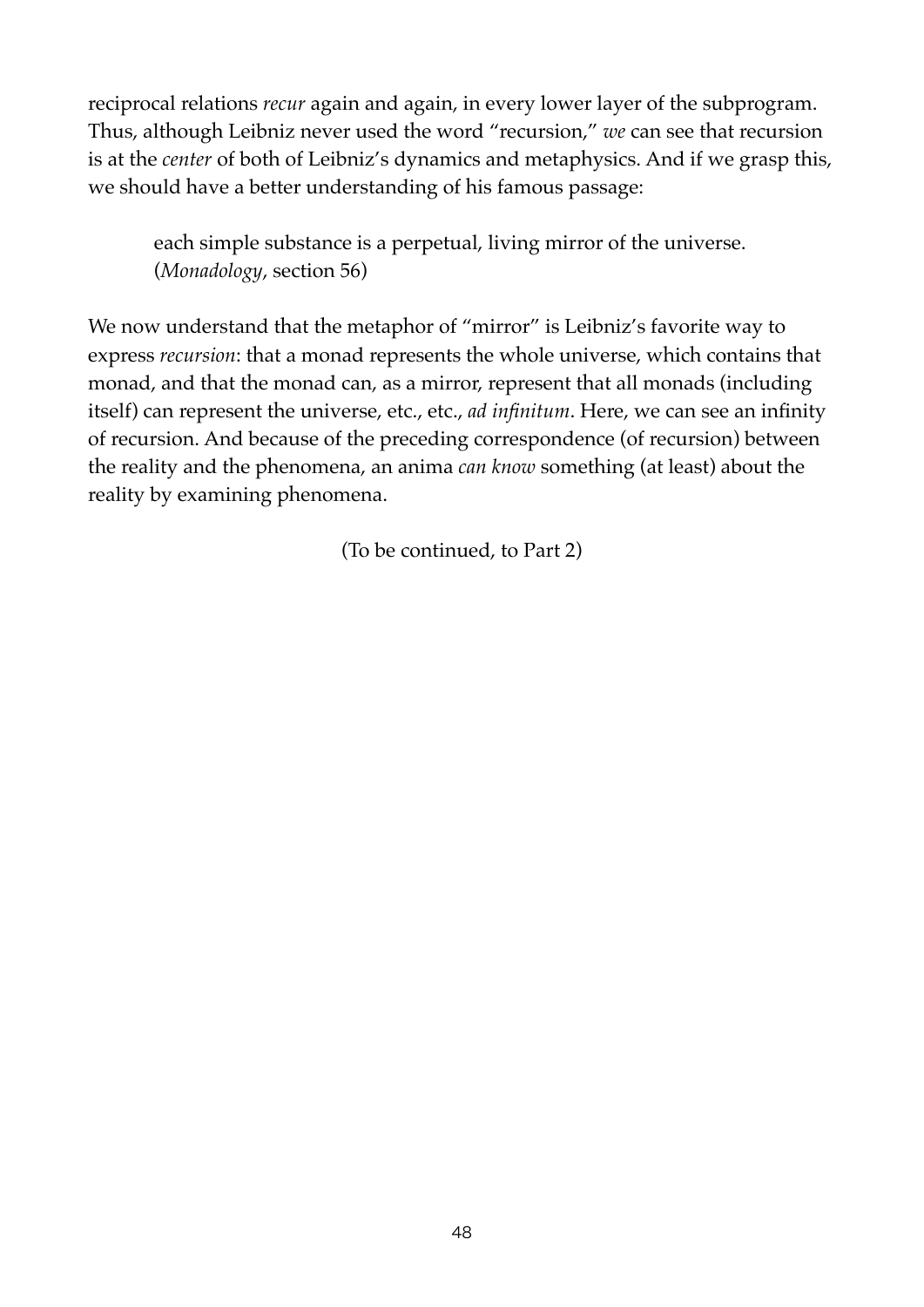reciprocal relations *recur* again and again, in every lower layer of the subprogram. Thus, although Leibniz never used the word "recursion," *we* can see that recursion is at the *center* of both of Leibniz's dynamics and metaphysics. And if we grasp this, we should have a better understanding of his famous passage:

each simple substance is a perpetual, living mirror of the universe. (*Monadology*, section 56)

We now understand that the metaphor of "mirror" is Leibniz's favorite way to express *recursion*: that a monad represents the whole universe, which contains that monad, and that the monad can, as a mirror, represent that all monads (including itself) can represent the universe, etc., etc., *ad infinitum*. Here, we can see an infinity of recursion. And because of the preceding correspondence (of recursion) between the reality and the phenomena, an anima *can know* something (at least) about the reality by examining phenomena.

(To be continued, to Part 2)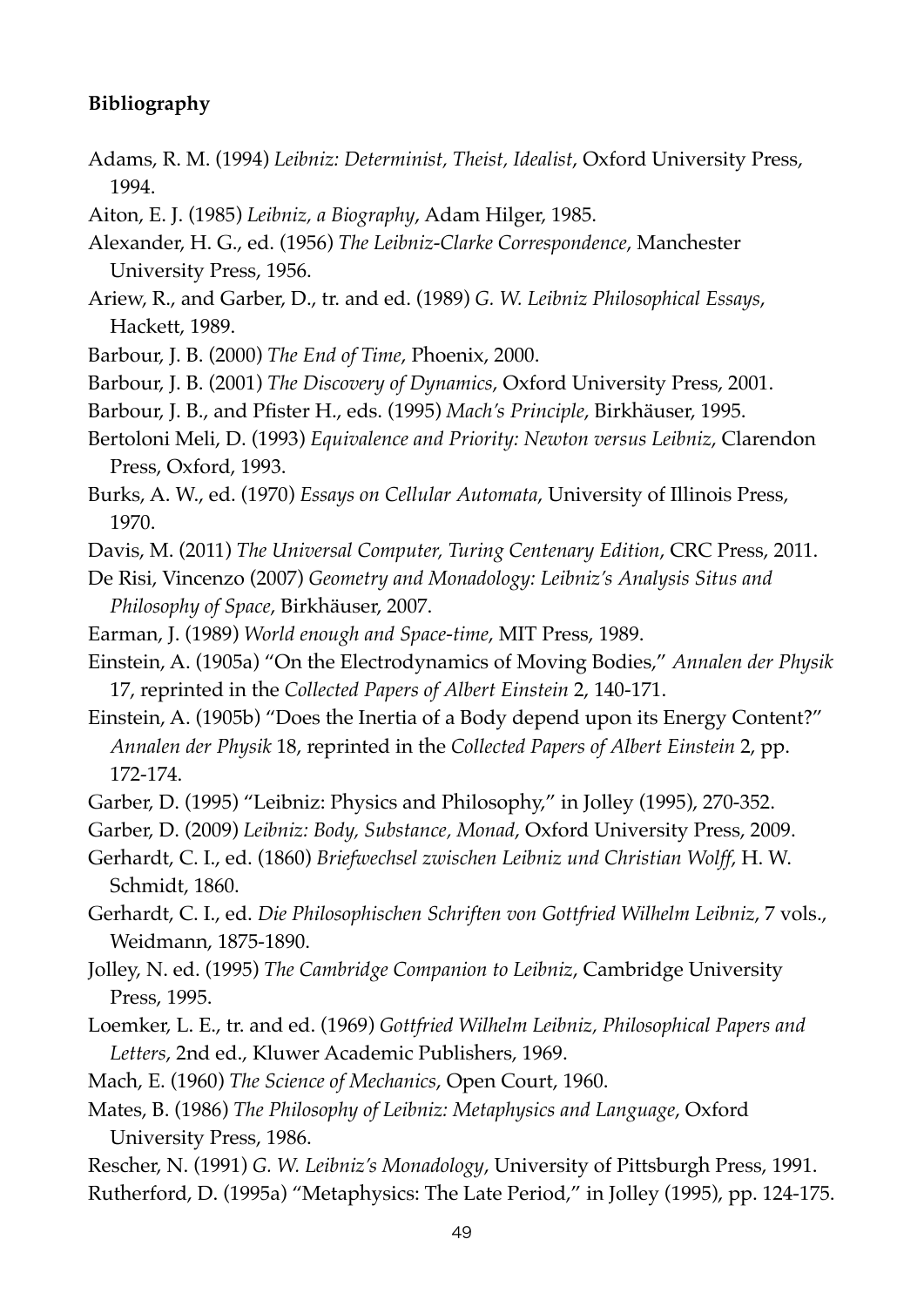## **Bibliography**

- Adams, R. M. (1994) *Leibniz: Determinist, Theist, Idealist*, Oxford University Press, 1994.
- Aiton, E. J. (1985) *Leibniz, a Biography*, Adam Hilger, 1985.
- Alexander, H. G., ed. (1956) *The Leibniz-Clarke Correspondence*, Manchester University Press, 1956.
- Ariew, R., and Garber, D., tr. and ed. (1989) *G. W. Leibniz Philosophical Essays*, Hackett, 1989.
- Barbour, J. B. (2000) *The End of Time*, Phoenix, 2000.
- Barbour, J. B. (2001) *The Discovery of Dynamics*, Oxford University Press, 2001.
- Barbour, J. B., and Pfister H., eds. (1995) *Mach's Principle*, Birkhäuser, 1995.
- Bertoloni Meli, D. (1993) *Equivalence and Priority: Newton versus Leibniz*, Clarendon Press, Oxford, 1993.
- Burks, A. W., ed. (1970) *Essays on Cellular Automata*, University of Illinois Press, 1970.
- Davis, M. (2011) *The Universal Computer, Turing Centenary Edition*, CRC Press, 2011.
- De Risi, Vincenzo (2007) *Geometry and Monadology: Leibniz's Analysis Situs and Philosophy of Space*, Birkhäuser, 2007.
- Earman, J. (1989) *World enough and Space-time*, MIT Press, 1989.
- Einstein, A. (1905a) "On the Electrodynamics of Moving Bodies," *Annalen der Physik* 17, reprinted in the *Collected Papers of Albert Einstein* 2, 140-171.
- Einstein, A. (1905b) "Does the Inertia of a Body depend upon its Energy Content?" *Annalen der Physik* 18, reprinted in the *Collected Papers of Albert Einstein* 2, pp. 172-174.
- Garber, D. (1995) "Leibniz: Physics and Philosophy," in Jolley (1995), 270-352.
- Garber, D. (2009) *Leibniz: Body, Substance, Monad*, Oxford University Press, 2009.
- Gerhardt, C. I., ed. (1860) *Briefwechsel zwischen Leibniz und Christian Wolff*, H. W. Schmidt, 1860.
- Gerhardt, C. I., ed. *Die Philosophischen Schriften von Gottfried Wilhelm Leibniz*, 7 vols., Weidmann, 1875-1890.
- Jolley, N. ed. (1995) *The Cambridge Companion to Leibniz*, Cambridge University Press, 1995.
- Loemker, L. E., tr. and ed. (1969) *Gottfried Wilhelm Leibniz, Philosophical Papers and Letters*, 2nd ed., Kluwer Academic Publishers, 1969.
- Mach, E. (1960) *The Science of Mechanics*, Open Court, 1960.
- Mates, B. (1986) *The Philosophy of Leibniz: Metaphysics and Language*, Oxford University Press, 1986.
- Rescher, N. (1991) *G. W. Leibniz's Monadology*, University of Pittsburgh Press, 1991. Rutherford, D. (1995a) "Metaphysics: The Late Period," in Jolley (1995), pp. 124-175.